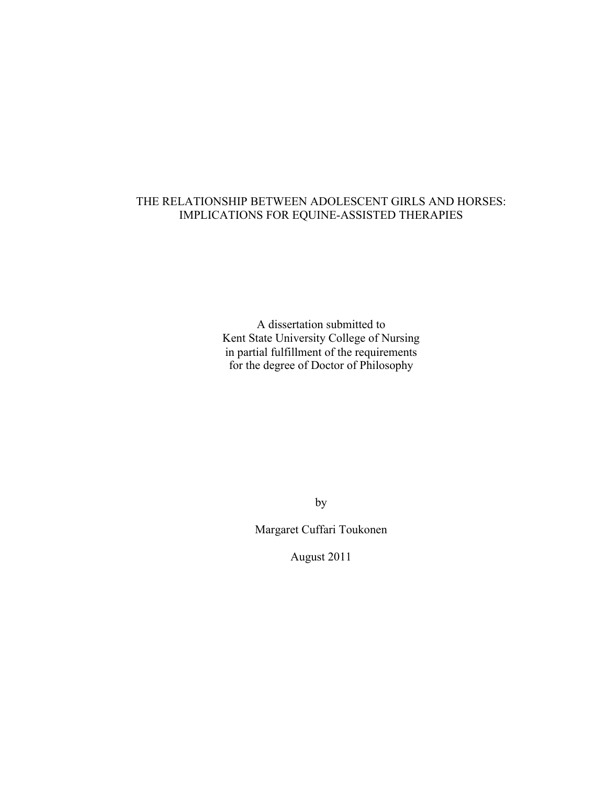# THE RELATIONSHIP BETWEEN ADOLESCENT GIRLS AND HORSES: IMPLICATIONS FOR EQUINE-ASSISTED THERAPIES

A dissertation submitted to Kent State University College of Nursing in partial fulfillment of the requirements for the degree of Doctor of Philosophy

by

Margaret Cuffari Toukonen

August 2011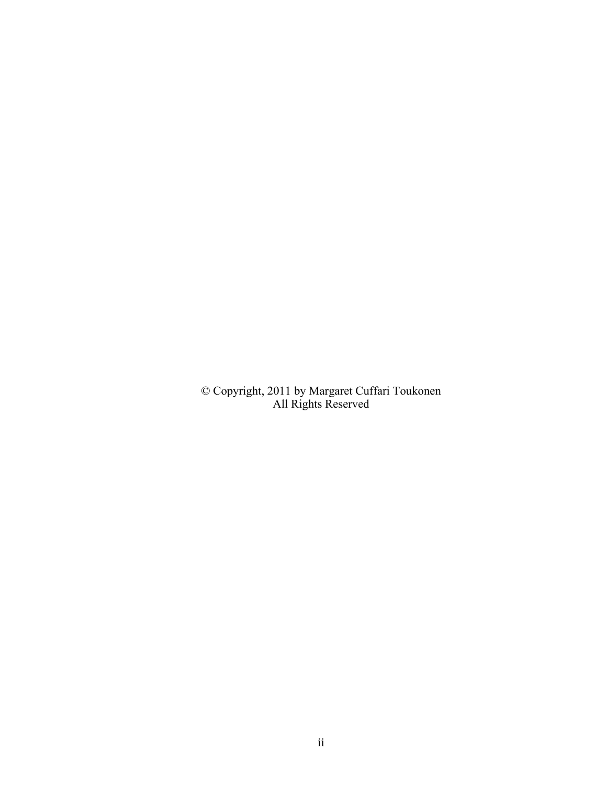© Copyright, 2011 by Margaret Cuffari Toukonen All Rights Reserved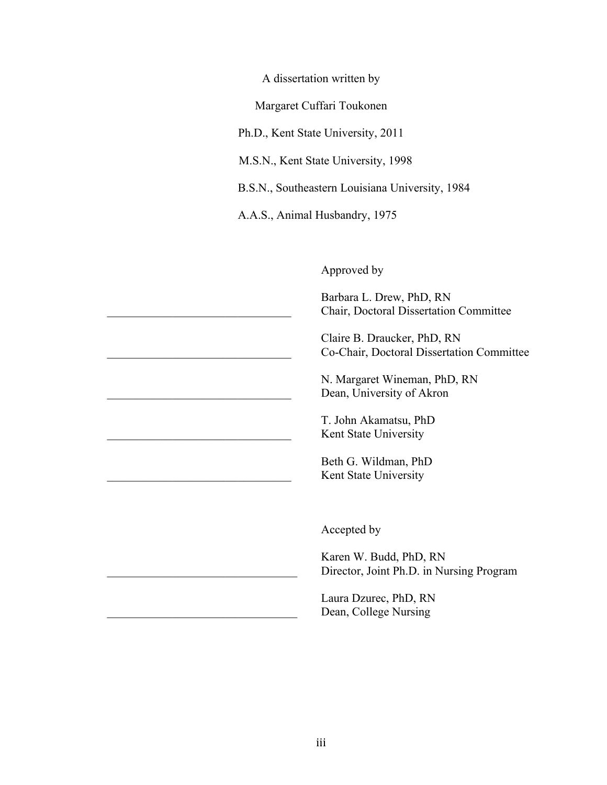A dissertation written by

Margaret Cuffari Toukonen

Ph.D., Kent State University, 2011

M.S.N., Kent State University, 1998

B.S.N., Southeastern Louisiana University, 1984

A.A.S., Animal Husbandry, 1975

Approved by

Barbara L. Drew, PhD, RN \_\_\_\_\_\_\_\_\_\_\_\_\_\_\_\_\_\_\_\_\_\_\_\_\_\_\_\_\_\_\_ Chair, Doctoral Dissertation Committee

Claire B. Draucker, PhD, RN \_\_\_\_\_\_\_\_\_\_\_\_\_\_\_\_\_\_\_\_\_\_\_\_\_\_\_\_\_\_\_ Co-Chair, Doctoral Dissertation Committee

N. Margaret Wineman, PhD, RN Dean, University of Akron

T. John Akamatsu, PhD Kent State University

Beth G. Wildman, PhD Kent State University

Accepted by

Karen W. Budd, PhD, RN Director, Joint Ph.D. in Nursing Program

Laura Dzurec, PhD, RN Dean, College Nursing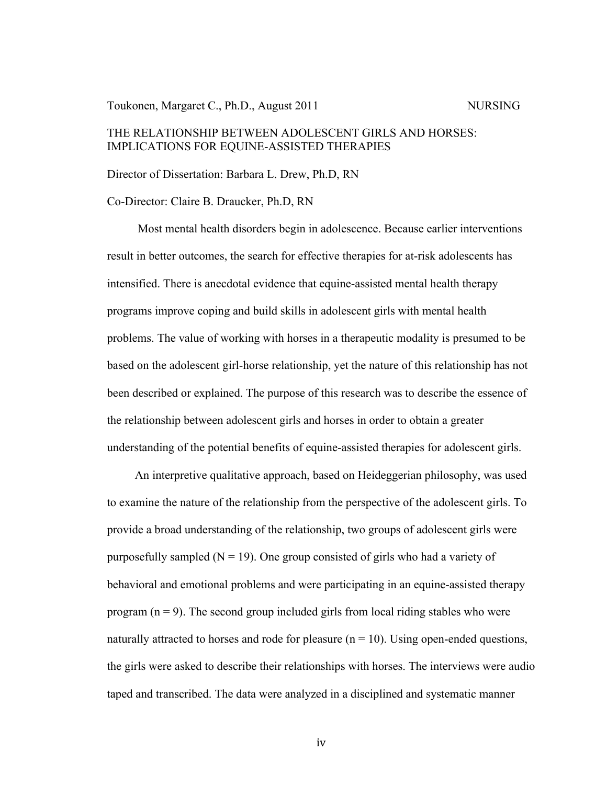#### Toukonen, Margaret C., Ph.D., August 2011 NURSING

# THE RELATIONSHIP BETWEEN ADOLESCENT GIRLS AND HORSES: IMPLICATIONS FOR EQUINE-ASSISTED THERAPIES

#### Director of Dissertation: Barbara L. Drew, Ph.D, RN

#### Co-Director: Claire B. Draucker, Ph.D, RN

Most mental health disorders begin in adolescence. Because earlier interventions result in better outcomes, the search for effective therapies for at-risk adolescents has intensified. There is anecdotal evidence that equine-assisted mental health therapy programs improve coping and build skills in adolescent girls with mental health problems. The value of working with horses in a therapeutic modality is presumed to be based on the adolescent girl-horse relationship, yet the nature of this relationship has not been described or explained. The purpose of this research was to describe the essence of the relationship between adolescent girls and horses in order to obtain a greater understanding of the potential benefits of equine-assisted therapies for adolescent girls.

An interpretive qualitative approach, based on Heideggerian philosophy, was used to examine the nature of the relationship from the perspective of the adolescent girls. To provide a broad understanding of the relationship, two groups of adolescent girls were purposefully sampled  $(N = 19)$ . One group consisted of girls who had a variety of behavioral and emotional problems and were participating in an equine-assisted therapy program  $(n = 9)$ . The second group included girls from local riding stables who were naturally attracted to horses and rode for pleasure  $(n = 10)$ . Using open-ended questions, the girls were asked to describe their relationships with horses. The interviews were audio taped and transcribed. The data were analyzed in a disciplined and systematic manner

iv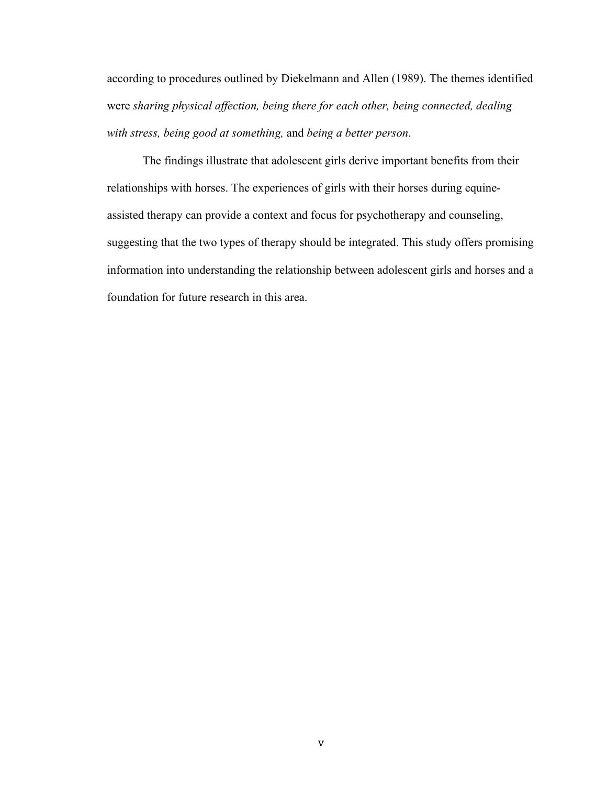according to procedures outlined by Diekelmann and Allen (1989). The themes identified were *sharing physical affection, being there for each other, being connected, dealing with stress, being good at something,* and *being a better person*.

The findings illustrate that adolescent girls derive important benefits from their relationships with horses. The experiences of girls with their horses during equineassisted therapy can provide a context and focus for psychotherapy and counseling, suggesting that the two types of therapy should be integrated. This study offers promising information into understanding the relationship between adolescent girls and horses and a foundation for future research in this area.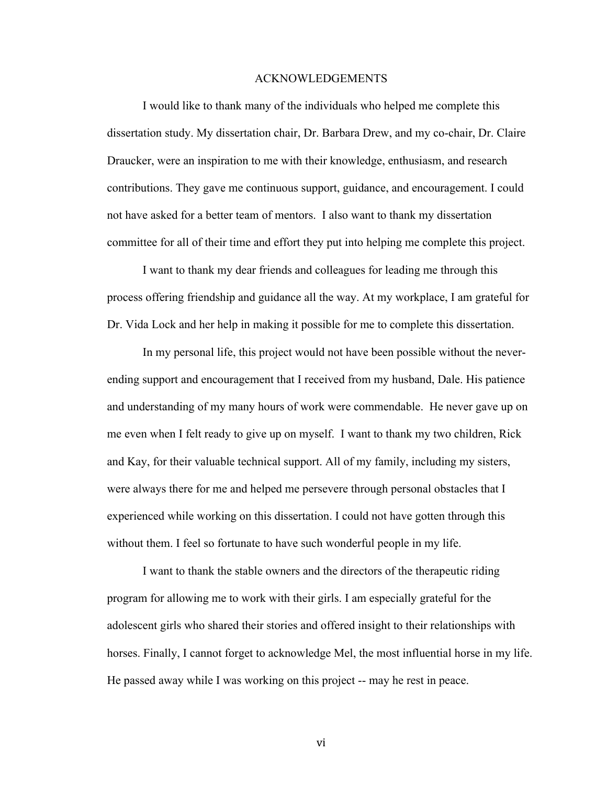#### ACKNOWLEDGEMENTS

I would like to thank many of the individuals who helped me complete this dissertation study. My dissertation chair, Dr. Barbara Drew, and my co-chair, Dr. Claire Draucker, were an inspiration to me with their knowledge, enthusiasm, and research contributions. They gave me continuous support, guidance, and encouragement. I could not have asked for a better team of mentors. I also want to thank my dissertation committee for all of their time and effort they put into helping me complete this project.

I want to thank my dear friends and colleagues for leading me through this process offering friendship and guidance all the way. At my workplace, I am grateful for Dr. Vida Lock and her help in making it possible for me to complete this dissertation.

In my personal life, this project would not have been possible without the neverending support and encouragement that I received from my husband, Dale. His patience and understanding of my many hours of work were commendable. He never gave up on me even when I felt ready to give up on myself. I want to thank my two children, Rick and Kay, for their valuable technical support. All of my family, including my sisters, were always there for me and helped me persevere through personal obstacles that I experienced while working on this dissertation. I could not have gotten through this without them. I feel so fortunate to have such wonderful people in my life.

I want to thank the stable owners and the directors of the therapeutic riding program for allowing me to work with their girls. I am especially grateful for the adolescent girls who shared their stories and offered insight to their relationships with horses. Finally, I cannot forget to acknowledge Mel, the most influential horse in my life. He passed away while I was working on this project -- may he rest in peace.

vi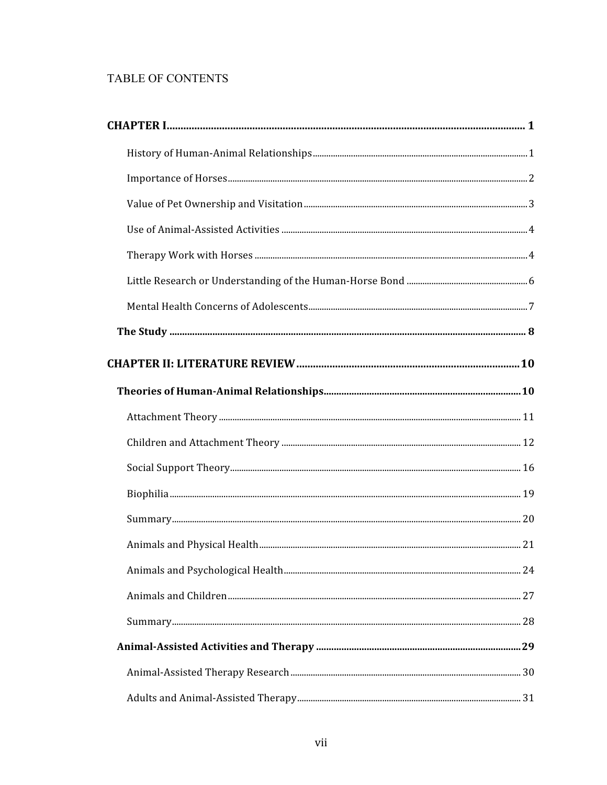# TABLE OF CONTENTS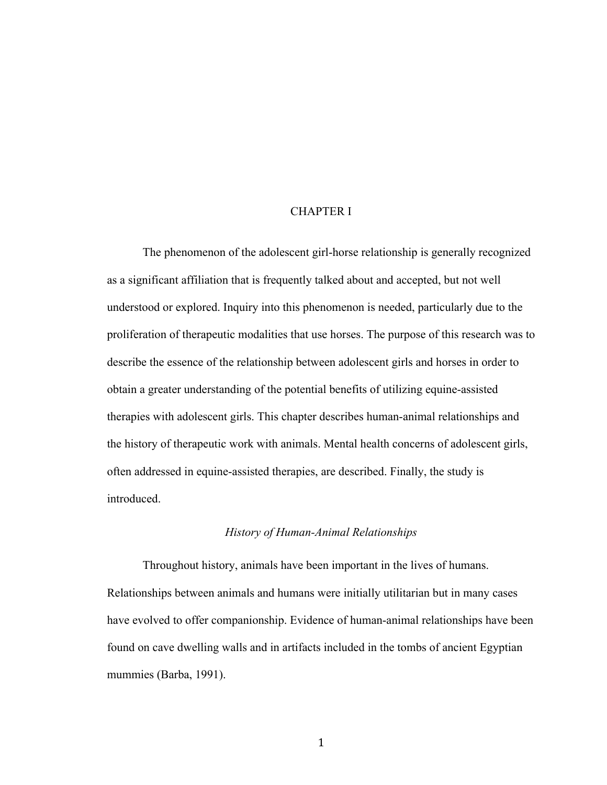#### CHAPTER I

The phenomenon of the adolescent girl-horse relationship is generally recognized as a significant affiliation that is frequently talked about and accepted, but not well understood or explored. Inquiry into this phenomenon is needed, particularly due to the proliferation of therapeutic modalities that use horses. The purpose of this research was to describe the essence of the relationship between adolescent girls and horses in order to obtain a greater understanding of the potential benefits of utilizing equine-assisted therapies with adolescent girls. This chapter describes human-animal relationships and the history of therapeutic work with animals. Mental health concerns of adolescent girls, often addressed in equine-assisted therapies, are described. Finally, the study is introduced.

#### *History of Human-Animal Relationships*

Throughout history, animals have been important in the lives of humans. Relationships between animals and humans were initially utilitarian but in many cases have evolved to offer companionship. Evidence of human-animal relationships have been found on cave dwelling walls and in artifacts included in the tombs of ancient Egyptian mummies (Barba, 1991).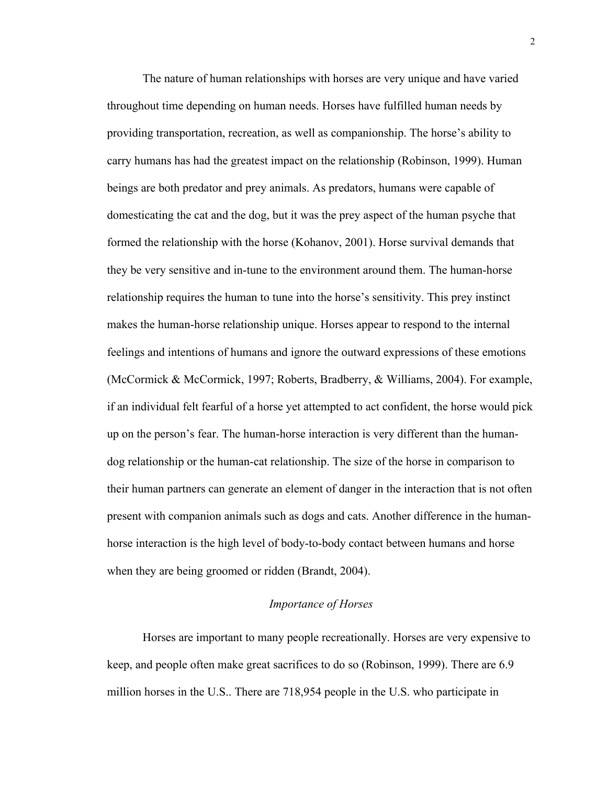The nature of human relationships with horses are very unique and have varied throughout time depending on human needs. Horses have fulfilled human needs by providing transportation, recreation, as well as companionship. The horse's ability to carry humans has had the greatest impact on the relationship (Robinson, 1999). Human beings are both predator and prey animals. As predators, humans were capable of domesticating the cat and the dog, but it was the prey aspect of the human psyche that formed the relationship with the horse (Kohanov, 2001). Horse survival demands that they be very sensitive and in-tune to the environment around them. The human-horse relationship requires the human to tune into the horse's sensitivity. This prey instinct makes the human-horse relationship unique. Horses appear to respond to the internal feelings and intentions of humans and ignore the outward expressions of these emotions (McCormick & McCormick, 1997; Roberts, Bradberry, & Williams, 2004). For example, if an individual felt fearful of a horse yet attempted to act confident, the horse would pick up on the person's fear. The human-horse interaction is very different than the humandog relationship or the human-cat relationship. The size of the horse in comparison to their human partners can generate an element of danger in the interaction that is not often present with companion animals such as dogs and cats. Another difference in the humanhorse interaction is the high level of body-to-body contact between humans and horse when they are being groomed or ridden (Brandt, 2004).

### *Importance of Horses*

Horses are important to many people recreationally. Horses are very expensive to keep, and people often make great sacrifices to do so (Robinson, 1999). There are 6.9 million horses in the U.S.. There are 718,954 people in the U.S. who participate in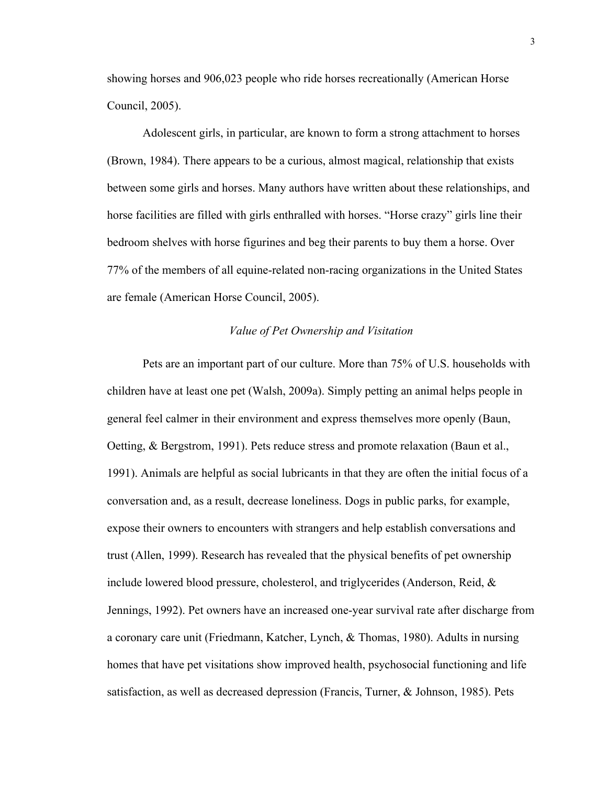showing horses and 906,023 people who ride horses recreationally (American Horse Council, 2005).

Adolescent girls, in particular, are known to form a strong attachment to horses (Brown, 1984). There appears to be a curious, almost magical, relationship that exists between some girls and horses. Many authors have written about these relationships, and horse facilities are filled with girls enthralled with horses. "Horse crazy" girls line their bedroom shelves with horse figurines and beg their parents to buy them a horse. Over 77% of the members of all equine-related non-racing organizations in the United States are female (American Horse Council, 2005).

#### *Value of Pet Ownership and Visitation*

Pets are an important part of our culture. More than 75% of U.S. households with children have at least one pet (Walsh, 2009a). Simply petting an animal helps people in general feel calmer in their environment and express themselves more openly (Baun, Oetting, & Bergstrom, 1991). Pets reduce stress and promote relaxation (Baun et al., 1991). Animals are helpful as social lubricants in that they are often the initial focus of a conversation and, as a result, decrease loneliness. Dogs in public parks, for example, expose their owners to encounters with strangers and help establish conversations and trust (Allen, 1999). Research has revealed that the physical benefits of pet ownership include lowered blood pressure, cholesterol, and triglycerides (Anderson, Reid, & Jennings, 1992). Pet owners have an increased one-year survival rate after discharge from a coronary care unit (Friedmann, Katcher, Lynch, & Thomas, 1980). Adults in nursing homes that have pet visitations show improved health, psychosocial functioning and life satisfaction, as well as decreased depression (Francis, Turner, & Johnson, 1985). Pets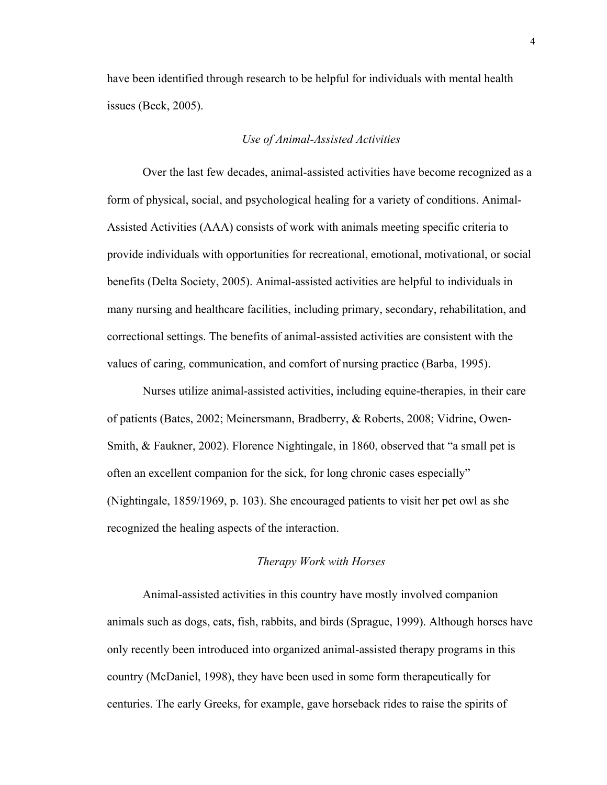have been identified through research to be helpful for individuals with mental health issues (Beck, 2005).

#### *Use of Animal-Assisted Activities*

Over the last few decades, animal-assisted activities have become recognized as a form of physical, social, and psychological healing for a variety of conditions. Animal-Assisted Activities (AAA) consists of work with animals meeting specific criteria to provide individuals with opportunities for recreational, emotional, motivational, or social benefits (Delta Society, 2005). Animal-assisted activities are helpful to individuals in many nursing and healthcare facilities, including primary, secondary, rehabilitation, and correctional settings. The benefits of animal-assisted activities are consistent with the values of caring, communication, and comfort of nursing practice (Barba, 1995).

Nurses utilize animal-assisted activities, including equine-therapies, in their care of patients (Bates, 2002; Meinersmann, Bradberry, & Roberts, 2008; Vidrine, Owen-Smith, & Faukner, 2002). Florence Nightingale, in 1860, observed that "a small pet is often an excellent companion for the sick, for long chronic cases especially" (Nightingale, 1859/1969, p. 103). She encouraged patients to visit her pet owl as she recognized the healing aspects of the interaction.

# *Therapy Work with Horses*

Animal-assisted activities in this country have mostly involved companion animals such as dogs, cats, fish, rabbits, and birds (Sprague, 1999). Although horses have only recently been introduced into organized animal-assisted therapy programs in this country (McDaniel, 1998), they have been used in some form therapeutically for centuries. The early Greeks, for example, gave horseback rides to raise the spirits of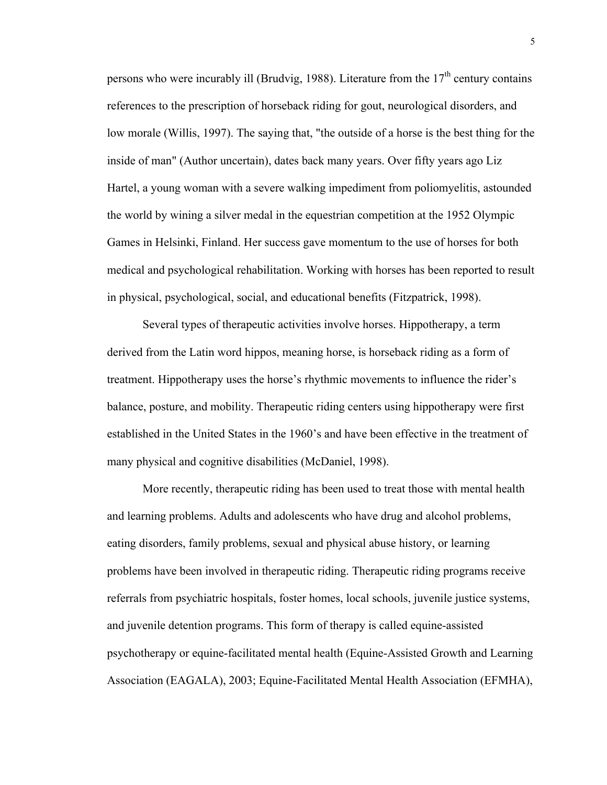persons who were incurably ill (Brudvig, 1988). Literature from the  $17<sup>th</sup>$  century contains references to the prescription of horseback riding for gout, neurological disorders, and low morale (Willis, 1997). The saying that, "the outside of a horse is the best thing for the inside of man" (Author uncertain), dates back many years. Over fifty years ago Liz Hartel, a young woman with a severe walking impediment from poliomyelitis, astounded the world by wining a silver medal in the equestrian competition at the 1952 Olympic Games in Helsinki, Finland. Her success gave momentum to the use of horses for both medical and psychological rehabilitation. Working with horses has been reported to result in physical, psychological, social, and educational benefits (Fitzpatrick, 1998).

Several types of therapeutic activities involve horses. Hippotherapy, a term derived from the Latin word hippos, meaning horse, is horseback riding as a form of treatment. Hippotherapy uses the horse's rhythmic movements to influence the rider's balance, posture, and mobility. Therapeutic riding centers using hippotherapy were first established in the United States in the 1960's and have been effective in the treatment of many physical and cognitive disabilities (McDaniel, 1998).

More recently, therapeutic riding has been used to treat those with mental health and learning problems. Adults and adolescents who have drug and alcohol problems, eating disorders, family problems, sexual and physical abuse history, or learning problems have been involved in therapeutic riding. Therapeutic riding programs receive referrals from psychiatric hospitals, foster homes, local schools, juvenile justice systems, and juvenile detention programs. This form of therapy is called equine-assisted psychotherapy or equine-facilitated mental health (Equine-Assisted Growth and Learning Association (EAGALA), 2003; Equine-Facilitated Mental Health Association (EFMHA),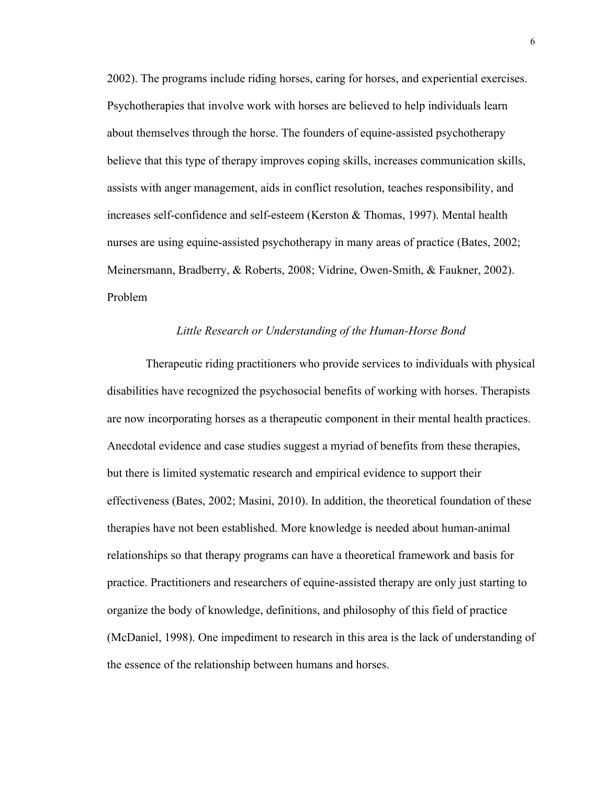2002). The programs include riding horses, caring for horses, and experiential exercises. Psychotherapies that involve work with horses are believed to help individuals learn about themselves through the horse. The founders of equine-assisted psychotherapy believe that this type of therapy improves coping skills, increases communication skills, assists with anger management, aids in conflict resolution, teaches responsibility, and increases self-confidence and self-esteem (Kerston & Thomas, 1997). Mental health nurses are using equine-assisted psychotherapy in many areas of practice (Bates, 2002; Meinersmann, Bradberry, & Roberts, 2008; Vidrine, Owen-Smith, & Faukner, 2002). Problem

#### *Little Research or Understanding of the Human-Horse Bond*

 Therapeutic riding practitioners who provide services to individuals with physical disabilities have recognized the psychosocial benefits of working with horses. Therapists are now incorporating horses as a therapeutic component in their mental health practices. Anecdotal evidence and case studies suggest a myriad of benefits from these therapies, but there is limited systematic research and empirical evidence to support their effectiveness (Bates, 2002; Masini, 2010). In addition, the theoretical foundation of these therapies have not been established. More knowledge is needed about human-animal relationships so that therapy programs can have a theoretical framework and basis for practice. Practitioners and researchers of equine-assisted therapy are only just starting to organize the body of knowledge, definitions, and philosophy of this field of practice (McDaniel, 1998). One impediment to research in this area is the lack of understanding of the essence of the relationship between humans and horses.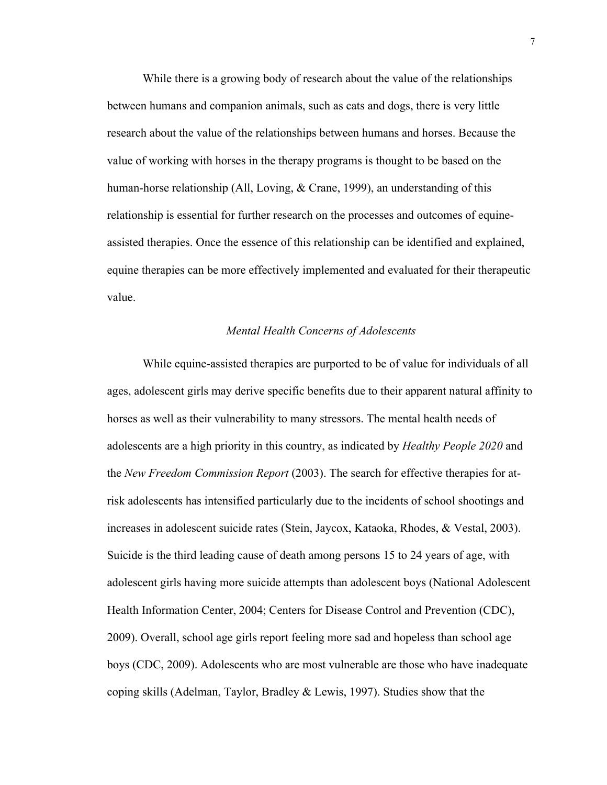While there is a growing body of research about the value of the relationships between humans and companion animals, such as cats and dogs, there is very little research about the value of the relationships between humans and horses. Because the value of working with horses in the therapy programs is thought to be based on the human-horse relationship (All, Loving, & Crane, 1999), an understanding of this relationship is essential for further research on the processes and outcomes of equineassisted therapies. Once the essence of this relationship can be identified and explained, equine therapies can be more effectively implemented and evaluated for their therapeutic value.

#### *Mental Health Concerns of Adolescents*

While equine-assisted therapies are purported to be of value for individuals of all ages, adolescent girls may derive specific benefits due to their apparent natural affinity to horses as well as their vulnerability to many stressors. The mental health needs of adolescents are a high priority in this country, as indicated by *Healthy People 2020* and the *New Freedom Commission Report* (2003). The search for effective therapies for atrisk adolescents has intensified particularly due to the incidents of school shootings and increases in adolescent suicide rates (Stein, Jaycox, Kataoka, Rhodes, & Vestal, 2003). Suicide is the third leading cause of death among persons 15 to 24 years of age, with adolescent girls having more suicide attempts than adolescent boys (National Adolescent Health Information Center, 2004; Centers for Disease Control and Prevention (CDC), 2009). Overall, school age girls report feeling more sad and hopeless than school age boys (CDC, 2009). Adolescents who are most vulnerable are those who have inadequate coping skills (Adelman, Taylor, Bradley & Lewis, 1997). Studies show that the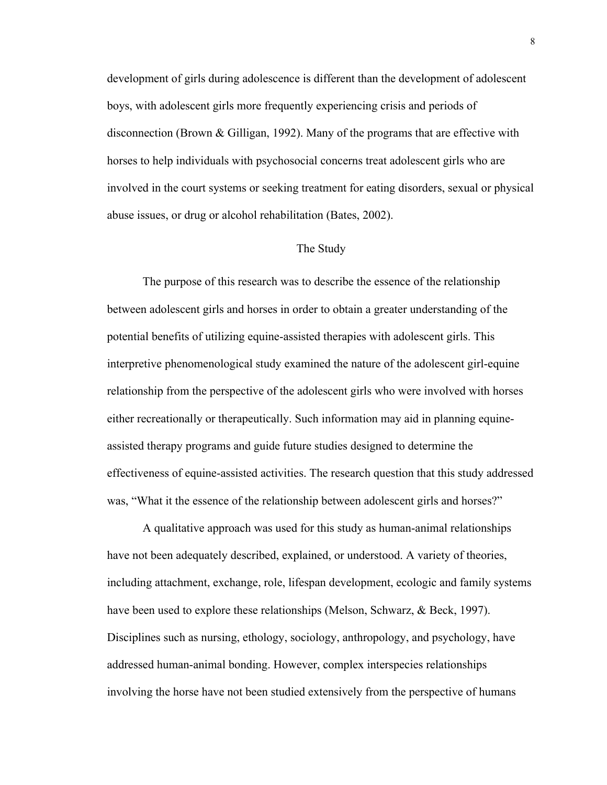development of girls during adolescence is different than the development of adolescent boys, with adolescent girls more frequently experiencing crisis and periods of disconnection (Brown & Gilligan, 1992). Many of the programs that are effective with horses to help individuals with psychosocial concerns treat adolescent girls who are involved in the court systems or seeking treatment for eating disorders, sexual or physical abuse issues, or drug or alcohol rehabilitation (Bates, 2002).

#### The Study

The purpose of this research was to describe the essence of the relationship between adolescent girls and horses in order to obtain a greater understanding of the potential benefits of utilizing equine-assisted therapies with adolescent girls. This interpretive phenomenological study examined the nature of the adolescent girl-equine relationship from the perspective of the adolescent girls who were involved with horses either recreationally or therapeutically. Such information may aid in planning equineassisted therapy programs and guide future studies designed to determine the effectiveness of equine-assisted activities. The research question that this study addressed was, "What it the essence of the relationship between adolescent girls and horses?"

A qualitative approach was used for this study as human-animal relationships have not been adequately described, explained, or understood. A variety of theories, including attachment, exchange, role, lifespan development, ecologic and family systems have been used to explore these relationships (Melson, Schwarz, & Beck, 1997). Disciplines such as nursing, ethology, sociology, anthropology, and psychology, have addressed human-animal bonding. However, complex interspecies relationships involving the horse have not been studied extensively from the perspective of humans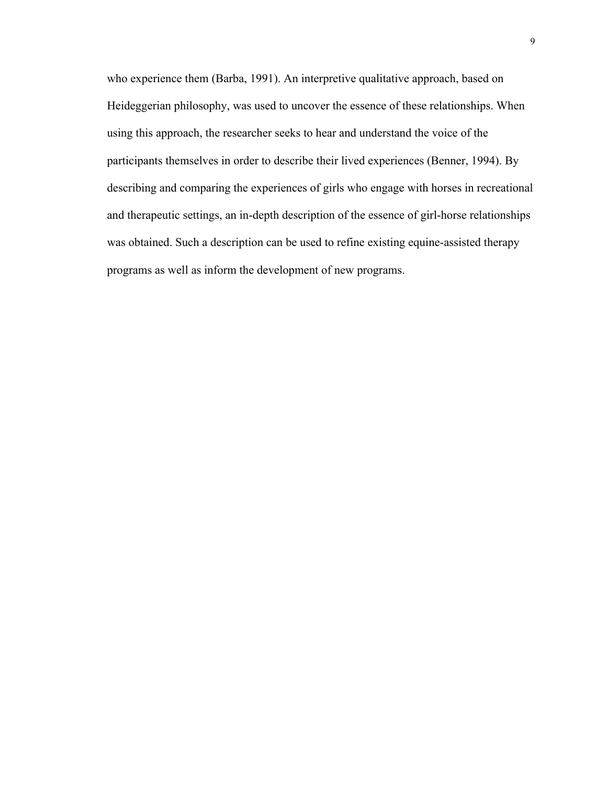who experience them (Barba, 1991). An interpretive qualitative approach, based on Heideggerian philosophy, was used to uncover the essence of these relationships. When using this approach, the researcher seeks to hear and understand the voice of the participants themselves in order to describe their lived experiences (Benner, 1994). By describing and comparing the experiences of girls who engage with horses in recreational and therapeutic settings, an in-depth description of the essence of girl-horse relationships was obtained. Such a description can be used to refine existing equine-assisted therapy programs as well as inform the development of new programs.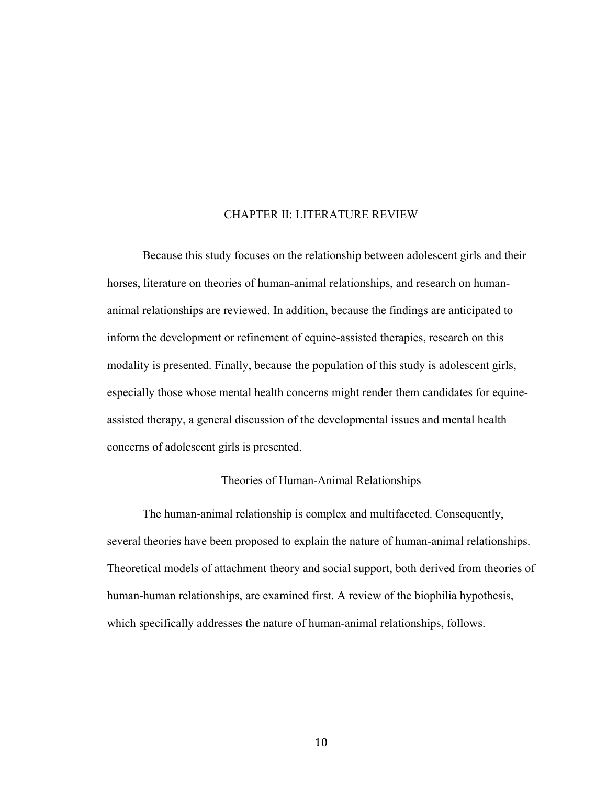## CHAPTER II: LITERATURE REVIEW

Because this study focuses on the relationship between adolescent girls and their horses, literature on theories of human-animal relationships, and research on humananimal relationships are reviewed. In addition, because the findings are anticipated to inform the development or refinement of equine-assisted therapies, research on this modality is presented. Finally, because the population of this study is adolescent girls, especially those whose mental health concerns might render them candidates for equineassisted therapy, a general discussion of the developmental issues and mental health concerns of adolescent girls is presented.

#### Theories of Human-Animal Relationships

The human-animal relationship is complex and multifaceted. Consequently, several theories have been proposed to explain the nature of human-animal relationships. Theoretical models of attachment theory and social support, both derived from theories of human-human relationships, are examined first. A review of the biophilia hypothesis, which specifically addresses the nature of human-animal relationships, follows.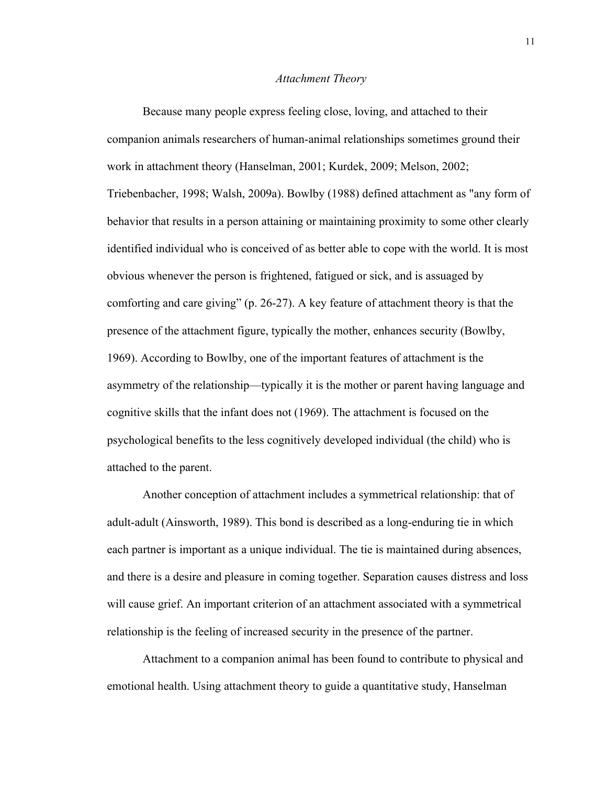#### *Attachment Theory*

Because many people express feeling close, loving, and attached to their companion animals researchers of human-animal relationships sometimes ground their work in attachment theory (Hanselman, 2001; Kurdek, 2009; Melson, 2002; Triebenbacher, 1998; Walsh, 2009a). Bowlby (1988) defined attachment as "any form of behavior that results in a person attaining or maintaining proximity to some other clearly identified individual who is conceived of as better able to cope with the world. It is most obvious whenever the person is frightened, fatigued or sick, and is assuaged by comforting and care giving" (p. 26-27). A key feature of attachment theory is that the presence of the attachment figure, typically the mother, enhances security (Bowlby, 1969). According to Bowlby, one of the important features of attachment is the asymmetry of the relationship—typically it is the mother or parent having language and cognitive skills that the infant does not (1969). The attachment is focused on the psychological benefits to the less cognitively developed individual (the child) who is attached to the parent.

Another conception of attachment includes a symmetrical relationship: that of adult-adult (Ainsworth, 1989). This bond is described as a long-enduring tie in which each partner is important as a unique individual. The tie is maintained during absences, and there is a desire and pleasure in coming together. Separation causes distress and loss will cause grief. An important criterion of an attachment associated with a symmetrical relationship is the feeling of increased security in the presence of the partner.

Attachment to a companion animal has been found to contribute to physical and emotional health. Using attachment theory to guide a quantitative study, Hanselman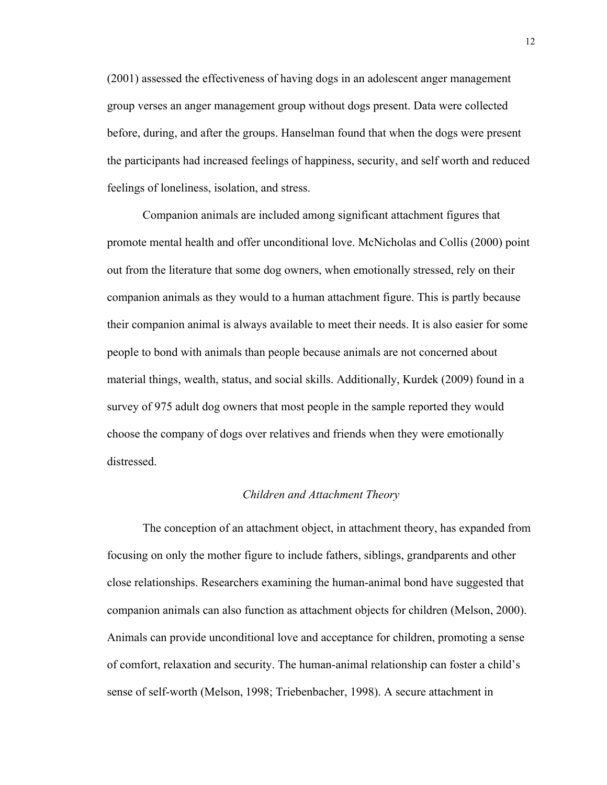(2001) assessed the effectiveness of having dogs in an adolescent anger management group verses an anger management group without dogs present. Data were collected before, during, and after the groups. Hanselman found that when the dogs were present the participants had increased feelings of happiness, security, and self worth and reduced feelings of loneliness, isolation, and stress.

Companion animals are included among significant attachment figures that promote mental health and offer unconditional love. McNicholas and Collis (2000) point out from the literature that some dog owners, when emotionally stressed, rely on their companion animals as they would to a human attachment figure. This is partly because their companion animal is always available to meet their needs. It is also easier for some people to bond with animals than people because animals are not concerned about material things, wealth, status, and social skills. Additionally, Kurdek (2009) found in a survey of 975 adult dog owners that most people in the sample reported they would choose the company of dogs over relatives and friends when they were emotionally distressed.

#### *Children and Attachment Theory*

The conception of an attachment object, in attachment theory, has expanded from focusing on only the mother figure to include fathers, siblings, grandparents and other close relationships. Researchers examining the human-animal bond have suggested that companion animals can also function as attachment objects for children (Melson, 2000). Animals can provide unconditional love and acceptance for children, promoting a sense of comfort, relaxation and security. The human-animal relationship can foster a child's sense of self-worth (Melson, 1998; Triebenbacher, 1998). A secure attachment in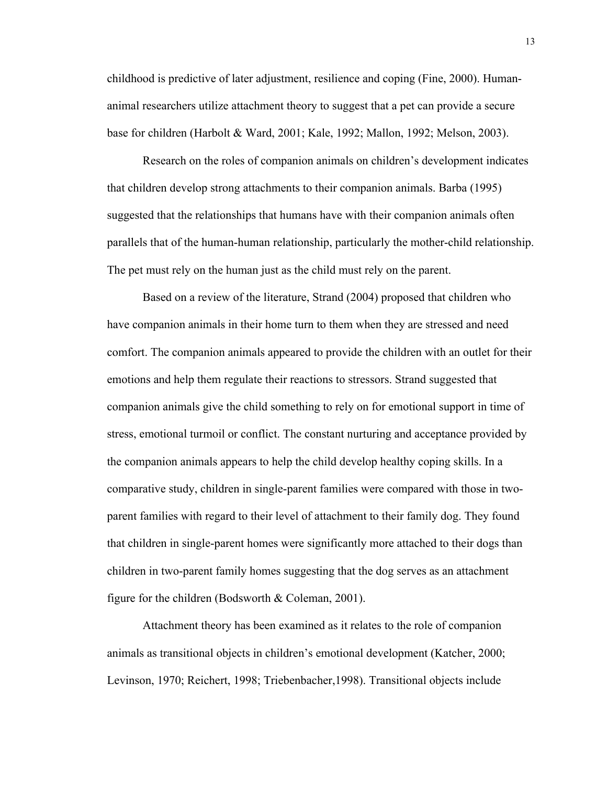childhood is predictive of later adjustment, resilience and coping (Fine, 2000). Humananimal researchers utilize attachment theory to suggest that a pet can provide a secure base for children (Harbolt & Ward, 2001; Kale, 1992; Mallon, 1992; Melson, 2003).

Research on the roles of companion animals on children's development indicates that children develop strong attachments to their companion animals. Barba (1995) suggested that the relationships that humans have with their companion animals often parallels that of the human-human relationship, particularly the mother-child relationship. The pet must rely on the human just as the child must rely on the parent.

Based on a review of the literature, Strand (2004) proposed that children who have companion animals in their home turn to them when they are stressed and need comfort. The companion animals appeared to provide the children with an outlet for their emotions and help them regulate their reactions to stressors. Strand suggested that companion animals give the child something to rely on for emotional support in time of stress, emotional turmoil or conflict. The constant nurturing and acceptance provided by the companion animals appears to help the child develop healthy coping skills. In a comparative study, children in single-parent families were compared with those in twoparent families with regard to their level of attachment to their family dog. They found that children in single-parent homes were significantly more attached to their dogs than children in two-parent family homes suggesting that the dog serves as an attachment figure for the children (Bodsworth & Coleman, 2001).

Attachment theory has been examined as it relates to the role of companion animals as transitional objects in children's emotional development (Katcher, 2000; Levinson, 1970; Reichert, 1998; Triebenbacher,1998). Transitional objects include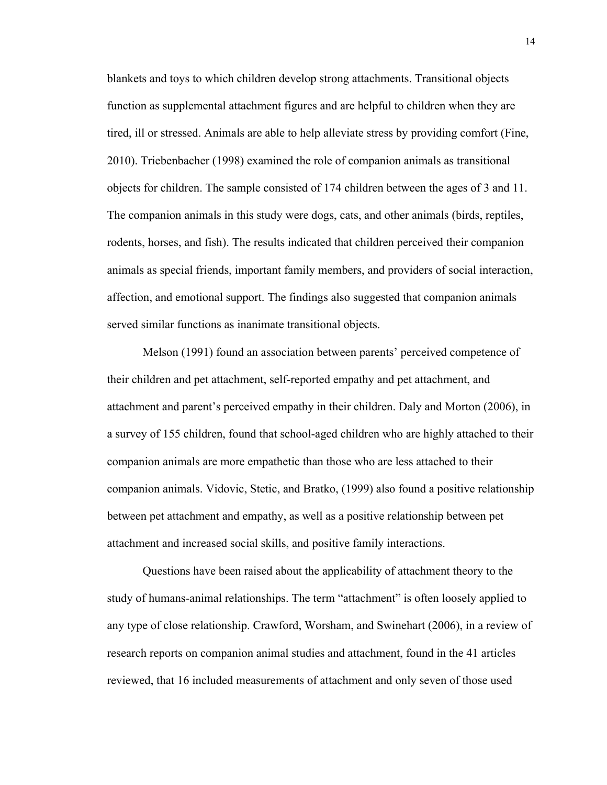blankets and toys to which children develop strong attachments. Transitional objects function as supplemental attachment figures and are helpful to children when they are tired, ill or stressed. Animals are able to help alleviate stress by providing comfort (Fine, 2010). Triebenbacher (1998) examined the role of companion animals as transitional objects for children. The sample consisted of 174 children between the ages of 3 and 11. The companion animals in this study were dogs, cats, and other animals (birds, reptiles, rodents, horses, and fish). The results indicated that children perceived their companion animals as special friends, important family members, and providers of social interaction, affection, and emotional support. The findings also suggested that companion animals served similar functions as inanimate transitional objects.

Melson (1991) found an association between parents' perceived competence of their children and pet attachment, self-reported empathy and pet attachment, and attachment and parent's perceived empathy in their children. Daly and Morton (2006), in a survey of 155 children, found that school-aged children who are highly attached to their companion animals are more empathetic than those who are less attached to their companion animals. Vidovic, Stetic, and Bratko, (1999) also found a positive relationship between pet attachment and empathy, as well as a positive relationship between pet attachment and increased social skills, and positive family interactions.

Questions have been raised about the applicability of attachment theory to the study of humans-animal relationships. The term "attachment" is often loosely applied to any type of close relationship. Crawford, Worsham, and Swinehart (2006), in a review of research reports on companion animal studies and attachment, found in the 41 articles reviewed, that 16 included measurements of attachment and only seven of those used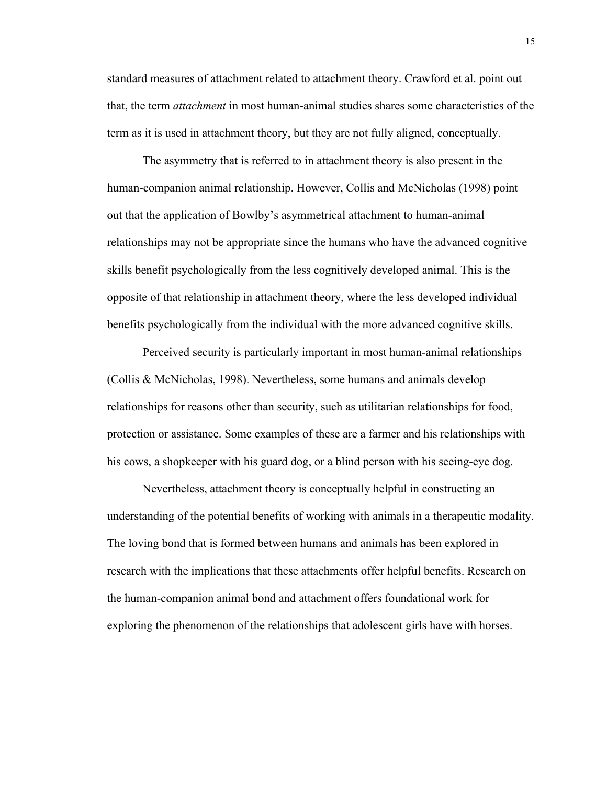standard measures of attachment related to attachment theory. Crawford et al. point out that, the term *attachment* in most human-animal studies shares some characteristics of the term as it is used in attachment theory, but they are not fully aligned, conceptually.

The asymmetry that is referred to in attachment theory is also present in the human-companion animal relationship. However, Collis and McNicholas (1998) point out that the application of Bowlby's asymmetrical attachment to human-animal relationships may not be appropriate since the humans who have the advanced cognitive skills benefit psychologically from the less cognitively developed animal. This is the opposite of that relationship in attachment theory, where the less developed individual benefits psychologically from the individual with the more advanced cognitive skills.

Perceived security is particularly important in most human-animal relationships (Collis & McNicholas, 1998). Nevertheless, some humans and animals develop relationships for reasons other than security, such as utilitarian relationships for food, protection or assistance. Some examples of these are a farmer and his relationships with his cows, a shopkeeper with his guard dog, or a blind person with his seeing-eye dog.

Nevertheless, attachment theory is conceptually helpful in constructing an understanding of the potential benefits of working with animals in a therapeutic modality. The loving bond that is formed between humans and animals has been explored in research with the implications that these attachments offer helpful benefits. Research on the human-companion animal bond and attachment offers foundational work for exploring the phenomenon of the relationships that adolescent girls have with horses.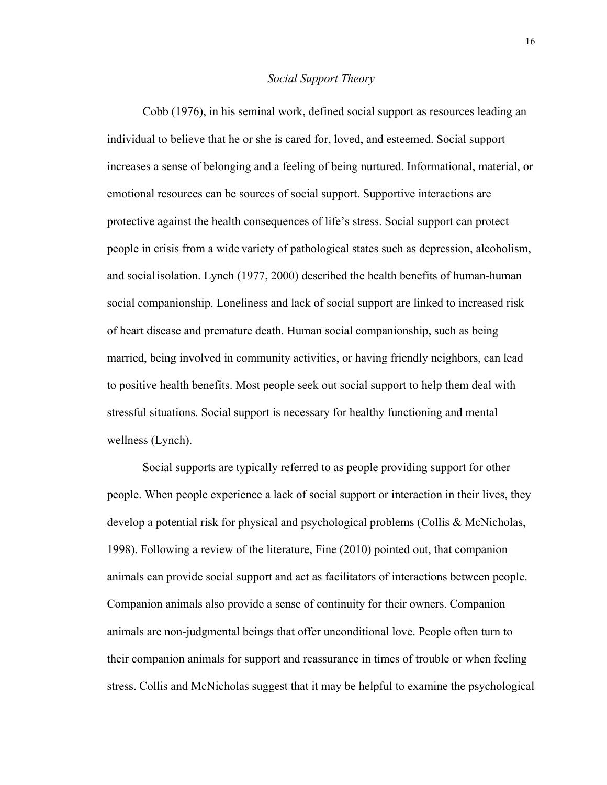#### *Social Support Theory*

Cobb (1976), in his seminal work, defined social support as resources leading an individual to believe that he or she is cared for, loved, and esteemed. Social support increases a sense of belonging and a feeling of being nurtured. Informational, material, or emotional resources can be sources of social support. Supportive interactions are protective against the health consequences of life's stress. Social support can protect people in crisis from a wide variety of pathological states such as depression, alcoholism, and social isolation. Lynch (1977, 2000) described the health benefits of human-human social companionship. Loneliness and lack of social support are linked to increased risk of heart disease and premature death. Human social companionship, such as being married, being involved in community activities, or having friendly neighbors, can lead to positive health benefits. Most people seek out social support to help them deal with stressful situations. Social support is necessary for healthy functioning and mental wellness (Lynch).

Social supports are typically referred to as people providing support for other people. When people experience a lack of social support or interaction in their lives, they develop a potential risk for physical and psychological problems (Collis & McNicholas, 1998). Following a review of the literature, Fine (2010) pointed out, that companion animals can provide social support and act as facilitators of interactions between people. Companion animals also provide a sense of continuity for their owners. Companion animals are non-judgmental beings that offer unconditional love. People often turn to their companion animals for support and reassurance in times of trouble or when feeling stress. Collis and McNicholas suggest that it may be helpful to examine the psychological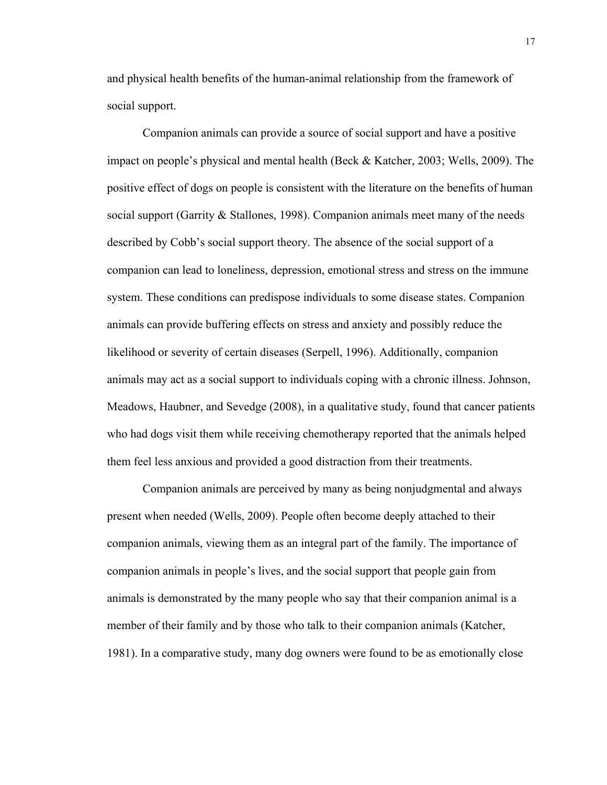and physical health benefits of the human-animal relationship from the framework of social support.

Companion animals can provide a source of social support and have a positive impact on people's physical and mental health (Beck & Katcher, 2003; Wells, 2009). The positive effect of dogs on people is consistent with the literature on the benefits of human social support (Garrity & Stallones, 1998). Companion animals meet many of the needs described by Cobb's social support theory. The absence of the social support of a companion can lead to loneliness, depression, emotional stress and stress on the immune system. These conditions can predispose individuals to some disease states. Companion animals can provide buffering effects on stress and anxiety and possibly reduce the likelihood or severity of certain diseases (Serpell, 1996). Additionally, companion animals may act as a social support to individuals coping with a chronic illness. Johnson, Meadows, Haubner, and Sevedge (2008), in a qualitative study, found that cancer patients who had dogs visit them while receiving chemotherapy reported that the animals helped them feel less anxious and provided a good distraction from their treatments.

Companion animals are perceived by many as being nonjudgmental and always present when needed (Wells, 2009). People often become deeply attached to their companion animals, viewing them as an integral part of the family. The importance of companion animals in people's lives, and the social support that people gain from animals is demonstrated by the many people who say that their companion animal is a member of their family and by those who talk to their companion animals (Katcher, 1981). In a comparative study, many dog owners were found to be as emotionally close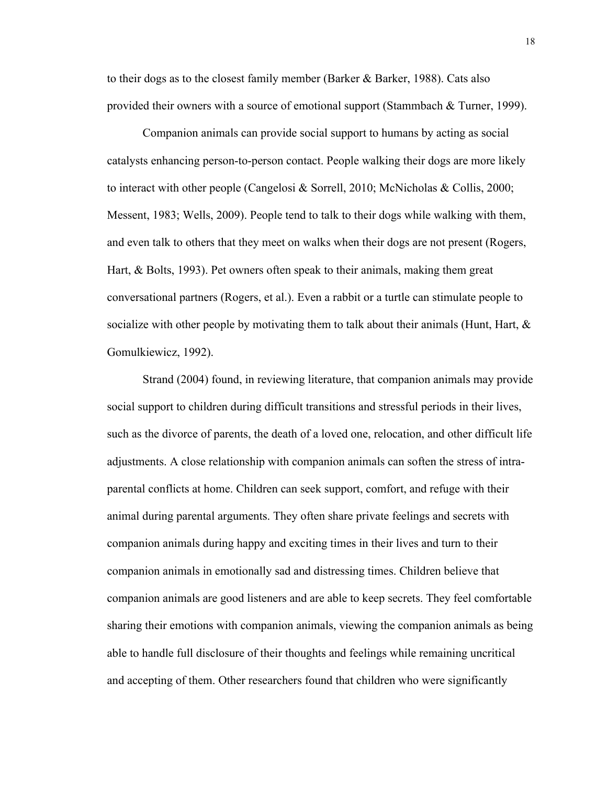to their dogs as to the closest family member (Barker & Barker, 1988). Cats also provided their owners with a source of emotional support (Stammbach & Turner, 1999).

Companion animals can provide social support to humans by acting as social catalysts enhancing person-to-person contact. People walking their dogs are more likely to interact with other people (Cangelosi & Sorrell, 2010; McNicholas & Collis, 2000; Messent, 1983; Wells, 2009). People tend to talk to their dogs while walking with them, and even talk to others that they meet on walks when their dogs are not present (Rogers, Hart, & Bolts, 1993). Pet owners often speak to their animals, making them great conversational partners (Rogers, et al.). Even a rabbit or a turtle can stimulate people to socialize with other people by motivating them to talk about their animals (Hunt, Hart,  $\&$ Gomulkiewicz, 1992).

Strand (2004) found, in reviewing literature, that companion animals may provide social support to children during difficult transitions and stressful periods in their lives, such as the divorce of parents, the death of a loved one, relocation, and other difficult life adjustments. A close relationship with companion animals can soften the stress of intraparental conflicts at home. Children can seek support, comfort, and refuge with their animal during parental arguments. They often share private feelings and secrets with companion animals during happy and exciting times in their lives and turn to their companion animals in emotionally sad and distressing times. Children believe that companion animals are good listeners and are able to keep secrets. They feel comfortable sharing their emotions with companion animals, viewing the companion animals as being able to handle full disclosure of their thoughts and feelings while remaining uncritical and accepting of them. Other researchers found that children who were significantly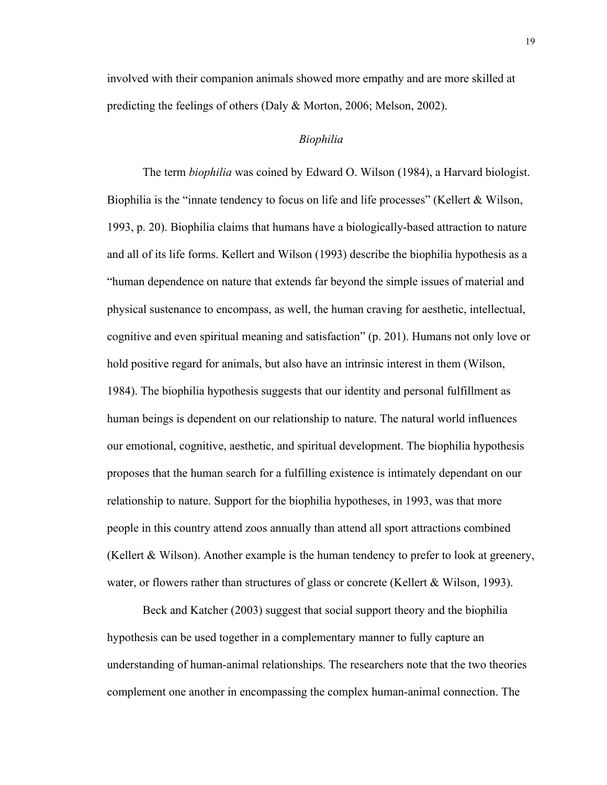involved with their companion animals showed more empathy and are more skilled at predicting the feelings of others (Daly & Morton, 2006; Melson, 2002).

#### *Biophilia*

The term *biophilia* was coined by Edward O. Wilson (1984), a Harvard biologist. Biophilia is the "innate tendency to focus on life and life processes" (Kellert & Wilson, 1993, p. 20). Biophilia claims that humans have a biologically-based attraction to nature and all of its life forms. Kellert and Wilson (1993) describe the biophilia hypothesis as a "human dependence on nature that extends far beyond the simple issues of material and physical sustenance to encompass, as well, the human craving for aesthetic, intellectual, cognitive and even spiritual meaning and satisfaction" (p. 201). Humans not only love or hold positive regard for animals, but also have an intrinsic interest in them (Wilson, 1984). The biophilia hypothesis suggests that our identity and personal fulfillment as human beings is dependent on our relationship to nature. The natural world influences our emotional, cognitive, aesthetic, and spiritual development. The biophilia hypothesis proposes that the human search for a fulfilling existence is intimately dependant on our relationship to nature. Support for the biophilia hypotheses, in 1993, was that more people in this country attend zoos annually than attend all sport attractions combined (Kellert & Wilson). Another example is the human tendency to prefer to look at greenery, water, or flowers rather than structures of glass or concrete (Kellert & Wilson, 1993).

Beck and Katcher (2003) suggest that social support theory and the biophilia hypothesis can be used together in a complementary manner to fully capture an understanding of human-animal relationships. The researchers note that the two theories complement one another in encompassing the complex human-animal connection. The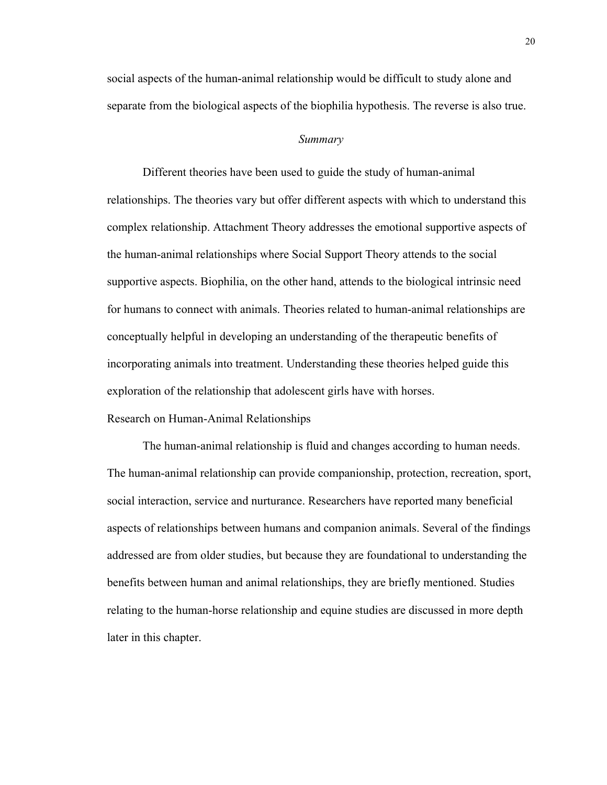social aspects of the human-animal relationship would be difficult to study alone and separate from the biological aspects of the biophilia hypothesis. The reverse is also true.

#### *Summary*

Different theories have been used to guide the study of human-animal relationships. The theories vary but offer different aspects with which to understand this complex relationship. Attachment Theory addresses the emotional supportive aspects of the human-animal relationships where Social Support Theory attends to the social supportive aspects. Biophilia, on the other hand, attends to the biological intrinsic need for humans to connect with animals. Theories related to human-animal relationships are conceptually helpful in developing an understanding of the therapeutic benefits of incorporating animals into treatment. Understanding these theories helped guide this exploration of the relationship that adolescent girls have with horses. Research on Human-Animal Relationships

The human-animal relationship is fluid and changes according to human needs. The human-animal relationship can provide companionship, protection, recreation, sport, social interaction, service and nurturance. Researchers have reported many beneficial aspects of relationships between humans and companion animals. Several of the findings addressed are from older studies, but because they are foundational to understanding the benefits between human and animal relationships, they are briefly mentioned. Studies relating to the human-horse relationship and equine studies are discussed in more depth later in this chapter.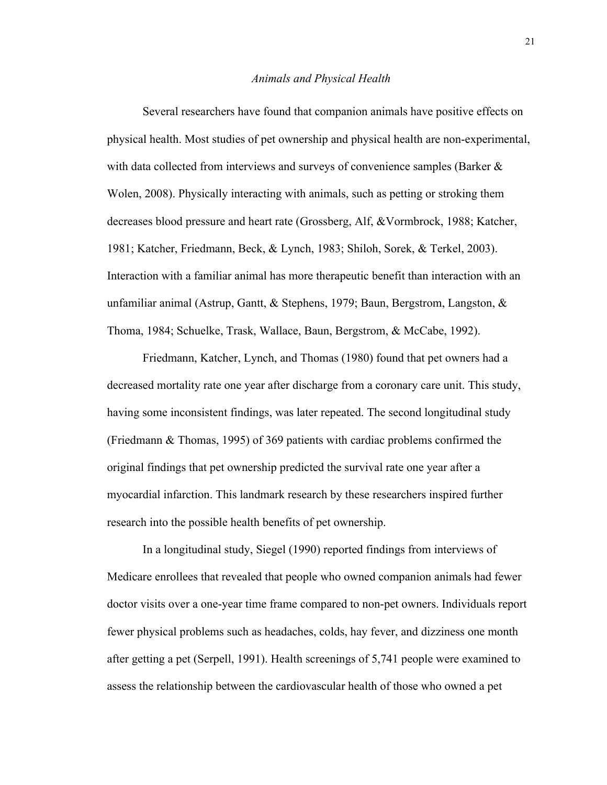#### *Animals and Physical Health*

Several researchers have found that companion animals have positive effects on physical health. Most studies of pet ownership and physical health are non-experimental, with data collected from interviews and surveys of convenience samples (Barker & Wolen, 2008). Physically interacting with animals, such as petting or stroking them decreases blood pressure and heart rate (Grossberg, Alf, &Vormbrock, 1988; Katcher, 1981; Katcher, Friedmann, Beck, & Lynch, 1983; Shiloh, Sorek, & Terkel, 2003). Interaction with a familiar animal has more therapeutic benefit than interaction with an unfamiliar animal (Astrup, Gantt,  $\&$  Stephens, 1979; Baun, Bergstrom, Langston,  $\&$ Thoma, 1984; Schuelke, Trask, Wallace, Baun, Bergstrom, & McCabe, 1992).

Friedmann, Katcher, Lynch, and Thomas (1980) found that pet owners had a decreased mortality rate one year after discharge from a coronary care unit. This study, having some inconsistent findings, was later repeated. The second longitudinal study (Friedmann & Thomas, 1995) of 369 patients with cardiac problems confirmed the original findings that pet ownership predicted the survival rate one year after a myocardial infarction. This landmark research by these researchers inspired further research into the possible health benefits of pet ownership.

In a longitudinal study, Siegel (1990) reported findings from interviews of Medicare enrollees that revealed that people who owned companion animals had fewer doctor visits over a one-year time frame compared to non-pet owners. Individuals report fewer physical problems such as headaches, colds, hay fever, and dizziness one month after getting a pet (Serpell, 1991). Health screenings of 5,741 people were examined to assess the relationship between the cardiovascular health of those who owned a pet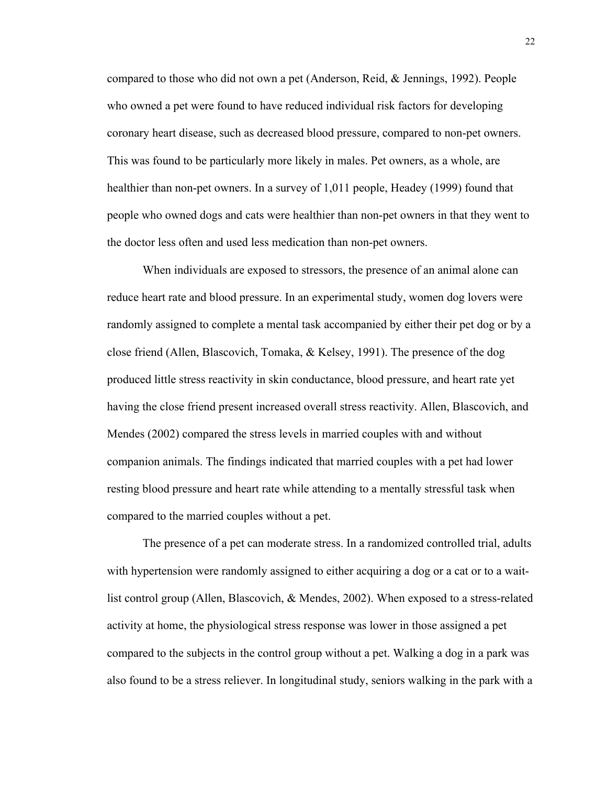compared to those who did not own a pet (Anderson, Reid, & Jennings, 1992). People who owned a pet were found to have reduced individual risk factors for developing coronary heart disease, such as decreased blood pressure, compared to non-pet owners. This was found to be particularly more likely in males. Pet owners, as a whole, are healthier than non-pet owners. In a survey of 1,011 people, Headey (1999) found that people who owned dogs and cats were healthier than non-pet owners in that they went to the doctor less often and used less medication than non-pet owners.

When individuals are exposed to stressors, the presence of an animal alone can reduce heart rate and blood pressure. In an experimental study, women dog lovers were randomly assigned to complete a mental task accompanied by either their pet dog or by a close friend (Allen, Blascovich, Tomaka, & Kelsey, 1991). The presence of the dog produced little stress reactivity in skin conductance, blood pressure, and heart rate yet having the close friend present increased overall stress reactivity. Allen, Blascovich, and Mendes (2002) compared the stress levels in married couples with and without companion animals. The findings indicated that married couples with a pet had lower resting blood pressure and heart rate while attending to a mentally stressful task when compared to the married couples without a pet.

The presence of a pet can moderate stress. In a randomized controlled trial, adults with hypertension were randomly assigned to either acquiring a dog or a cat or to a waitlist control group (Allen, Blascovich, & Mendes, 2002). When exposed to a stress-related activity at home, the physiological stress response was lower in those assigned a pet compared to the subjects in the control group without a pet. Walking a dog in a park was also found to be a stress reliever. In longitudinal study, seniors walking in the park with a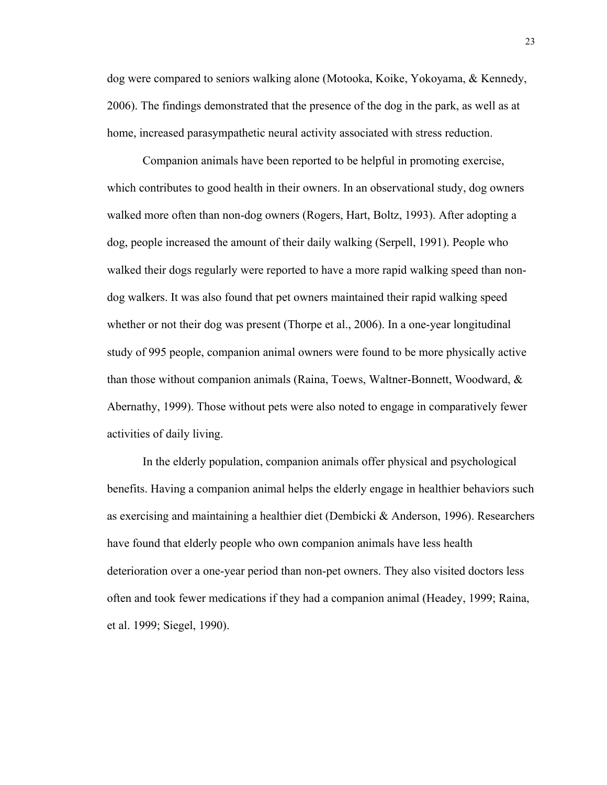dog were compared to seniors walking alone (Motooka, Koike, Yokoyama, & Kennedy, 2006). The findings demonstrated that the presence of the dog in the park, as well as at home, increased parasympathetic neural activity associated with stress reduction.

Companion animals have been reported to be helpful in promoting exercise, which contributes to good health in their owners. In an observational study, dog owners walked more often than non-dog owners (Rogers, Hart, Boltz, 1993). After adopting a dog, people increased the amount of their daily walking (Serpell, 1991). People who walked their dogs regularly were reported to have a more rapid walking speed than nondog walkers. It was also found that pet owners maintained their rapid walking speed whether or not their dog was present (Thorpe et al., 2006). In a one-year longitudinal study of 995 people, companion animal owners were found to be more physically active than those without companion animals (Raina, Toews, Waltner-Bonnett, Woodward, & Abernathy, 1999). Those without pets were also noted to engage in comparatively fewer activities of daily living.

In the elderly population, companion animals offer physical and psychological benefits. Having a companion animal helps the elderly engage in healthier behaviors such as exercising and maintaining a healthier diet (Dembicki & Anderson, 1996). Researchers have found that elderly people who own companion animals have less health deterioration over a one-year period than non-pet owners. They also visited doctors less often and took fewer medications if they had a companion animal (Headey, 1999; Raina, et al. 1999; Siegel, 1990).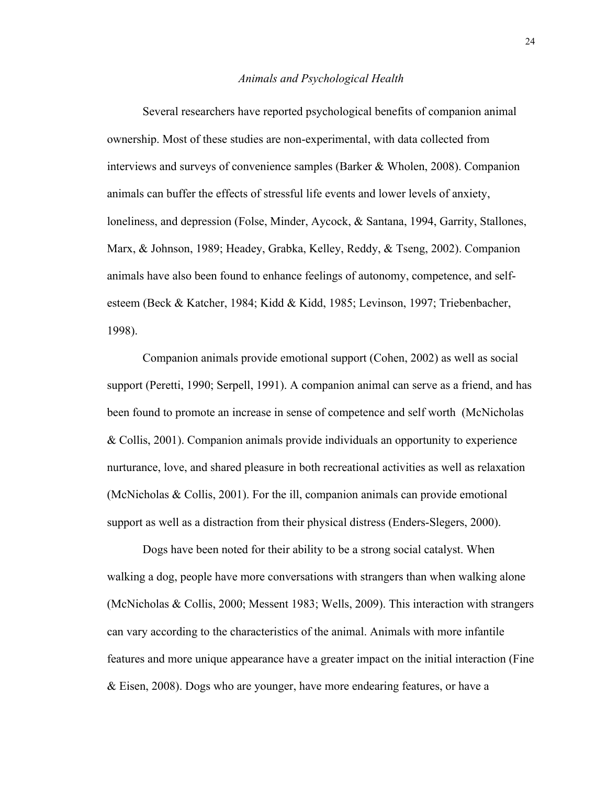#### *Animals and Psychological Health*

Several researchers have reported psychological benefits of companion animal ownership. Most of these studies are non-experimental, with data collected from interviews and surveys of convenience samples (Barker & Wholen, 2008). Companion animals can buffer the effects of stressful life events and lower levels of anxiety, loneliness, and depression (Folse, Minder, Aycock, & Santana, 1994, Garrity, Stallones, Marx, & Johnson, 1989; Headey, Grabka, Kelley, Reddy, & Tseng, 2002). Companion animals have also been found to enhance feelings of autonomy, competence, and selfesteem (Beck & Katcher, 1984; Kidd & Kidd, 1985; Levinson, 1997; Triebenbacher, 1998).

Companion animals provide emotional support (Cohen, 2002) as well as social support (Peretti, 1990; Serpell, 1991). A companion animal can serve as a friend, and has been found to promote an increase in sense of competence and self worth (McNicholas & Collis, 2001). Companion animals provide individuals an opportunity to experience nurturance, love, and shared pleasure in both recreational activities as well as relaxation (McNicholas & Collis, 2001). For the ill, companion animals can provide emotional support as well as a distraction from their physical distress (Enders-Slegers, 2000).

Dogs have been noted for their ability to be a strong social catalyst. When walking a dog, people have more conversations with strangers than when walking alone (McNicholas & Collis, 2000; Messent 1983; Wells, 2009). This interaction with strangers can vary according to the characteristics of the animal. Animals with more infantile features and more unique appearance have a greater impact on the initial interaction (Fine & Eisen, 2008). Dogs who are younger, have more endearing features, or have a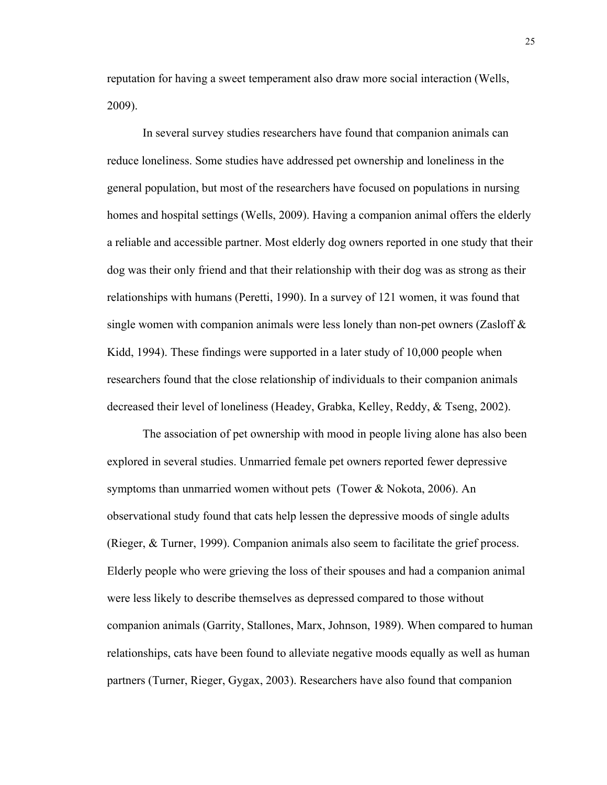reputation for having a sweet temperament also draw more social interaction (Wells, 2009).

In several survey studies researchers have found that companion animals can reduce loneliness. Some studies have addressed pet ownership and loneliness in the general population, but most of the researchers have focused on populations in nursing homes and hospital settings (Wells, 2009). Having a companion animal offers the elderly a reliable and accessible partner. Most elderly dog owners reported in one study that their dog was their only friend and that their relationship with their dog was as strong as their relationships with humans (Peretti, 1990). In a survey of 121 women, it was found that single women with companion animals were less lonely than non-pet owners (Zasloff  $\&$ Kidd, 1994). These findings were supported in a later study of 10,000 people when researchers found that the close relationship of individuals to their companion animals decreased their level of loneliness (Headey, Grabka, Kelley, Reddy, & Tseng, 2002).

The association of pet ownership with mood in people living alone has also been explored in several studies. Unmarried female pet owners reported fewer depressive symptoms than unmarried women without pets (Tower & Nokota, 2006). An observational study found that cats help lessen the depressive moods of single adults (Rieger, & Turner, 1999). Companion animals also seem to facilitate the grief process. Elderly people who were grieving the loss of their spouses and had a companion animal were less likely to describe themselves as depressed compared to those without companion animals (Garrity, Stallones, Marx, Johnson, 1989). When compared to human relationships, cats have been found to alleviate negative moods equally as well as human partners (Turner, Rieger, Gygax, 2003). Researchers have also found that companion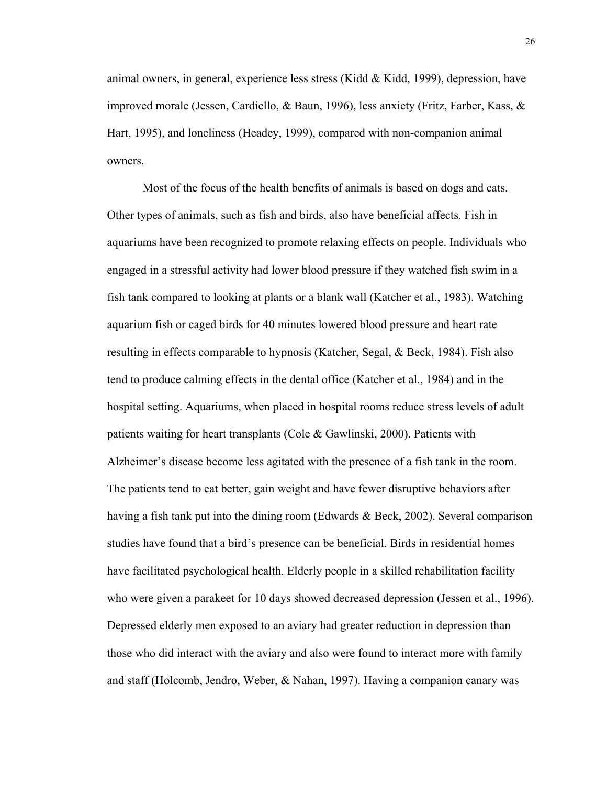animal owners, in general, experience less stress (Kidd  $&$  Kidd, 1999), depression, have improved morale (Jessen, Cardiello, & Baun, 1996), less anxiety (Fritz, Farber, Kass, & Hart, 1995), and loneliness (Headey, 1999), compared with non-companion animal owners.

Most of the focus of the health benefits of animals is based on dogs and cats. Other types of animals, such as fish and birds, also have beneficial affects. Fish in aquariums have been recognized to promote relaxing effects on people. Individuals who engaged in a stressful activity had lower blood pressure if they watched fish swim in a fish tank compared to looking at plants or a blank wall (Katcher et al., 1983). Watching aquarium fish or caged birds for 40 minutes lowered blood pressure and heart rate resulting in effects comparable to hypnosis (Katcher, Segal, & Beck, 1984). Fish also tend to produce calming effects in the dental office (Katcher et al., 1984) and in the hospital setting. Aquariums, when placed in hospital rooms reduce stress levels of adult patients waiting for heart transplants (Cole & Gawlinski, 2000). Patients with Alzheimer's disease become less agitated with the presence of a fish tank in the room. The patients tend to eat better, gain weight and have fewer disruptive behaviors after having a fish tank put into the dining room (Edwards & Beck, 2002). Several comparison studies have found that a bird's presence can be beneficial. Birds in residential homes have facilitated psychological health. Elderly people in a skilled rehabilitation facility who were given a parakeet for 10 days showed decreased depression (Jessen et al., 1996). Depressed elderly men exposed to an aviary had greater reduction in depression than those who did interact with the aviary and also were found to interact more with family and staff (Holcomb, Jendro, Weber, & Nahan, 1997). Having a companion canary was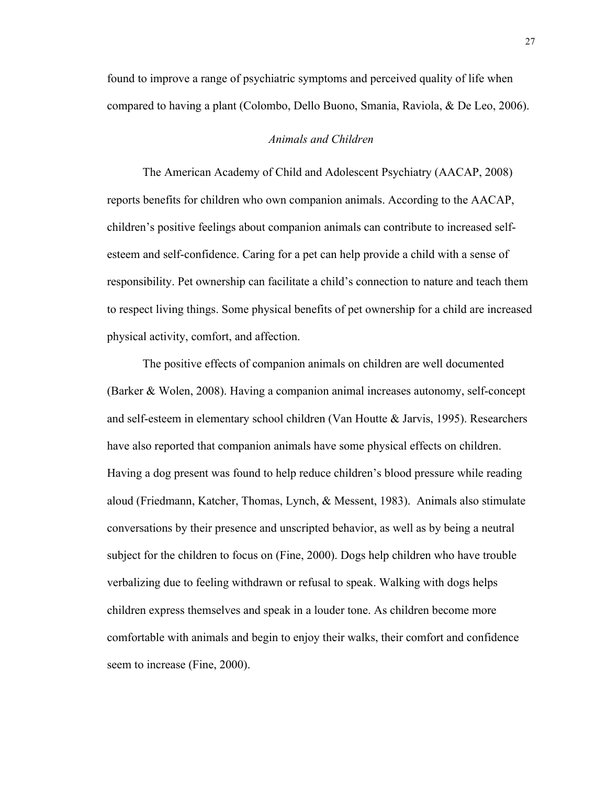found to improve a range of psychiatric symptoms and perceived quality of life when compared to having a plant (Colombo, Dello Buono, Smania, Raviola, & De Leo, 2006).

#### *Animals and Children*

The American Academy of Child and Adolescent Psychiatry (AACAP, 2008) reports benefits for children who own companion animals. According to the AACAP, children's positive feelings about companion animals can contribute to increased selfesteem and self-confidence. Caring for a pet can help provide a child with a sense of responsibility. Pet ownership can facilitate a child's connection to nature and teach them to respect living things. Some physical benefits of pet ownership for a child are increased physical activity, comfort, and affection.

The positive effects of companion animals on children are well documented (Barker & Wolen, 2008). Having a companion animal increases autonomy, self-concept and self-esteem in elementary school children (Van Houtte & Jarvis, 1995). Researchers have also reported that companion animals have some physical effects on children. Having a dog present was found to help reduce children's blood pressure while reading aloud (Friedmann, Katcher, Thomas, Lynch, & Messent, 1983). Animals also stimulate conversations by their presence and unscripted behavior, as well as by being a neutral subject for the children to focus on (Fine, 2000). Dogs help children who have trouble verbalizing due to feeling withdrawn or refusal to speak. Walking with dogs helps children express themselves and speak in a louder tone. As children become more comfortable with animals and begin to enjoy their walks, their comfort and confidence seem to increase (Fine, 2000).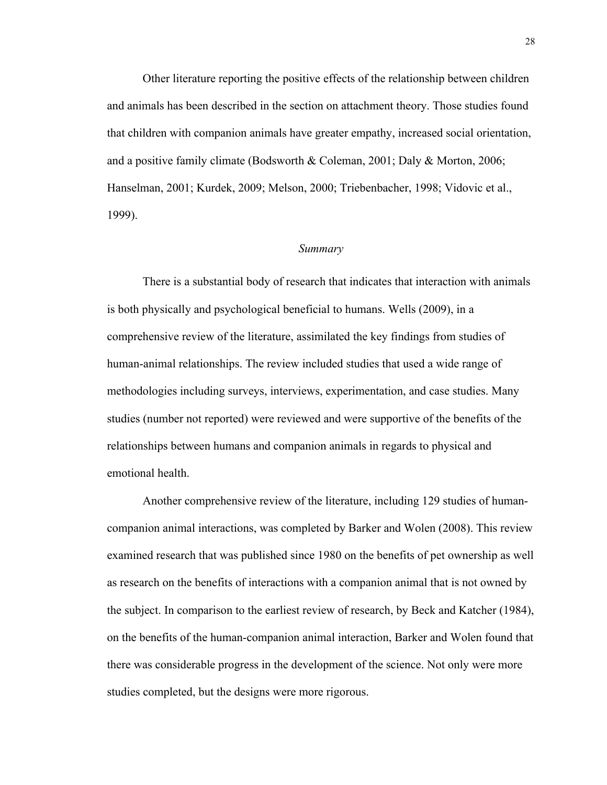Other literature reporting the positive effects of the relationship between children and animals has been described in the section on attachment theory. Those studies found that children with companion animals have greater empathy, increased social orientation, and a positive family climate (Bodsworth & Coleman, 2001; Daly & Morton, 2006; Hanselman, 2001; Kurdek, 2009; Melson, 2000; Triebenbacher, 1998; Vidovic et al., 1999).

#### *Summary*

There is a substantial body of research that indicates that interaction with animals is both physically and psychological beneficial to humans. Wells (2009), in a comprehensive review of the literature, assimilated the key findings from studies of human-animal relationships. The review included studies that used a wide range of methodologies including surveys, interviews, experimentation, and case studies. Many studies (number not reported) were reviewed and were supportive of the benefits of the relationships between humans and companion animals in regards to physical and emotional health.

Another comprehensive review of the literature, including 129 studies of humancompanion animal interactions, was completed by Barker and Wolen (2008). This review examined research that was published since 1980 on the benefits of pet ownership as well as research on the benefits of interactions with a companion animal that is not owned by the subject. In comparison to the earliest review of research, by Beck and Katcher (1984), on the benefits of the human-companion animal interaction, Barker and Wolen found that there was considerable progress in the development of the science. Not only were more studies completed, but the designs were more rigorous.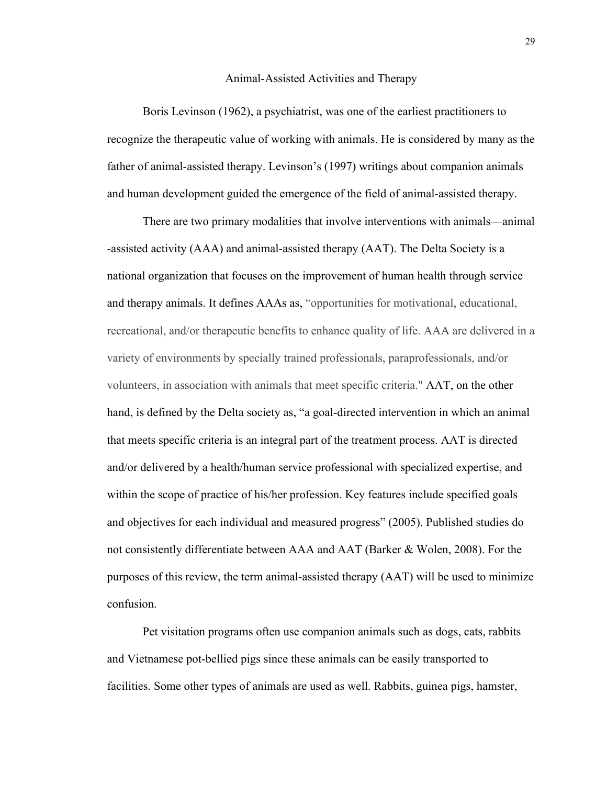#### Animal-Assisted Activities and Therapy

Boris Levinson (1962), a psychiatrist, was one of the earliest practitioners to recognize the therapeutic value of working with animals. He is considered by many as the father of animal-assisted therapy. Levinson's (1997) writings about companion animals and human development guided the emergence of the field of animal-assisted therapy.

There are two primary modalities that involve interventions with animals—animal -assisted activity (AAA) and animal-assisted therapy (AAT). The Delta Society is a national organization that focuses on the improvement of human health through service and therapy animals. It defines AAAs as, "opportunities for motivational, educational, recreational, and/or therapeutic benefits to enhance quality of life. AAA are delivered in a variety of environments by specially trained professionals, paraprofessionals, and/or volunteers, in association with animals that meet specific criteria." AAT, on the other hand, is defined by the Delta society as, "a goal-directed intervention in which an animal that meets specific criteria is an integral part of the treatment process. AAT is directed and/or delivered by a health/human service professional with specialized expertise, and within the scope of practice of his/her profession. Key features include specified goals and objectives for each individual and measured progress" (2005). Published studies do not consistently differentiate between AAA and AAT (Barker & Wolen, 2008). For the purposes of this review, the term animal-assisted therapy (AAT) will be used to minimize confusion.

Pet visitation programs often use companion animals such as dogs, cats, rabbits and Vietnamese pot-bellied pigs since these animals can be easily transported to facilities. Some other types of animals are used as well. Rabbits, guinea pigs, hamster,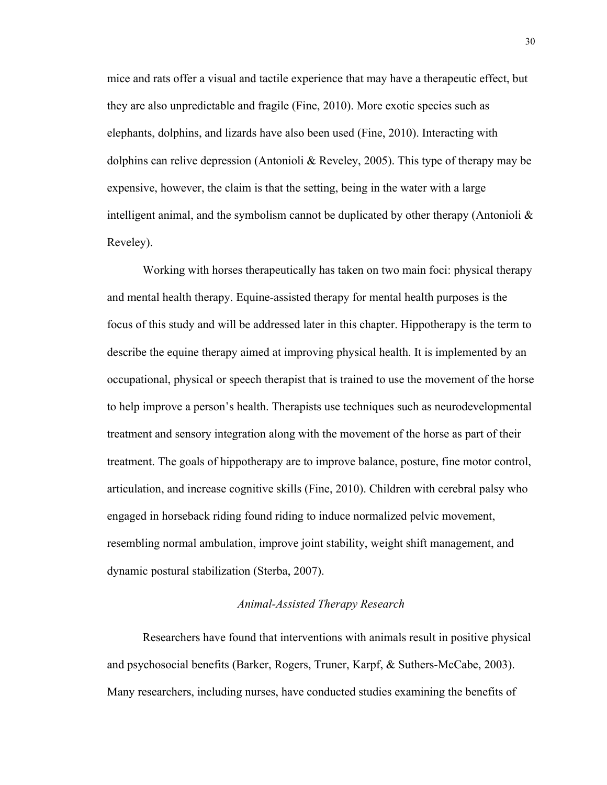mice and rats offer a visual and tactile experience that may have a therapeutic effect, but they are also unpredictable and fragile (Fine, 2010). More exotic species such as elephants, dolphins, and lizards have also been used (Fine, 2010). Interacting with dolphins can relive depression (Antonioli & Reveley, 2005). This type of therapy may be expensive, however, the claim is that the setting, being in the water with a large intelligent animal, and the symbolism cannot be duplicated by other therapy (Antonioli  $\&$ Reveley).

Working with horses therapeutically has taken on two main foci: physical therapy and mental health therapy. Equine-assisted therapy for mental health purposes is the focus of this study and will be addressed later in this chapter. Hippotherapy is the term to describe the equine therapy aimed at improving physical health. It is implemented by an occupational, physical or speech therapist that is trained to use the movement of the horse to help improve a person's health. Therapists use techniques such as neurodevelopmental treatment and sensory integration along with the movement of the horse as part of their treatment. The goals of hippotherapy are to improve balance, posture, fine motor control, articulation, and increase cognitive skills (Fine, 2010). Children with cerebral palsy who engaged in horseback riding found riding to induce normalized pelvic movement, resembling normal ambulation, improve joint stability, weight shift management, and dynamic postural stabilization (Sterba, 2007).

# *Animal-Assisted Therapy Research*

Researchers have found that interventions with animals result in positive physical and psychosocial benefits (Barker, Rogers, Truner, Karpf, & Suthers-McCabe, 2003). Many researchers, including nurses, have conducted studies examining the benefits of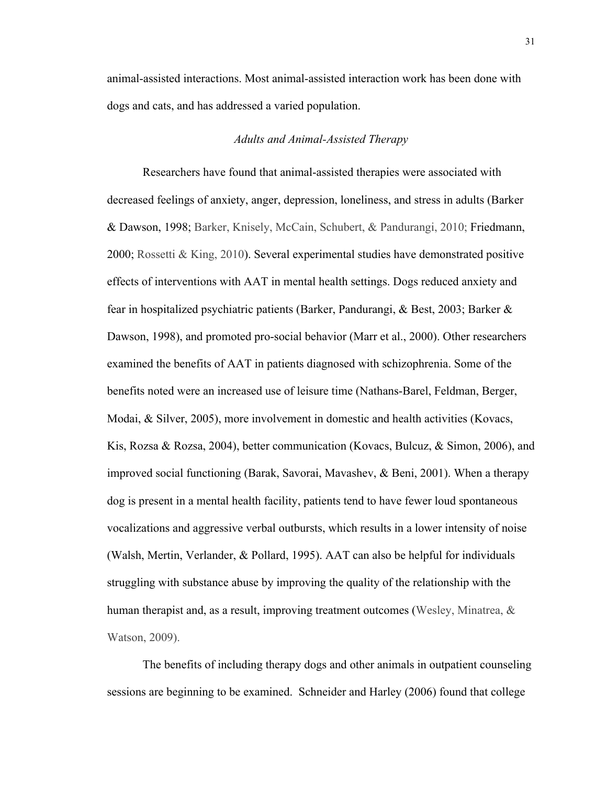animal-assisted interactions. Most animal-assisted interaction work has been done with dogs and cats, and has addressed a varied population.

## *Adults and Animal-Assisted Therapy*

Researchers have found that animal-assisted therapies were associated with decreased feelings of anxiety, anger, depression, loneliness, and stress in adults (Barker & Dawson, 1998; Barker, Knisely, McCain, Schubert, & Pandurangi, 2010; Friedmann, 2000; Rossetti & King, 2010). Several experimental studies have demonstrated positive effects of interventions with AAT in mental health settings. Dogs reduced anxiety and fear in hospitalized psychiatric patients (Barker, Pandurangi, & Best, 2003; Barker & Dawson, 1998), and promoted pro-social behavior (Marr et al., 2000). Other researchers examined the benefits of AAT in patients diagnosed with schizophrenia. Some of the benefits noted were an increased use of leisure time (Nathans-Barel, Feldman, Berger, Modai, & Silver, 2005), more involvement in domestic and health activities (Kovacs, Kis, Rozsa & Rozsa, 2004), better communication (Kovacs, Bulcuz, & Simon, 2006), and improved social functioning (Barak, Savorai, Mavashev, & Beni, 2001). When a therapy dog is present in a mental health facility, patients tend to have fewer loud spontaneous vocalizations and aggressive verbal outbursts, which results in a lower intensity of noise (Walsh, Mertin, Verlander, & Pollard, 1995). AAT can also be helpful for individuals struggling with substance abuse by improving the quality of the relationship with the human therapist and, as a result, improving treatment outcomes (Wesley, Minatrea, & Watson, 2009).

The benefits of including therapy dogs and other animals in outpatient counseling sessions are beginning to be examined. Schneider and Harley (2006) found that college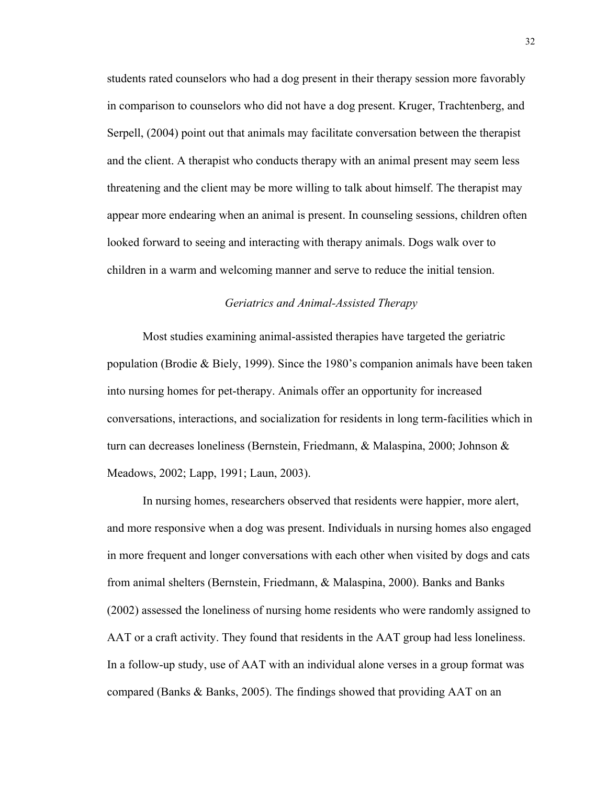students rated counselors who had a dog present in their therapy session more favorably in comparison to counselors who did not have a dog present. Kruger, Trachtenberg, and Serpell, (2004) point out that animals may facilitate conversation between the therapist and the client. A therapist who conducts therapy with an animal present may seem less threatening and the client may be more willing to talk about himself. The therapist may appear more endearing when an animal is present. In counseling sessions, children often looked forward to seeing and interacting with therapy animals. Dogs walk over to children in a warm and welcoming manner and serve to reduce the initial tension.

# *Geriatrics and Animal-Assisted Therapy*

Most studies examining animal-assisted therapies have targeted the geriatric population (Brodie & Biely, 1999). Since the 1980's companion animals have been taken into nursing homes for pet-therapy. Animals offer an opportunity for increased conversations, interactions, and socialization for residents in long term-facilities which in turn can decreases loneliness (Bernstein, Friedmann, & Malaspina, 2000; Johnson & Meadows, 2002; Lapp, 1991; Laun, 2003).

In nursing homes, researchers observed that residents were happier, more alert, and more responsive when a dog was present. Individuals in nursing homes also engaged in more frequent and longer conversations with each other when visited by dogs and cats from animal shelters (Bernstein, Friedmann, & Malaspina, 2000). Banks and Banks (2002) assessed the loneliness of nursing home residents who were randomly assigned to AAT or a craft activity. They found that residents in the AAT group had less loneliness. In a follow-up study, use of AAT with an individual alone verses in a group format was compared (Banks & Banks, 2005). The findings showed that providing AAT on an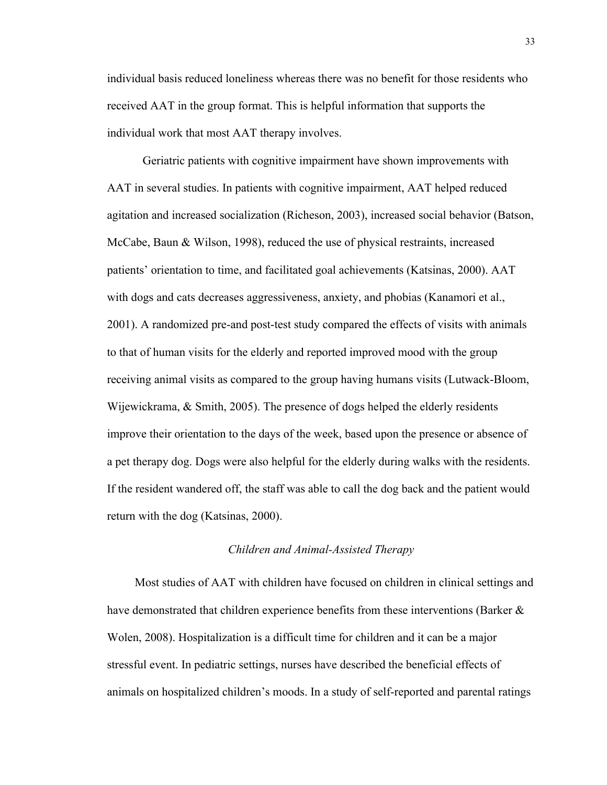individual basis reduced loneliness whereas there was no benefit for those residents who received AAT in the group format. This is helpful information that supports the individual work that most AAT therapy involves.

Geriatric patients with cognitive impairment have shown improvements with AAT in several studies. In patients with cognitive impairment, AAT helped reduced agitation and increased socialization (Richeson, 2003), increased social behavior (Batson, McCabe, Baun & Wilson, 1998), reduced the use of physical restraints, increased patients' orientation to time, and facilitated goal achievements (Katsinas, 2000). AAT with dogs and cats decreases aggressiveness, anxiety, and phobias (Kanamori et al., 2001). A randomized pre-and post-test study compared the effects of visits with animals to that of human visits for the elderly and reported improved mood with the group receiving animal visits as compared to the group having humans visits (Lutwack-Bloom, Wijewickrama, & Smith, 2005). The presence of dogs helped the elderly residents improve their orientation to the days of the week, based upon the presence or absence of a pet therapy dog. Dogs were also helpful for the elderly during walks with the residents. If the resident wandered off, the staff was able to call the dog back and the patient would return with the dog (Katsinas, 2000).

#### *Children and Animal-Assisted Therapy*

Most studies of AAT with children have focused on children in clinical settings and have demonstrated that children experience benefits from these interventions (Barker & Wolen, 2008). Hospitalization is a difficult time for children and it can be a major stressful event. In pediatric settings, nurses have described the beneficial effects of animals on hospitalized children's moods. In a study of self-reported and parental ratings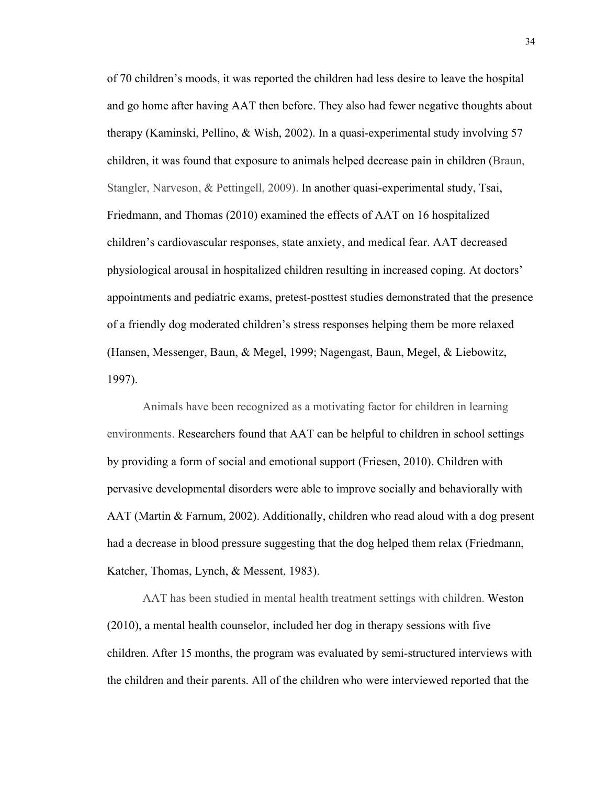of 70 children's moods, it was reported the children had less desire to leave the hospital and go home after having AAT then before. They also had fewer negative thoughts about therapy (Kaminski, Pellino, & Wish, 2002). In a quasi-experimental study involving 57 children, it was found that exposure to animals helped decrease pain in children (Braun, Stangler, Narveson, & Pettingell, 2009). In another quasi-experimental study, Tsai, Friedmann, and Thomas (2010) examined the effects of AAT on 16 hospitalized children's cardiovascular responses, state anxiety, and medical fear. AAT decreased physiological arousal in hospitalized children resulting in increased coping. At doctors' appointments and pediatric exams, pretest-posttest studies demonstrated that the presence of a friendly dog moderated children's stress responses helping them be more relaxed (Hansen, Messenger, Baun, & Megel, 1999; Nagengast, Baun, Megel, & Liebowitz, 1997).

Animals have been recognized as a motivating factor for children in learning environments. Researchers found that AAT can be helpful to children in school settings by providing a form of social and emotional support (Friesen, 2010). Children with pervasive developmental disorders were able to improve socially and behaviorally with AAT (Martin & Farnum, 2002). Additionally, children who read aloud with a dog present had a decrease in blood pressure suggesting that the dog helped them relax (Friedmann, Katcher, Thomas, Lynch, & Messent, 1983).

AAT has been studied in mental health treatment settings with children. Weston (2010), a mental health counselor, included her dog in therapy sessions with five children. After 15 months, the program was evaluated by semi-structured interviews with the children and their parents. All of the children who were interviewed reported that the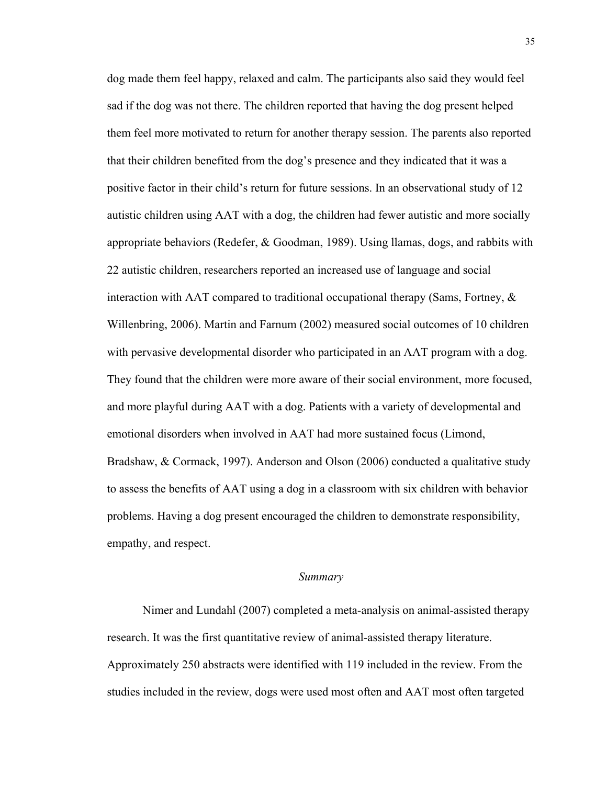dog made them feel happy, relaxed and calm. The participants also said they would feel sad if the dog was not there. The children reported that having the dog present helped them feel more motivated to return for another therapy session. The parents also reported that their children benefited from the dog's presence and they indicated that it was a positive factor in their child's return for future sessions. In an observational study of 12 autistic children using AAT with a dog, the children had fewer autistic and more socially appropriate behaviors (Redefer, & Goodman, 1989). Using llamas, dogs, and rabbits with 22 autistic children, researchers reported an increased use of language and social interaction with AAT compared to traditional occupational therapy (Sams, Fortney,  $\&$ Willenbring, 2006). Martin and Farnum (2002) measured social outcomes of 10 children with pervasive developmental disorder who participated in an AAT program with a dog. They found that the children were more aware of their social environment, more focused, and more playful during AAT with a dog. Patients with a variety of developmental and emotional disorders when involved in AAT had more sustained focus (Limond, Bradshaw, & Cormack, 1997). Anderson and Olson (2006) conducted a qualitative study to assess the benefits of AAT using a dog in a classroom with six children with behavior problems. Having a dog present encouraged the children to demonstrate responsibility, empathy, and respect.

#### *Summary*

Nimer and Lundahl (2007) completed a meta-analysis on animal-assisted therapy research. It was the first quantitative review of animal-assisted therapy literature. Approximately 250 abstracts were identified with 119 included in the review. From the studies included in the review, dogs were used most often and AAT most often targeted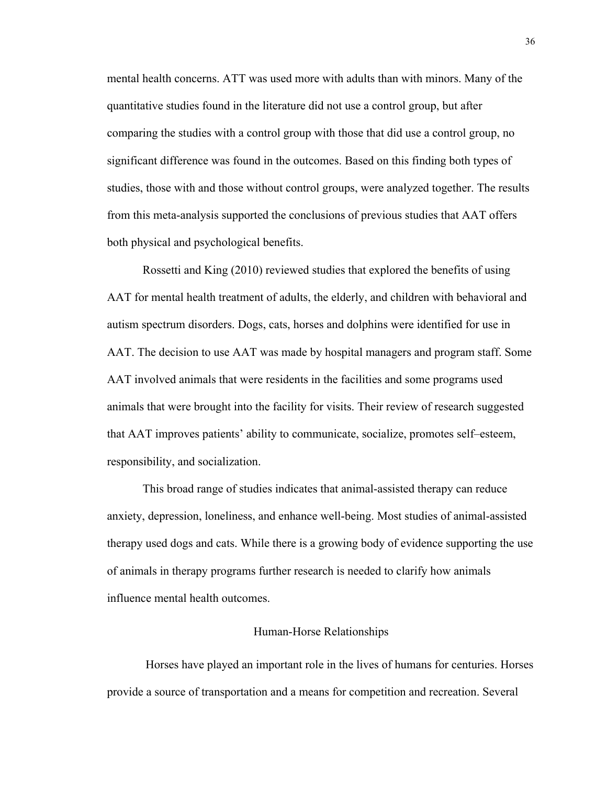mental health concerns. ATT was used more with adults than with minors. Many of the quantitative studies found in the literature did not use a control group, but after comparing the studies with a control group with those that did use a control group, no significant difference was found in the outcomes. Based on this finding both types of studies, those with and those without control groups, were analyzed together. The results from this meta-analysis supported the conclusions of previous studies that AAT offers both physical and psychological benefits.

Rossetti and King (2010) reviewed studies that explored the benefits of using AAT for mental health treatment of adults, the elderly, and children with behavioral and autism spectrum disorders. Dogs, cats, horses and dolphins were identified for use in AAT. The decision to use AAT was made by hospital managers and program staff. Some AAT involved animals that were residents in the facilities and some programs used animals that were brought into the facility for visits. Their review of research suggested that AAT improves patients' ability to communicate, socialize, promotes self–esteem, responsibility, and socialization.

This broad range of studies indicates that animal-assisted therapy can reduce anxiety, depression, loneliness, and enhance well-being. Most studies of animal-assisted therapy used dogs and cats. While there is a growing body of evidence supporting the use of animals in therapy programs further research is needed to clarify how animals influence mental health outcomes.

## Human-Horse Relationships

 Horses have played an important role in the lives of humans for centuries. Horses provide a source of transportation and a means for competition and recreation. Several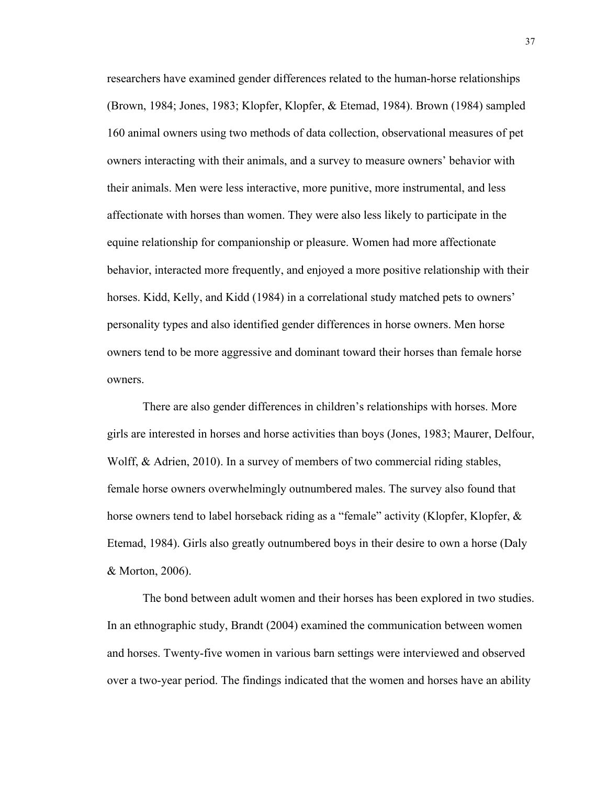researchers have examined gender differences related to the human-horse relationships (Brown, 1984; Jones, 1983; Klopfer, Klopfer, & Etemad, 1984). Brown (1984) sampled 160 animal owners using two methods of data collection, observational measures of pet owners interacting with their animals, and a survey to measure owners' behavior with their animals. Men were less interactive, more punitive, more instrumental, and less affectionate with horses than women. They were also less likely to participate in the equine relationship for companionship or pleasure. Women had more affectionate behavior, interacted more frequently, and enjoyed a more positive relationship with their horses. Kidd, Kelly, and Kidd (1984) in a correlational study matched pets to owners' personality types and also identified gender differences in horse owners. Men horse owners tend to be more aggressive and dominant toward their horses than female horse owners.

There are also gender differences in children's relationships with horses. More girls are interested in horses and horse activities than boys (Jones, 1983; Maurer, Delfour, Wolff, & Adrien, 2010). In a survey of members of two commercial riding stables, female horse owners overwhelmingly outnumbered males. The survey also found that horse owners tend to label horseback riding as a "female" activity (Klopfer, Klopfer, & Etemad, 1984). Girls also greatly outnumbered boys in their desire to own a horse (Daly & Morton, 2006).

The bond between adult women and their horses has been explored in two studies. In an ethnographic study, Brandt (2004) examined the communication between women and horses. Twenty-five women in various barn settings were interviewed and observed over a two-year period. The findings indicated that the women and horses have an ability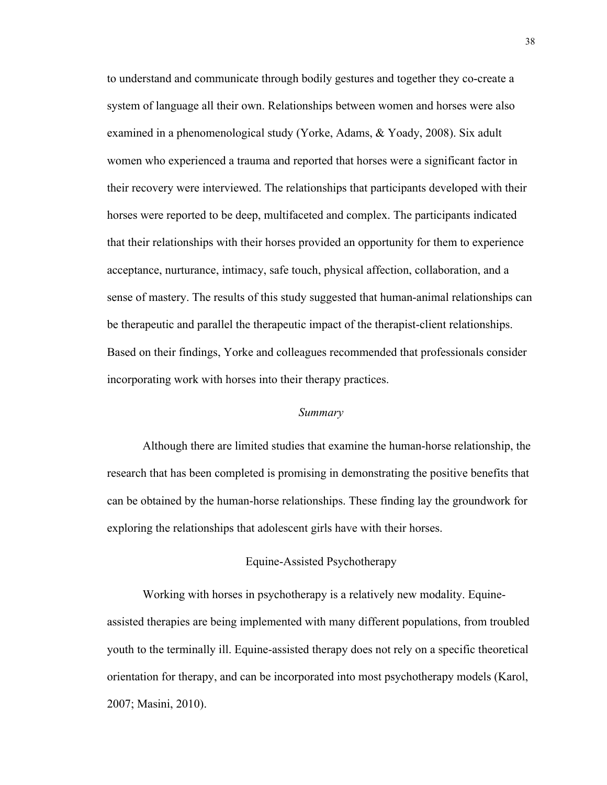to understand and communicate through bodily gestures and together they co-create a system of language all their own. Relationships between women and horses were also examined in a phenomenological study (Yorke, Adams, & Yoady, 2008). Six adult women who experienced a trauma and reported that horses were a significant factor in their recovery were interviewed. The relationships that participants developed with their horses were reported to be deep, multifaceted and complex. The participants indicated that their relationships with their horses provided an opportunity for them to experience acceptance, nurturance, intimacy, safe touch, physical affection, collaboration, and a sense of mastery. The results of this study suggested that human-animal relationships can be therapeutic and parallel the therapeutic impact of the therapist-client relationships. Based on their findings, Yorke and colleagues recommended that professionals consider incorporating work with horses into their therapy practices.

#### *Summary*

Although there are limited studies that examine the human-horse relationship, the research that has been completed is promising in demonstrating the positive benefits that can be obtained by the human-horse relationships. These finding lay the groundwork for exploring the relationships that adolescent girls have with their horses.

## Equine-Assisted Psychotherapy

Working with horses in psychotherapy is a relatively new modality. Equineassisted therapies are being implemented with many different populations, from troubled youth to the terminally ill. Equine-assisted therapy does not rely on a specific theoretical orientation for therapy, and can be incorporated into most psychotherapy models (Karol, 2007; Masini, 2010).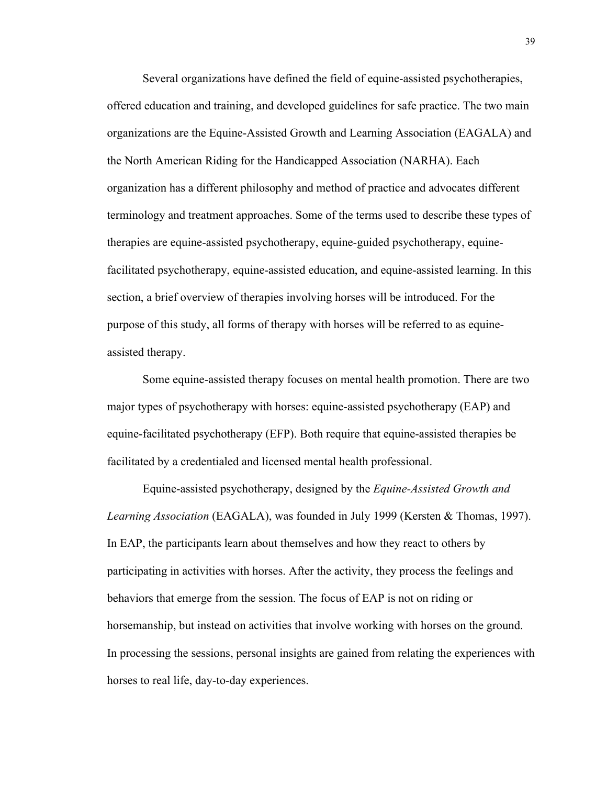Several organizations have defined the field of equine-assisted psychotherapies, offered education and training, and developed guidelines for safe practice. The two main organizations are the Equine-Assisted Growth and Learning Association (EAGALA) and the North American Riding for the Handicapped Association (NARHA). Each organization has a different philosophy and method of practice and advocates different terminology and treatment approaches. Some of the terms used to describe these types of therapies are equine-assisted psychotherapy, equine-guided psychotherapy, equinefacilitated psychotherapy, equine-assisted education, and equine-assisted learning. In this section, a brief overview of therapies involving horses will be introduced. For the purpose of this study, all forms of therapy with horses will be referred to as equineassisted therapy.

Some equine-assisted therapy focuses on mental health promotion. There are two major types of psychotherapy with horses: equine-assisted psychotherapy (EAP) and equine-facilitated psychotherapy (EFP). Both require that equine-assisted therapies be facilitated by a credentialed and licensed mental health professional.

Equine-assisted psychotherapy, designed by the *Equine-Assisted Growth and Learning Association* (EAGALA), was founded in July 1999 (Kersten & Thomas, 1997). In EAP, the participants learn about themselves and how they react to others by participating in activities with horses. After the activity, they process the feelings and behaviors that emerge from the session. The focus of EAP is not on riding or horsemanship, but instead on activities that involve working with horses on the ground. In processing the sessions, personal insights are gained from relating the experiences with horses to real life, day-to-day experiences.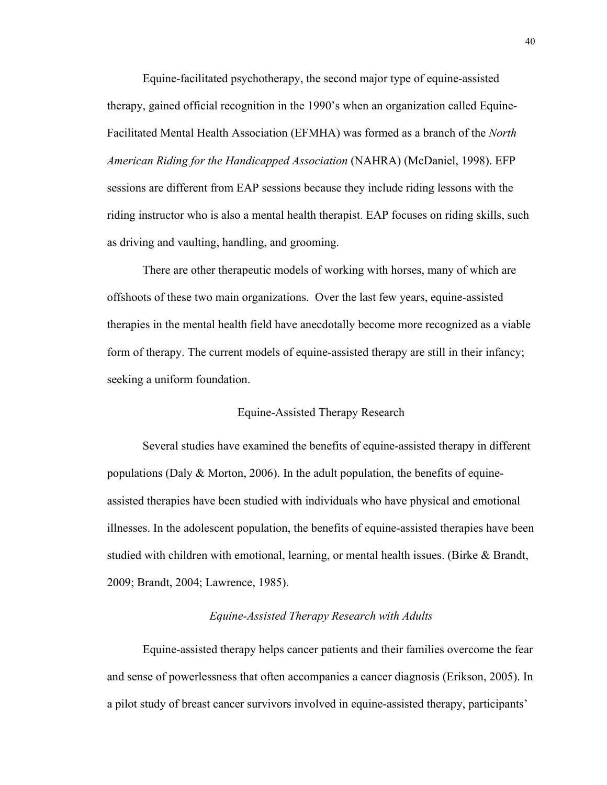Equine-facilitated psychotherapy, the second major type of equine-assisted therapy, gained official recognition in the 1990's when an organization called Equine-Facilitated Mental Health Association (EFMHA) was formed as a branch of the *North American Riding for the Handicapped Association* (NAHRA) (McDaniel, 1998). EFP sessions are different from EAP sessions because they include riding lessons with the riding instructor who is also a mental health therapist. EAP focuses on riding skills, such as driving and vaulting, handling, and grooming.

There are other therapeutic models of working with horses, many of which are offshoots of these two main organizations. Over the last few years, equine-assisted therapies in the mental health field have anecdotally become more recognized as a viable form of therapy. The current models of equine-assisted therapy are still in their infancy; seeking a uniform foundation.

#### Equine-Assisted Therapy Research

Several studies have examined the benefits of equine-assisted therapy in different populations (Daly & Morton, 2006). In the adult population, the benefits of equineassisted therapies have been studied with individuals who have physical and emotional illnesses. In the adolescent population, the benefits of equine-assisted therapies have been studied with children with emotional, learning, or mental health issues. (Birke & Brandt, 2009; Brandt, 2004; Lawrence, 1985).

# *Equine-Assisted Therapy Research with Adults*

Equine-assisted therapy helps cancer patients and their families overcome the fear and sense of powerlessness that often accompanies a cancer diagnosis (Erikson, 2005). In a pilot study of breast cancer survivors involved in equine-assisted therapy, participants'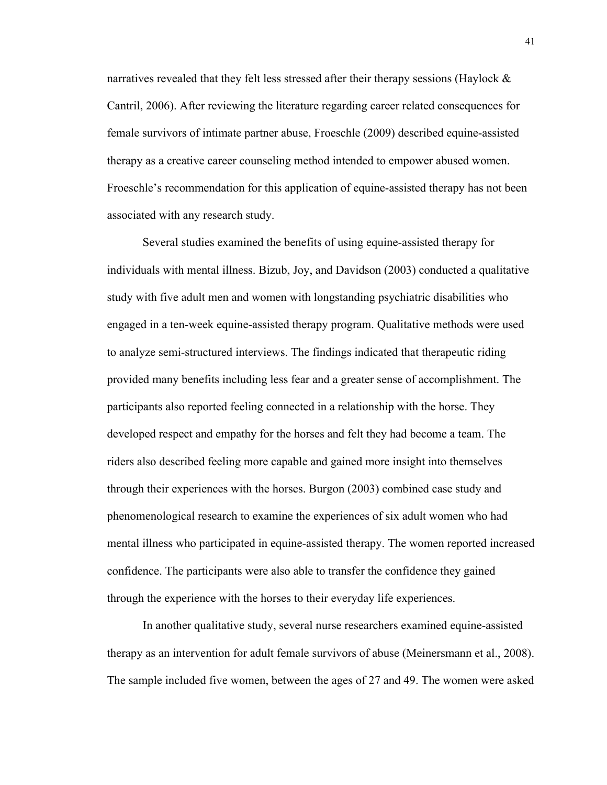narratives revealed that they felt less stressed after their therapy sessions (Haylock  $\&$ Cantril, 2006). After reviewing the literature regarding career related consequences for female survivors of intimate partner abuse, Froeschle (2009) described equine-assisted therapy as a creative career counseling method intended to empower abused women. Froeschle's recommendation for this application of equine-assisted therapy has not been associated with any research study.

Several studies examined the benefits of using equine-assisted therapy for individuals with mental illness. Bizub, Joy, and Davidson (2003) conducted a qualitative study with five adult men and women with longstanding psychiatric disabilities who engaged in a ten-week equine-assisted therapy program. Qualitative methods were used to analyze semi-structured interviews. The findings indicated that therapeutic riding provided many benefits including less fear and a greater sense of accomplishment. The participants also reported feeling connected in a relationship with the horse. They developed respect and empathy for the horses and felt they had become a team. The riders also described feeling more capable and gained more insight into themselves through their experiences with the horses. Burgon (2003) combined case study and phenomenological research to examine the experiences of six adult women who had mental illness who participated in equine-assisted therapy. The women reported increased confidence. The participants were also able to transfer the confidence they gained through the experience with the horses to their everyday life experiences.

In another qualitative study, several nurse researchers examined equine-assisted therapy as an intervention for adult female survivors of abuse (Meinersmann et al., 2008). The sample included five women, between the ages of 27 and 49. The women were asked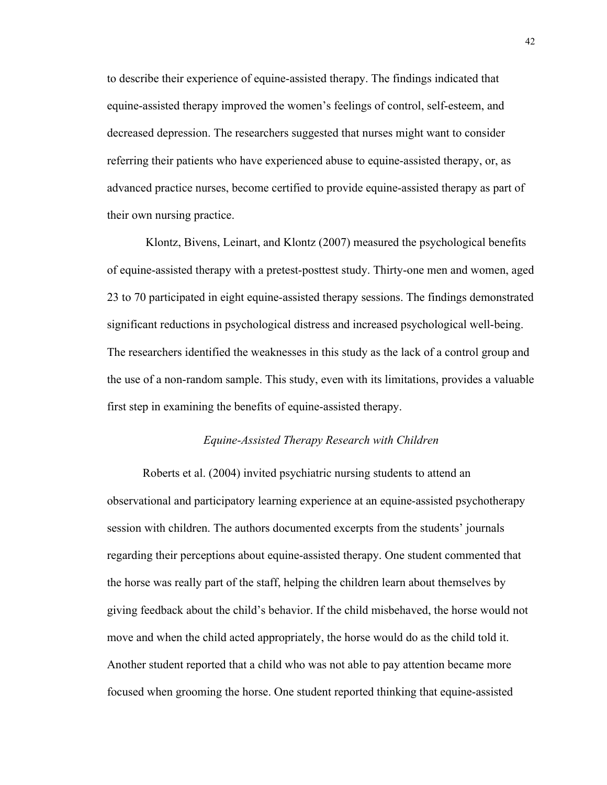to describe their experience of equine-assisted therapy. The findings indicated that equine-assisted therapy improved the women's feelings of control, self-esteem, and decreased depression. The researchers suggested that nurses might want to consider referring their patients who have experienced abuse to equine-assisted therapy, or, as advanced practice nurses, become certified to provide equine-assisted therapy as part of their own nursing practice.

 Klontz, Bivens, Leinart, and Klontz (2007) measured the psychological benefits of equine-assisted therapy with a pretest-posttest study. Thirty-one men and women, aged 23 to 70 participated in eight equine-assisted therapy sessions. The findings demonstrated significant reductions in psychological distress and increased psychological well-being. The researchers identified the weaknesses in this study as the lack of a control group and the use of a non-random sample. This study, even with its limitations, provides a valuable first step in examining the benefits of equine-assisted therapy.

#### *Equine-Assisted Therapy Research with Children*

Roberts et al. (2004) invited psychiatric nursing students to attend an observational and participatory learning experience at an equine-assisted psychotherapy session with children. The authors documented excerpts from the students' journals regarding their perceptions about equine-assisted therapy. One student commented that the horse was really part of the staff, helping the children learn about themselves by giving feedback about the child's behavior. If the child misbehaved, the horse would not move and when the child acted appropriately, the horse would do as the child told it. Another student reported that a child who was not able to pay attention became more focused when grooming the horse. One student reported thinking that equine-assisted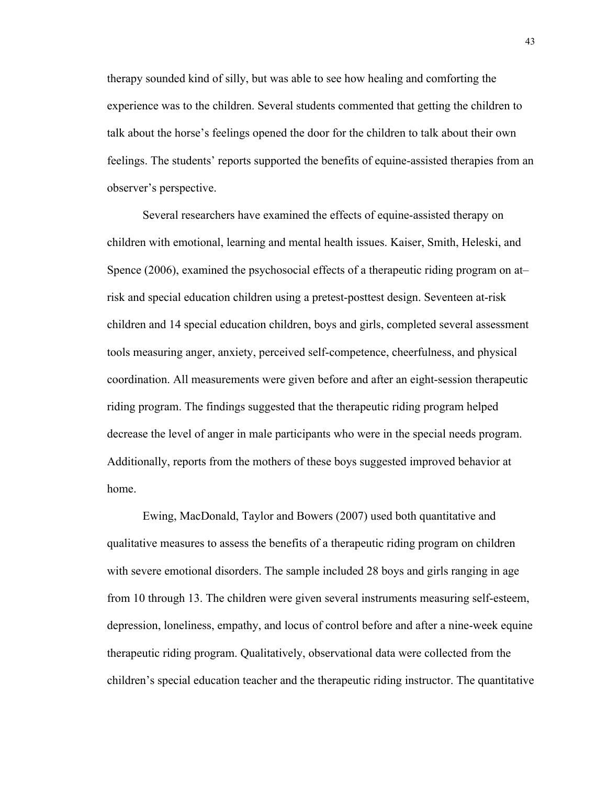therapy sounded kind of silly, but was able to see how healing and comforting the experience was to the children. Several students commented that getting the children to talk about the horse's feelings opened the door for the children to talk about their own feelings. The students' reports supported the benefits of equine-assisted therapies from an observer's perspective.

Several researchers have examined the effects of equine-assisted therapy on children with emotional, learning and mental health issues. Kaiser, Smith, Heleski, and Spence (2006), examined the psychosocial effects of a therapeutic riding program on at– risk and special education children using a pretest-posttest design. Seventeen at-risk children and 14 special education children, boys and girls, completed several assessment tools measuring anger, anxiety, perceived self-competence, cheerfulness, and physical coordination. All measurements were given before and after an eight-session therapeutic riding program. The findings suggested that the therapeutic riding program helped decrease the level of anger in male participants who were in the special needs program. Additionally, reports from the mothers of these boys suggested improved behavior at home.

Ewing, MacDonald, Taylor and Bowers (2007) used both quantitative and qualitative measures to assess the benefits of a therapeutic riding program on children with severe emotional disorders. The sample included 28 boys and girls ranging in age from 10 through 13. The children were given several instruments measuring self-esteem, depression, loneliness, empathy, and locus of control before and after a nine-week equine therapeutic riding program. Qualitatively, observational data were collected from the children's special education teacher and the therapeutic riding instructor. The quantitative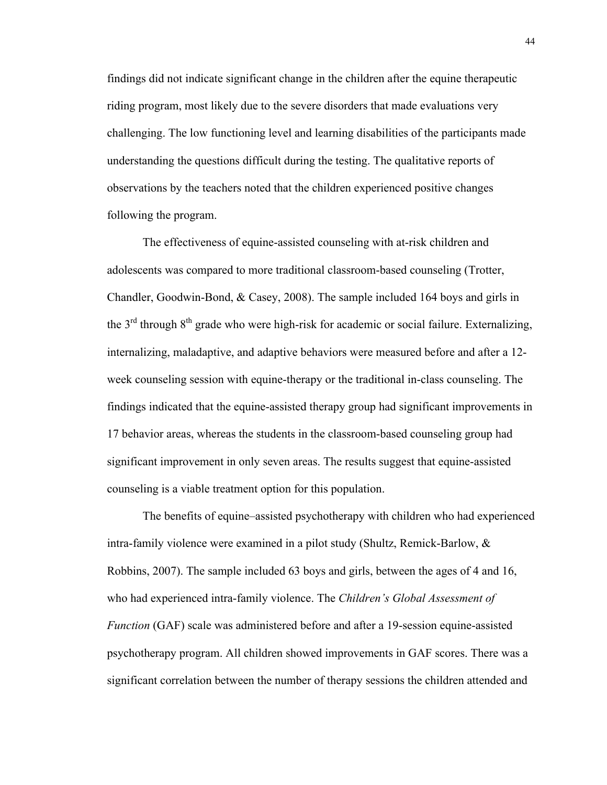findings did not indicate significant change in the children after the equine therapeutic riding program, most likely due to the severe disorders that made evaluations very challenging. The low functioning level and learning disabilities of the participants made understanding the questions difficult during the testing. The qualitative reports of observations by the teachers noted that the children experienced positive changes following the program.

The effectiveness of equine-assisted counseling with at-risk children and adolescents was compared to more traditional classroom-based counseling (Trotter, Chandler, Goodwin-Bond, & Casey, 2008). The sample included 164 boys and girls in the  $3<sup>rd</sup>$  through  $8<sup>th</sup>$  grade who were high-risk for academic or social failure. Externalizing, internalizing, maladaptive, and adaptive behaviors were measured before and after a 12 week counseling session with equine-therapy or the traditional in-class counseling. The findings indicated that the equine-assisted therapy group had significant improvements in 17 behavior areas, whereas the students in the classroom-based counseling group had significant improvement in only seven areas. The results suggest that equine-assisted counseling is a viable treatment option for this population.

The benefits of equine–assisted psychotherapy with children who had experienced intra-family violence were examined in a pilot study (Shultz, Remick-Barlow, & Robbins, 2007). The sample included 63 boys and girls, between the ages of 4 and 16, who had experienced intra-family violence. The *Children's Global Assessment of Function* (GAF) scale was administered before and after a 19-session equine-assisted psychotherapy program. All children showed improvements in GAF scores. There was a significant correlation between the number of therapy sessions the children attended and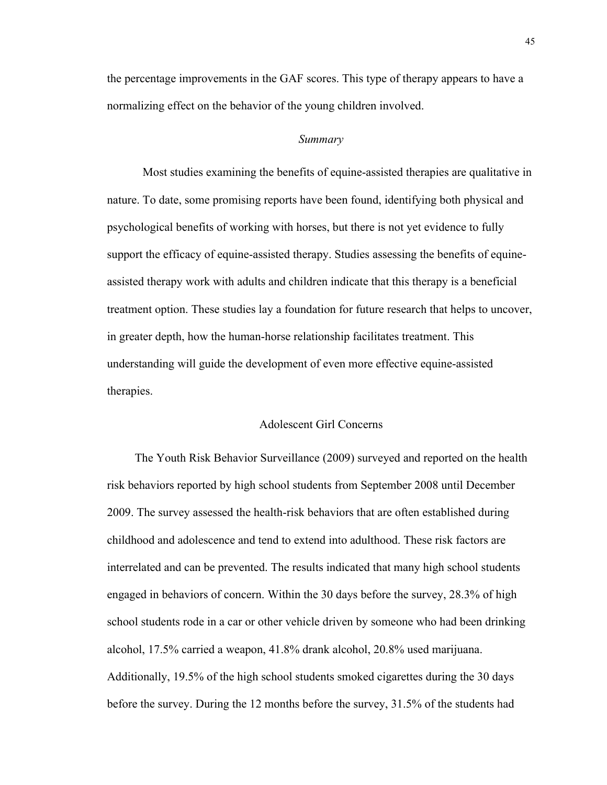the percentage improvements in the GAF scores. This type of therapy appears to have a normalizing effect on the behavior of the young children involved.

#### *Summary*

Most studies examining the benefits of equine-assisted therapies are qualitative in nature. To date, some promising reports have been found, identifying both physical and psychological benefits of working with horses, but there is not yet evidence to fully support the efficacy of equine-assisted therapy. Studies assessing the benefits of equineassisted therapy work with adults and children indicate that this therapy is a beneficial treatment option. These studies lay a foundation for future research that helps to uncover, in greater depth, how the human-horse relationship facilitates treatment. This understanding will guide the development of even more effective equine-assisted therapies.

## Adolescent Girl Concerns

The Youth Risk Behavior Surveillance (2009) surveyed and reported on the health risk behaviors reported by high school students from September 2008 until December 2009. The survey assessed the health-risk behaviors that are often established during childhood and adolescence and tend to extend into adulthood. These risk factors are interrelated and can be prevented. The results indicated that many high school students engaged in behaviors of concern. Within the 30 days before the survey, 28.3% of high school students rode in a car or other vehicle driven by someone who had been drinking alcohol, 17.5% carried a weapon, 41.8% drank alcohol, 20.8% used marijuana. Additionally, 19.5% of the high school students smoked cigarettes during the 30 days before the survey. During the 12 months before the survey, 31.5% of the students had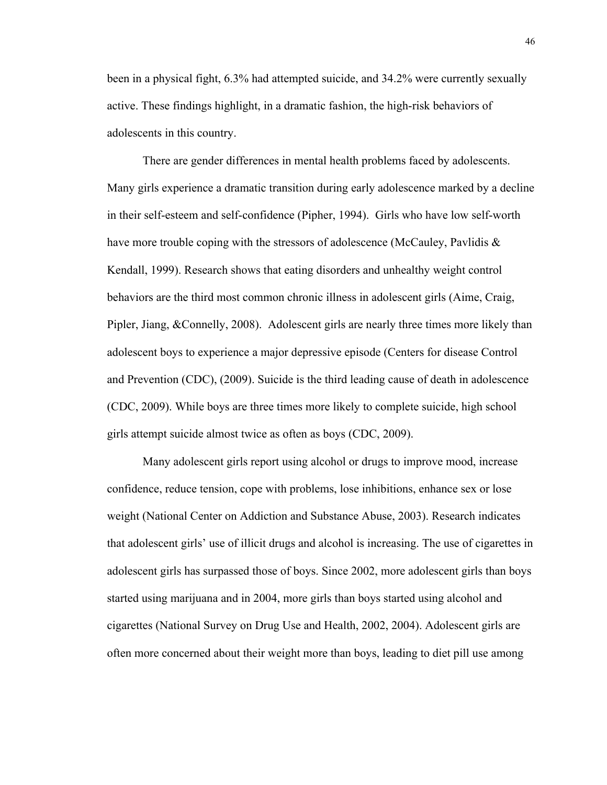been in a physical fight, 6.3% had attempted suicide, and 34.2% were currently sexually active. These findings highlight, in a dramatic fashion, the high-risk behaviors of adolescents in this country.

There are gender differences in mental health problems faced by adolescents. Many girls experience a dramatic transition during early adolescence marked by a decline in their self-esteem and self-confidence (Pipher, 1994). Girls who have low self-worth have more trouble coping with the stressors of adolescence (McCauley, Pavlidis  $\&$ Kendall, 1999). Research shows that eating disorders and unhealthy weight control behaviors are the third most common chronic illness in adolescent girls (Aime, Craig, Pipler, Jiang, &Connelly, 2008). Adolescent girls are nearly three times more likely than adolescent boys to experience a major depressive episode (Centers for disease Control and Prevention (CDC), (2009). Suicide is the third leading cause of death in adolescence (CDC, 2009). While boys are three times more likely to complete suicide, high school girls attempt suicide almost twice as often as boys (CDC, 2009).

Many adolescent girls report using alcohol or drugs to improve mood, increase confidence, reduce tension, cope with problems, lose inhibitions, enhance sex or lose weight (National Center on Addiction and Substance Abuse, 2003). Research indicates that adolescent girls' use of illicit drugs and alcohol is increasing. The use of cigarettes in adolescent girls has surpassed those of boys. Since 2002, more adolescent girls than boys started using marijuana and in 2004, more girls than boys started using alcohol and cigarettes (National Survey on Drug Use and Health, 2002, 2004). Adolescent girls are often more concerned about their weight more than boys, leading to diet pill use among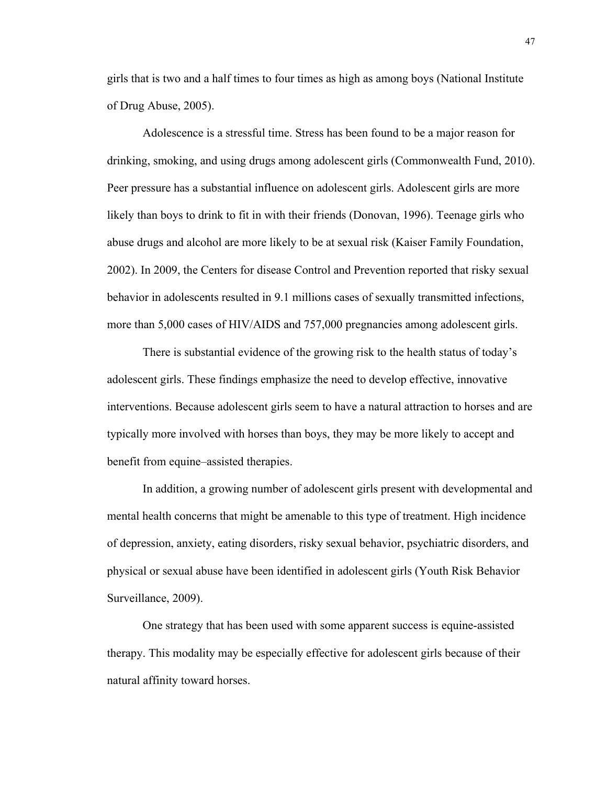girls that is two and a half times to four times as high as among boys (National Institute of Drug Abuse, 2005).

Adolescence is a stressful time. Stress has been found to be a major reason for drinking, smoking, and using drugs among adolescent girls (Commonwealth Fund, 2010). Peer pressure has a substantial influence on adolescent girls. Adolescent girls are more likely than boys to drink to fit in with their friends (Donovan, 1996). Teenage girls who abuse drugs and alcohol are more likely to be at sexual risk (Kaiser Family Foundation, 2002). In 2009, the Centers for disease Control and Prevention reported that risky sexual behavior in adolescents resulted in 9.1 millions cases of sexually transmitted infections, more than 5,000 cases of HIV/AIDS and 757,000 pregnancies among adolescent girls.

There is substantial evidence of the growing risk to the health status of today's adolescent girls. These findings emphasize the need to develop effective, innovative interventions. Because adolescent girls seem to have a natural attraction to horses and are typically more involved with horses than boys, they may be more likely to accept and benefit from equine–assisted therapies.

In addition, a growing number of adolescent girls present with developmental and mental health concerns that might be amenable to this type of treatment. High incidence of depression, anxiety, eating disorders, risky sexual behavior, psychiatric disorders, and physical or sexual abuse have been identified in adolescent girls (Youth Risk Behavior Surveillance, 2009).

One strategy that has been used with some apparent success is equine-assisted therapy. This modality may be especially effective for adolescent girls because of their natural affinity toward horses.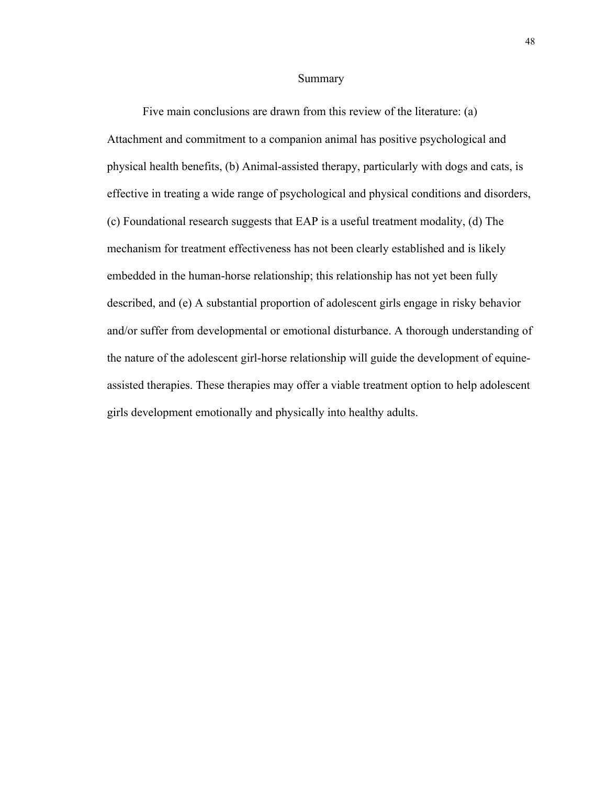#### Summary

Five main conclusions are drawn from this review of the literature: (a) Attachment and commitment to a companion animal has positive psychological and physical health benefits, (b) Animal-assisted therapy, particularly with dogs and cats, is effective in treating a wide range of psychological and physical conditions and disorders, (c) Foundational research suggests that EAP is a useful treatment modality, (d) The mechanism for treatment effectiveness has not been clearly established and is likely embedded in the human-horse relationship; this relationship has not yet been fully described, and (e) A substantial proportion of adolescent girls engage in risky behavior and/or suffer from developmental or emotional disturbance. A thorough understanding of the nature of the adolescent girl-horse relationship will guide the development of equineassisted therapies. These therapies may offer a viable treatment option to help adolescent girls development emotionally and physically into healthy adults.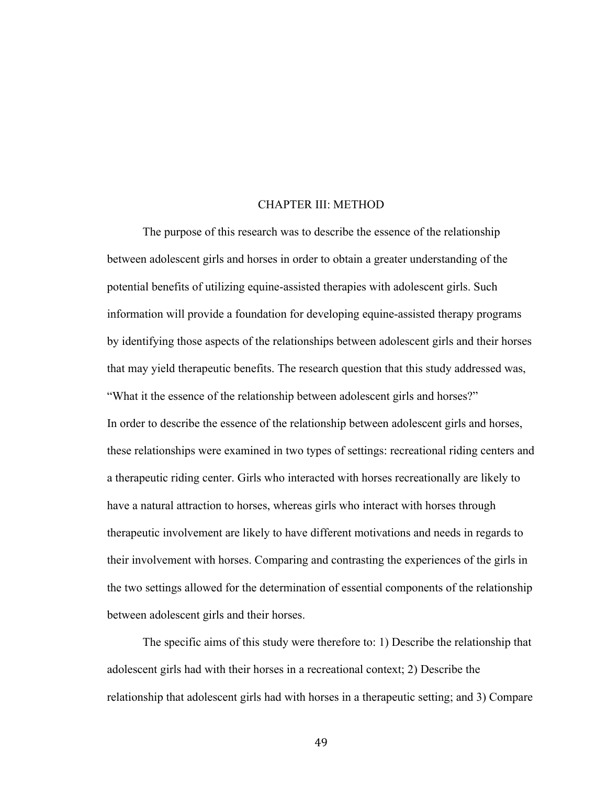## CHAPTER III: METHOD

The purpose of this research was to describe the essence of the relationship between adolescent girls and horses in order to obtain a greater understanding of the potential benefits of utilizing equine-assisted therapies with adolescent girls. Such information will provide a foundation for developing equine-assisted therapy programs by identifying those aspects of the relationships between adolescent girls and their horses that may yield therapeutic benefits. The research question that this study addressed was, "What it the essence of the relationship between adolescent girls and horses?" In order to describe the essence of the relationship between adolescent girls and horses, these relationships were examined in two types of settings: recreational riding centers and a therapeutic riding center. Girls who interacted with horses recreationally are likely to have a natural attraction to horses, whereas girls who interact with horses through therapeutic involvement are likely to have different motivations and needs in regards to their involvement with horses. Comparing and contrasting the experiences of the girls in the two settings allowed for the determination of essential components of the relationship between adolescent girls and their horses.

The specific aims of this study were therefore to: 1) Describe the relationship that adolescent girls had with their horses in a recreational context; 2) Describe the relationship that adolescent girls had with horses in a therapeutic setting; and 3) Compare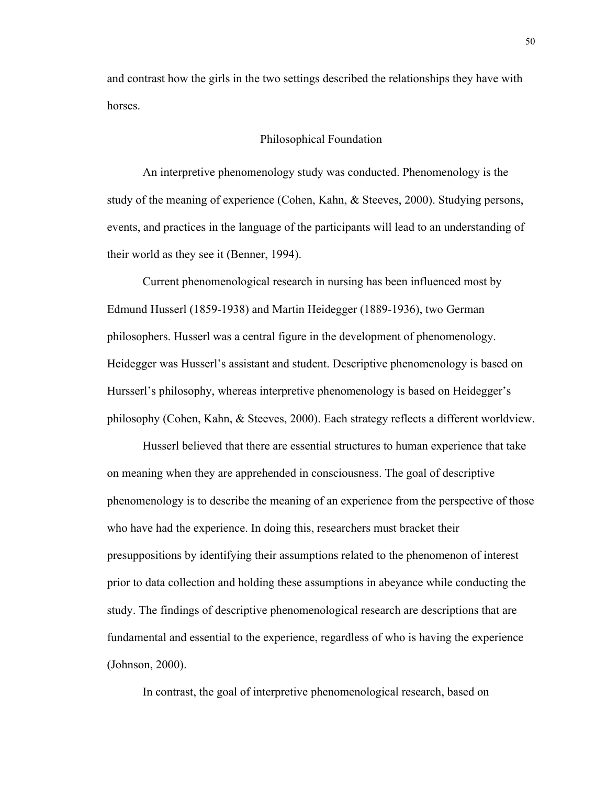and contrast how the girls in the two settings described the relationships they have with horses.

## Philosophical Foundation

An interpretive phenomenology study was conducted. Phenomenology is the study of the meaning of experience (Cohen, Kahn, & Steeves, 2000). Studying persons, events, and practices in the language of the participants will lead to an understanding of their world as they see it (Benner, 1994).

Current phenomenological research in nursing has been influenced most by Edmund Husserl (1859-1938) and Martin Heidegger (1889-1936), two German philosophers. Husserl was a central figure in the development of phenomenology. Heidegger was Husserl's assistant and student. Descriptive phenomenology is based on Hursserl's philosophy, whereas interpretive phenomenology is based on Heidegger's philosophy (Cohen, Kahn, & Steeves, 2000). Each strategy reflects a different worldview.

Husserl believed that there are essential structures to human experience that take on meaning when they are apprehended in consciousness. The goal of descriptive phenomenology is to describe the meaning of an experience from the perspective of those who have had the experience. In doing this, researchers must bracket their presuppositions by identifying their assumptions related to the phenomenon of interest prior to data collection and holding these assumptions in abeyance while conducting the study. The findings of descriptive phenomenological research are descriptions that are fundamental and essential to the experience, regardless of who is having the experience (Johnson, 2000).

In contrast, the goal of interpretive phenomenological research, based on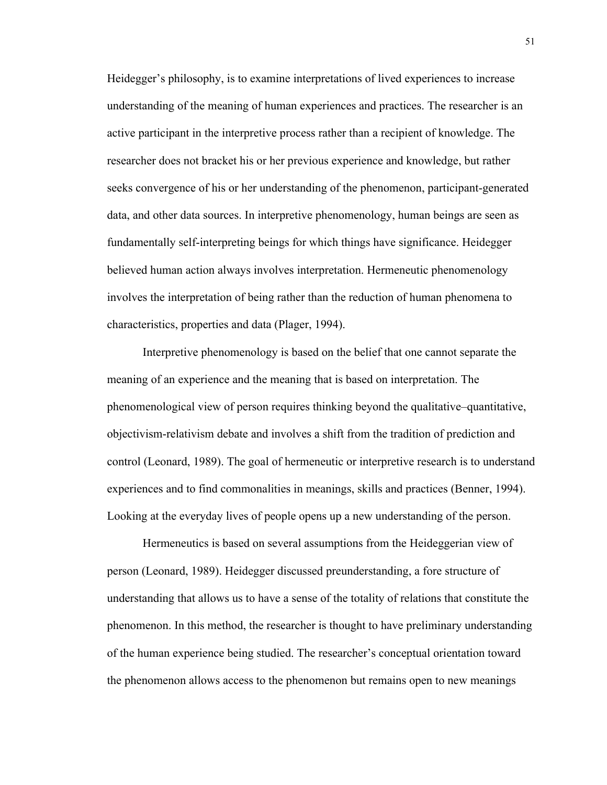Heidegger's philosophy, is to examine interpretations of lived experiences to increase understanding of the meaning of human experiences and practices. The researcher is an active participant in the interpretive process rather than a recipient of knowledge. The researcher does not bracket his or her previous experience and knowledge, but rather seeks convergence of his or her understanding of the phenomenon, participant-generated data, and other data sources. In interpretive phenomenology, human beings are seen as fundamentally self-interpreting beings for which things have significance. Heidegger believed human action always involves interpretation. Hermeneutic phenomenology involves the interpretation of being rather than the reduction of human phenomena to characteristics, properties and data (Plager, 1994).

Interpretive phenomenology is based on the belief that one cannot separate the meaning of an experience and the meaning that is based on interpretation. The phenomenological view of person requires thinking beyond the qualitative–quantitative, objectivism-relativism debate and involves a shift from the tradition of prediction and control (Leonard, 1989). The goal of hermeneutic or interpretive research is to understand experiences and to find commonalities in meanings, skills and practices (Benner, 1994). Looking at the everyday lives of people opens up a new understanding of the person.

Hermeneutics is based on several assumptions from the Heideggerian view of person (Leonard, 1989). Heidegger discussed preunderstanding, a fore structure of understanding that allows us to have a sense of the totality of relations that constitute the phenomenon. In this method, the researcher is thought to have preliminary understanding of the human experience being studied. The researcher's conceptual orientation toward the phenomenon allows access to the phenomenon but remains open to new meanings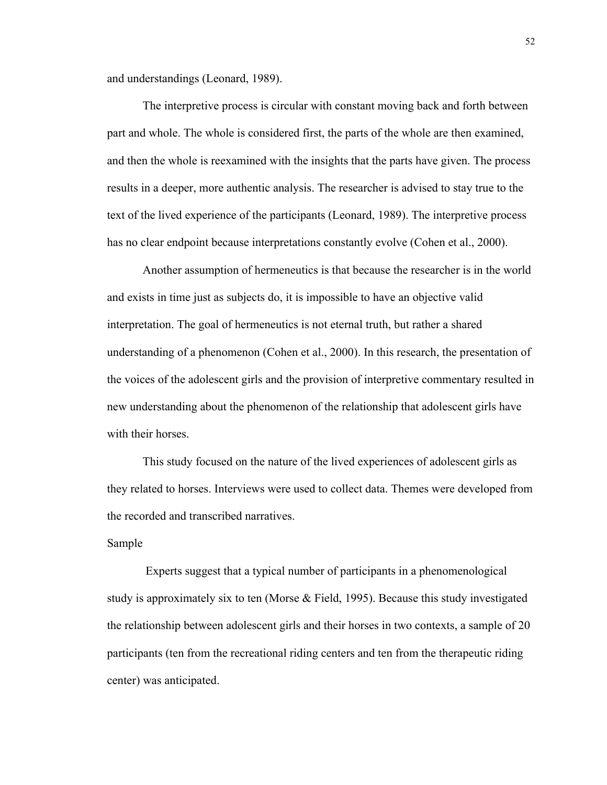and understandings (Leonard, 1989).

The interpretive process is circular with constant moving back and forth between part and whole. The whole is considered first, the parts of the whole are then examined, and then the whole is reexamined with the insights that the parts have given. The process results in a deeper, more authentic analysis. The researcher is advised to stay true to the text of the lived experience of the participants (Leonard, 1989). The interpretive process has no clear endpoint because interpretations constantly evolve (Cohen et al., 2000).

Another assumption of hermeneutics is that because the researcher is in the world and exists in time just as subjects do, it is impossible to have an objective valid interpretation. The goal of hermeneutics is not eternal truth, but rather a shared understanding of a phenomenon (Cohen et al., 2000). In this research, the presentation of the voices of the adolescent girls and the provision of interpretive commentary resulted in new understanding about the phenomenon of the relationship that adolescent girls have with their horses.

This study focused on the nature of the lived experiences of adolescent girls as they related to horses. Interviews were used to collect data. Themes were developed from the recorded and transcribed narratives.

#### Sample

 Experts suggest that a typical number of participants in a phenomenological study is approximately six to ten (Morse & Field, 1995). Because this study investigated the relationship between adolescent girls and their horses in two contexts, a sample of 20 participants (ten from the recreational riding centers and ten from the therapeutic riding center) was anticipated.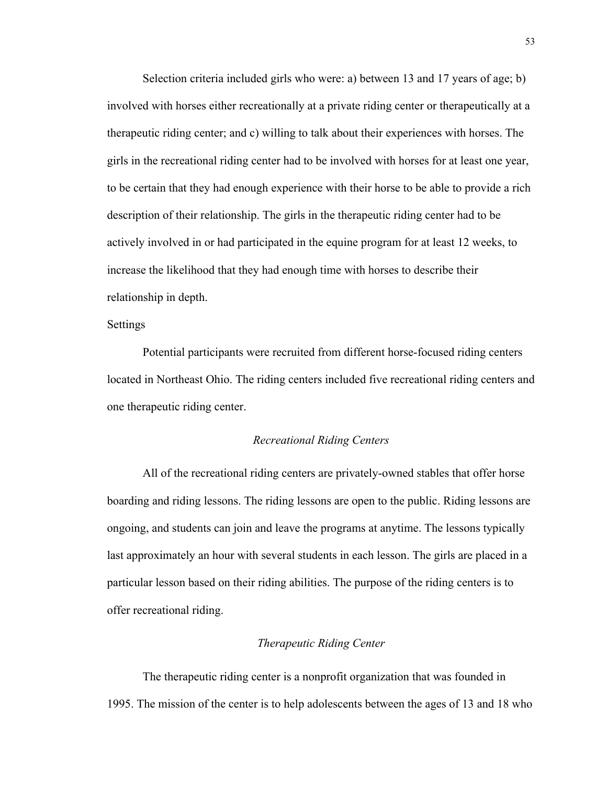Selection criteria included girls who were: a) between 13 and 17 years of age; b) involved with horses either recreationally at a private riding center or therapeutically at a therapeutic riding center; and c) willing to talk about their experiences with horses. The girls in the recreational riding center had to be involved with horses for at least one year, to be certain that they had enough experience with their horse to be able to provide a rich description of their relationship. The girls in the therapeutic riding center had to be actively involved in or had participated in the equine program for at least 12 weeks, to increase the likelihood that they had enough time with horses to describe their relationship in depth.

#### Settings

Potential participants were recruited from different horse-focused riding centers located in Northeast Ohio. The riding centers included five recreational riding centers and one therapeutic riding center.

#### *Recreational Riding Centers*

All of the recreational riding centers are privately-owned stables that offer horse boarding and riding lessons. The riding lessons are open to the public. Riding lessons are ongoing, and students can join and leave the programs at anytime. The lessons typically last approximately an hour with several students in each lesson. The girls are placed in a particular lesson based on their riding abilities. The purpose of the riding centers is to offer recreational riding.

## *Therapeutic Riding Center*

The therapeutic riding center is a nonprofit organization that was founded in 1995. The mission of the center is to help adolescents between the ages of 13 and 18 who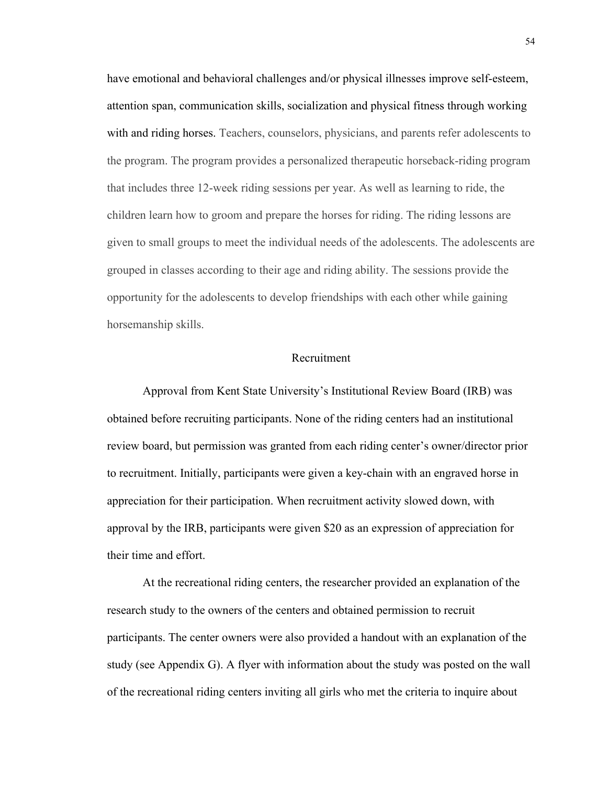have emotional and behavioral challenges and/or physical illnesses improve self-esteem, attention span, communication skills, socialization and physical fitness through working with and riding horses. Teachers, counselors, physicians, and parents refer adolescents to the program. The program provides a personalized therapeutic horseback-riding program that includes three 12-week riding sessions per year. As well as learning to ride, the children learn how to groom and prepare the horses for riding. The riding lessons are given to small groups to meet the individual needs of the adolescents. The adolescents are grouped in classes according to their age and riding ability. The sessions provide the opportunity for the adolescents to develop friendships with each other while gaining horsemanship skills.

## Recruitment

Approval from Kent State University's Institutional Review Board (IRB) was obtained before recruiting participants. None of the riding centers had an institutional review board, but permission was granted from each riding center's owner/director prior to recruitment. Initially, participants were given a key-chain with an engraved horse in appreciation for their participation. When recruitment activity slowed down, with approval by the IRB, participants were given \$20 as an expression of appreciation for their time and effort.

At the recreational riding centers, the researcher provided an explanation of the research study to the owners of the centers and obtained permission to recruit participants. The center owners were also provided a handout with an explanation of the study (see Appendix G). A flyer with information about the study was posted on the wall of the recreational riding centers inviting all girls who met the criteria to inquire about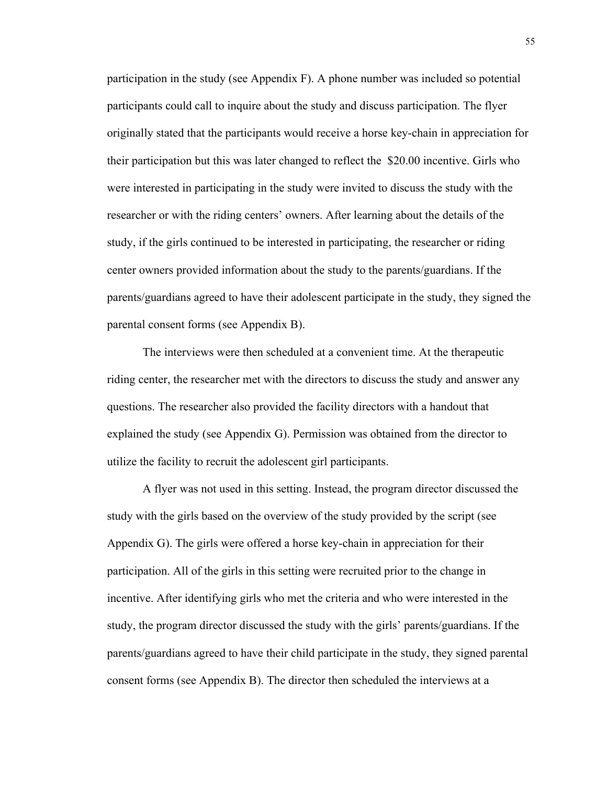participation in the study (see Appendix F). A phone number was included so potential participants could call to inquire about the study and discuss participation. The flyer originally stated that the participants would receive a horse key-chain in appreciation for their participation but this was later changed to reflect the \$20.00 incentive. Girls who were interested in participating in the study were invited to discuss the study with the researcher or with the riding centers' owners. After learning about the details of the study, if the girls continued to be interested in participating, the researcher or riding center owners provided information about the study to the parents/guardians. If the parents/guardians agreed to have their adolescent participate in the study, they signed the parental consent forms (see Appendix B).

The interviews were then scheduled at a convenient time. At the therapeutic riding center, the researcher met with the directors to discuss the study and answer any questions. The researcher also provided the facility directors with a handout that explained the study (see Appendix G). Permission was obtained from the director to utilize the facility to recruit the adolescent girl participants.

A flyer was not used in this setting. Instead, the program director discussed the study with the girls based on the overview of the study provided by the script (see Appendix G). The girls were offered a horse key-chain in appreciation for their participation. All of the girls in this setting were recruited prior to the change in incentive. After identifying girls who met the criteria and who were interested in the study, the program director discussed the study with the girls' parents/guardians. If the parents/guardians agreed to have their child participate in the study, they signed parental consent forms (see Appendix B). The director then scheduled the interviews at a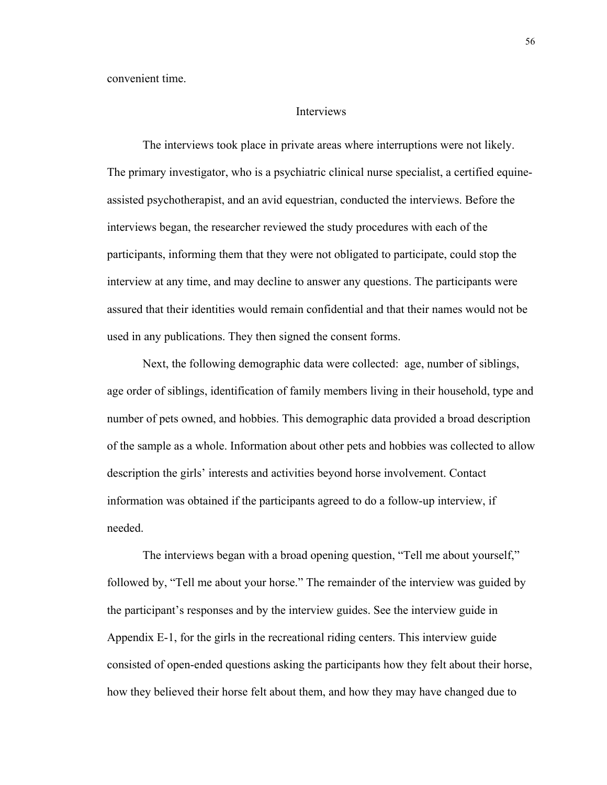convenient time.

#### Interviews

The interviews took place in private areas where interruptions were not likely. The primary investigator, who is a psychiatric clinical nurse specialist, a certified equineassisted psychotherapist, and an avid equestrian, conducted the interviews. Before the interviews began, the researcher reviewed the study procedures with each of the participants, informing them that they were not obligated to participate, could stop the interview at any time, and may decline to answer any questions. The participants were assured that their identities would remain confidential and that their names would not be used in any publications. They then signed the consent forms.

Next, the following demographic data were collected: age, number of siblings, age order of siblings, identification of family members living in their household, type and number of pets owned, and hobbies. This demographic data provided a broad description of the sample as a whole. Information about other pets and hobbies was collected to allow description the girls' interests and activities beyond horse involvement. Contact information was obtained if the participants agreed to do a follow-up interview, if needed.

The interviews began with a broad opening question, "Tell me about yourself," followed by, "Tell me about your horse." The remainder of the interview was guided by the participant's responses and by the interview guides. See the interview guide in Appendix E-1, for the girls in the recreational riding centers. This interview guide consisted of open-ended questions asking the participants how they felt about their horse, how they believed their horse felt about them, and how they may have changed due to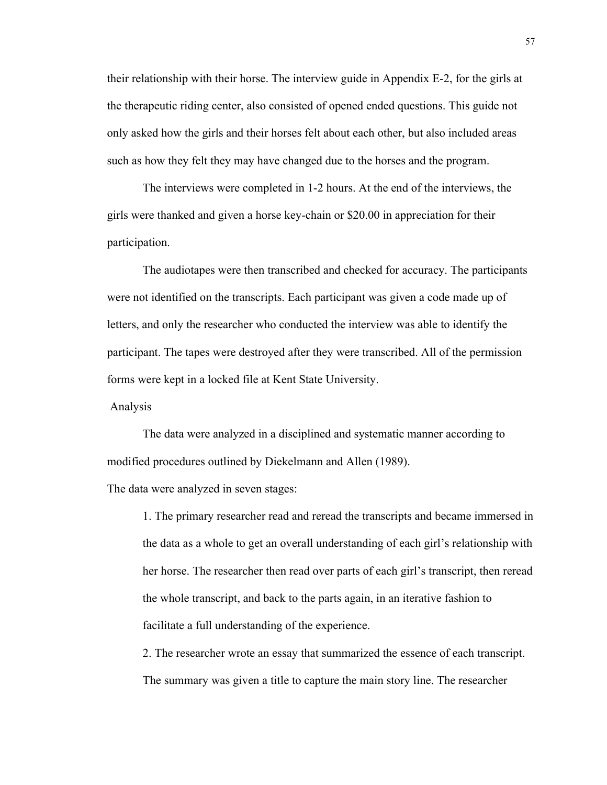their relationship with their horse. The interview guide in Appendix E-2, for the girls at the therapeutic riding center, also consisted of opened ended questions. This guide not only asked how the girls and their horses felt about each other, but also included areas such as how they felt they may have changed due to the horses and the program.

The interviews were completed in 1-2 hours. At the end of the interviews, the girls were thanked and given a horse key-chain or \$20.00 in appreciation for their participation.

The audiotapes were then transcribed and checked for accuracy. The participants were not identified on the transcripts. Each participant was given a code made up of letters, and only the researcher who conducted the interview was able to identify the participant. The tapes were destroyed after they were transcribed. All of the permission forms were kept in a locked file at Kent State University.

Analysis

The data were analyzed in a disciplined and systematic manner according to modified procedures outlined by Diekelmann and Allen (1989).

The data were analyzed in seven stages:

1. The primary researcher read and reread the transcripts and became immersed in the data as a whole to get an overall understanding of each girl's relationship with her horse. The researcher then read over parts of each girl's transcript, then reread the whole transcript, and back to the parts again, in an iterative fashion to facilitate a full understanding of the experience.

2. The researcher wrote an essay that summarized the essence of each transcript. The summary was given a title to capture the main story line. The researcher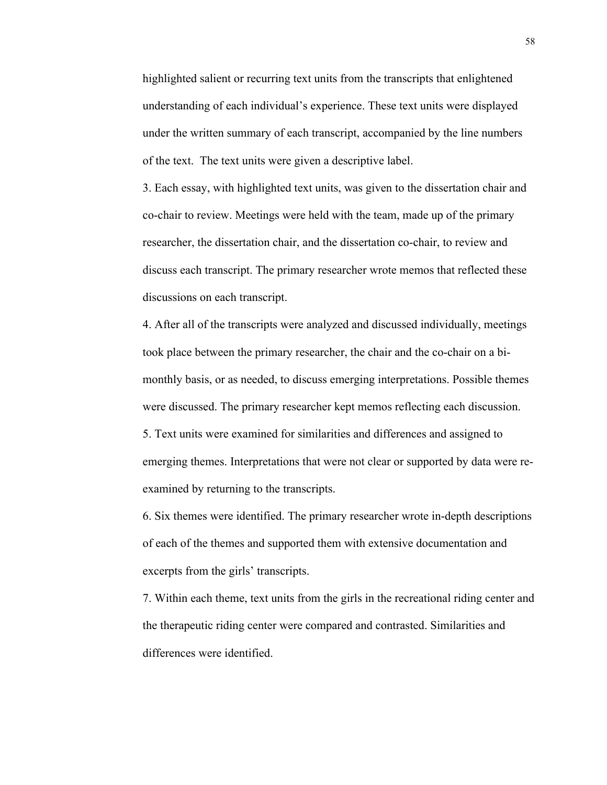highlighted salient or recurring text units from the transcripts that enlightened understanding of each individual's experience. These text units were displayed under the written summary of each transcript, accompanied by the line numbers of the text. The text units were given a descriptive label.

3. Each essay, with highlighted text units, was given to the dissertation chair and co-chair to review. Meetings were held with the team, made up of the primary researcher, the dissertation chair, and the dissertation co-chair, to review and discuss each transcript. The primary researcher wrote memos that reflected these discussions on each transcript.

4. After all of the transcripts were analyzed and discussed individually, meetings took place between the primary researcher, the chair and the co-chair on a bimonthly basis, or as needed, to discuss emerging interpretations. Possible themes were discussed. The primary researcher kept memos reflecting each discussion. 5. Text units were examined for similarities and differences and assigned to

emerging themes. Interpretations that were not clear or supported by data were reexamined by returning to the transcripts.

6. Six themes were identified. The primary researcher wrote in-depth descriptions of each of the themes and supported them with extensive documentation and excerpts from the girls' transcripts.

7. Within each theme, text units from the girls in the recreational riding center and the therapeutic riding center were compared and contrasted. Similarities and differences were identified.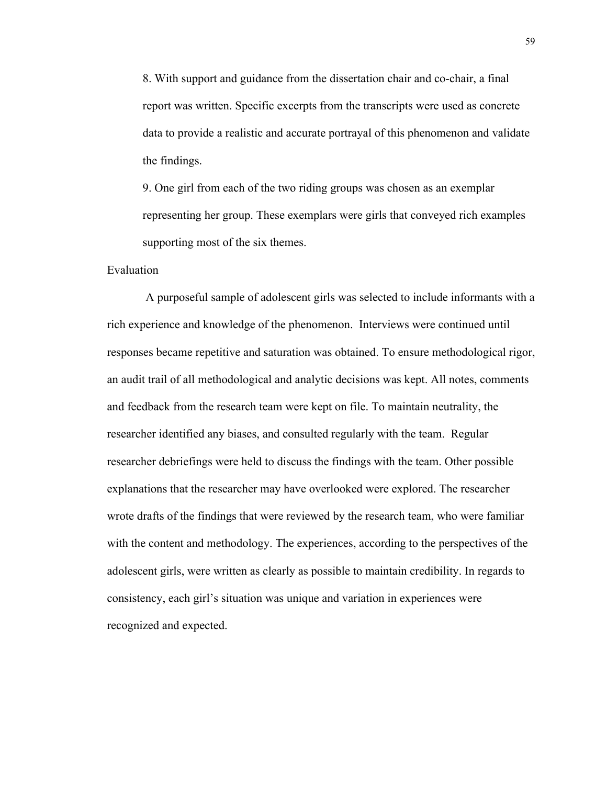8. With support and guidance from the dissertation chair and co-chair, a final report was written. Specific excerpts from the transcripts were used as concrete data to provide a realistic and accurate portrayal of this phenomenon and validate the findings.

9. One girl from each of the two riding groups was chosen as an exemplar representing her group. These exemplars were girls that conveyed rich examples supporting most of the six themes.

## Evaluation

 A purposeful sample of adolescent girls was selected to include informants with a rich experience and knowledge of the phenomenon. Interviews were continued until responses became repetitive and saturation was obtained. To ensure methodological rigor, an audit trail of all methodological and analytic decisions was kept. All notes, comments and feedback from the research team were kept on file. To maintain neutrality, the researcher identified any biases, and consulted regularly with the team. Regular researcher debriefings were held to discuss the findings with the team. Other possible explanations that the researcher may have overlooked were explored. The researcher wrote drafts of the findings that were reviewed by the research team, who were familiar with the content and methodology. The experiences, according to the perspectives of the adolescent girls, were written as clearly as possible to maintain credibility. In regards to consistency, each girl's situation was unique and variation in experiences were recognized and expected.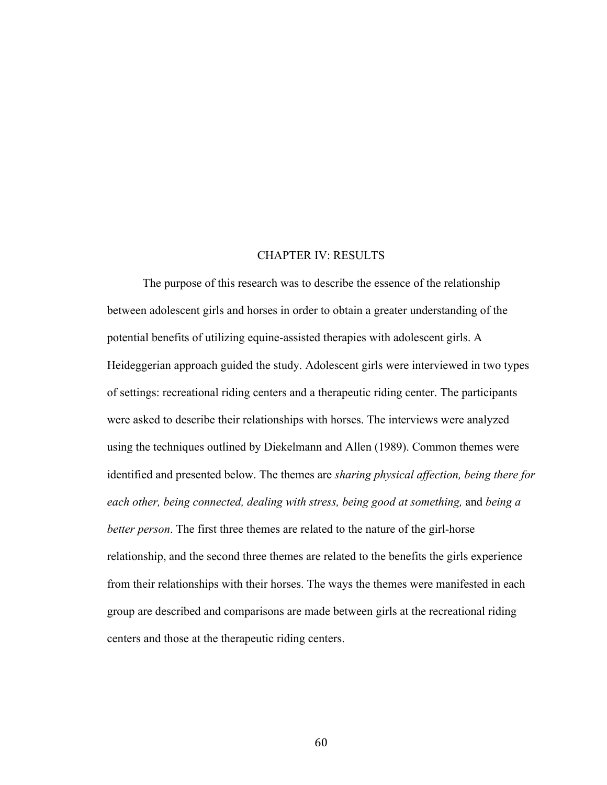## CHAPTER IV: RESULTS

The purpose of this research was to describe the essence of the relationship between adolescent girls and horses in order to obtain a greater understanding of the potential benefits of utilizing equine-assisted therapies with adolescent girls. A Heideggerian approach guided the study. Adolescent girls were interviewed in two types of settings: recreational riding centers and a therapeutic riding center. The participants were asked to describe their relationships with horses. The interviews were analyzed using the techniques outlined by Diekelmann and Allen (1989). Common themes were identified and presented below. The themes are *sharing physical affection, being there for each other, being connected, dealing with stress, being good at something,* and *being a better person*. The first three themes are related to the nature of the girl-horse relationship, and the second three themes are related to the benefits the girls experience from their relationships with their horses. The ways the themes were manifested in each group are described and comparisons are made between girls at the recreational riding centers and those at the therapeutic riding centers.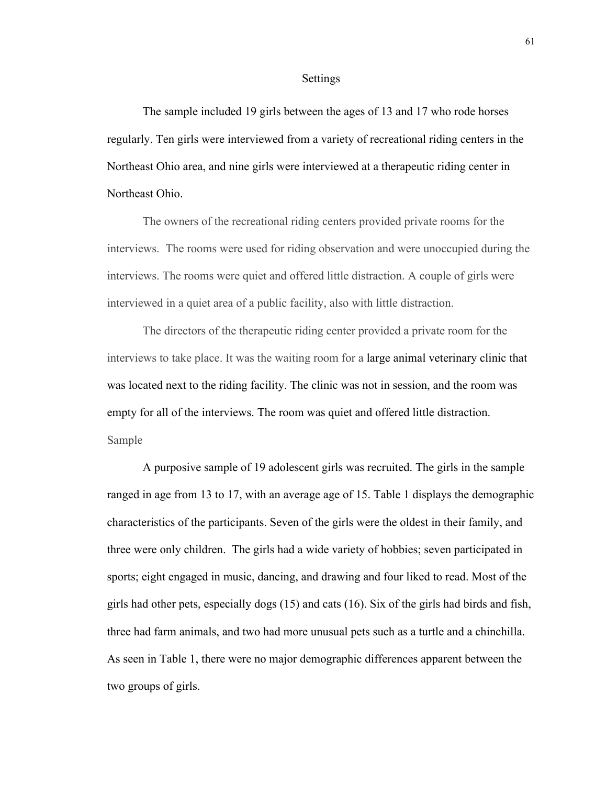#### Settings

The sample included 19 girls between the ages of 13 and 17 who rode horses regularly. Ten girls were interviewed from a variety of recreational riding centers in the Northeast Ohio area, and nine girls were interviewed at a therapeutic riding center in Northeast Ohio.

The owners of the recreational riding centers provided private rooms for the interviews. The rooms were used for riding observation and were unoccupied during the interviews. The rooms were quiet and offered little distraction. A couple of girls were interviewed in a quiet area of a public facility, also with little distraction.

The directors of the therapeutic riding center provided a private room for the interviews to take place. It was the waiting room for a large animal veterinary clinic that was located next to the riding facility. The clinic was not in session, and the room was empty for all of the interviews. The room was quiet and offered little distraction. Sample

A purposive sample of 19 adolescent girls was recruited. The girls in the sample ranged in age from 13 to 17, with an average age of 15. Table 1 displays the demographic characteristics of the participants. Seven of the girls were the oldest in their family, and three were only children. The girls had a wide variety of hobbies; seven participated in sports; eight engaged in music, dancing, and drawing and four liked to read. Most of the girls had other pets, especially dogs (15) and cats (16). Six of the girls had birds and fish, three had farm animals, and two had more unusual pets such as a turtle and a chinchilla. As seen in Table 1, there were no major demographic differences apparent between the two groups of girls.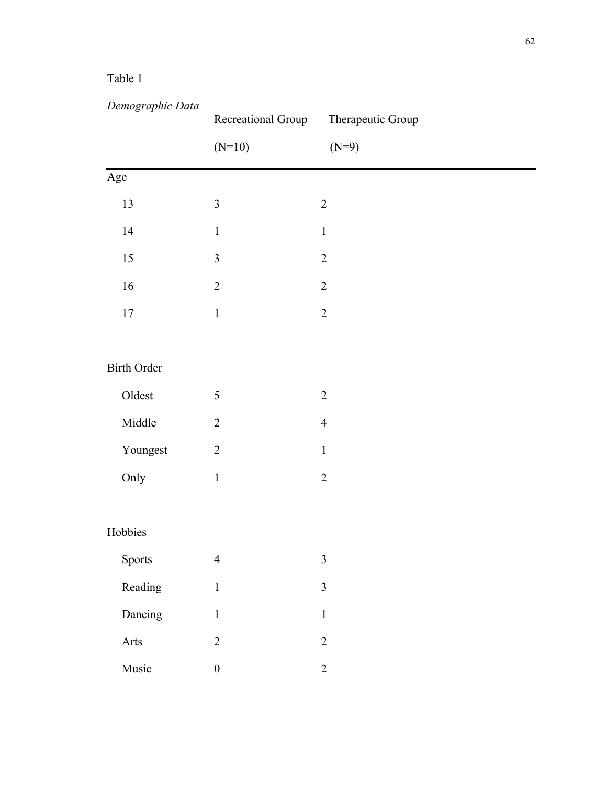# Table 1

| Demographic Data   | Recreational Group | Therapeutic Group |
|--------------------|--------------------|-------------------|
|                    | $(N=10)$           | $(N=9)$           |
| Age                |                    |                   |
| 13                 | $\mathfrak{Z}$     | $\overline{2}$    |
| 14                 | $\mathbf{1}$       | $\,1$             |
| 15                 | $\mathfrak{Z}$     | $\overline{2}$    |
| 16                 | $\sqrt{2}$         | $\overline{2}$    |
| $17\,$             | $\mathbf{1}$       | $\sqrt{2}$        |
|                    |                    |                   |
| <b>Birth Order</b> |                    |                   |
| Oldest             | $\sqrt{5}$         | $\sqrt{2}$        |
| Middle             | $\sqrt{2}$         | $\overline{4}$    |
| Youngest           | $\sqrt{2}$         | $\mathbf 1$       |
| Only               | $\,1$              | $\sqrt{2}$        |
|                    |                    |                   |
| Hobbies            |                    |                   |
| Sports             | $\overline{4}$     | $\mathfrak{Z}$    |
| Reading            | $\mathbf{1}$       | $\mathfrak{Z}$    |
| Dancing            | $\mathbf{1}$       | $\,1$             |
| Arts               | $\overline{2}$     | $\overline{2}$    |
| Music              | $\boldsymbol{0}$   | $\overline{2}$    |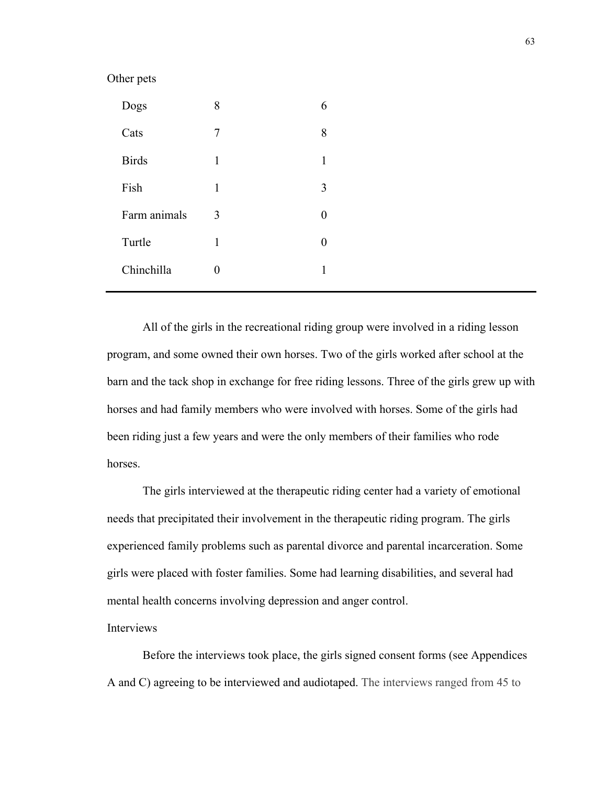## Other pets

| Dogs         | 8 | 6 |
|--------------|---|---|
| Cats         | 7 | 8 |
| <b>Birds</b> | 1 | 1 |
| Fish         | 1 | 3 |
| Farm animals | 3 | 0 |
| Turtle       | 1 | 0 |
| Chinchilla   |   |   |
|              |   |   |

All of the girls in the recreational riding group were involved in a riding lesson program, and some owned their own horses. Two of the girls worked after school at the barn and the tack shop in exchange for free riding lessons. Three of the girls grew up with horses and had family members who were involved with horses. Some of the girls had been riding just a few years and were the only members of their families who rode **horses** 

The girls interviewed at the therapeutic riding center had a variety of emotional needs that precipitated their involvement in the therapeutic riding program. The girls experienced family problems such as parental divorce and parental incarceration. Some girls were placed with foster families. Some had learning disabilities, and several had mental health concerns involving depression and anger control.

Interviews

Before the interviews took place, the girls signed consent forms (see Appendices A and C) agreeing to be interviewed and audiotaped. The interviews ranged from 45 to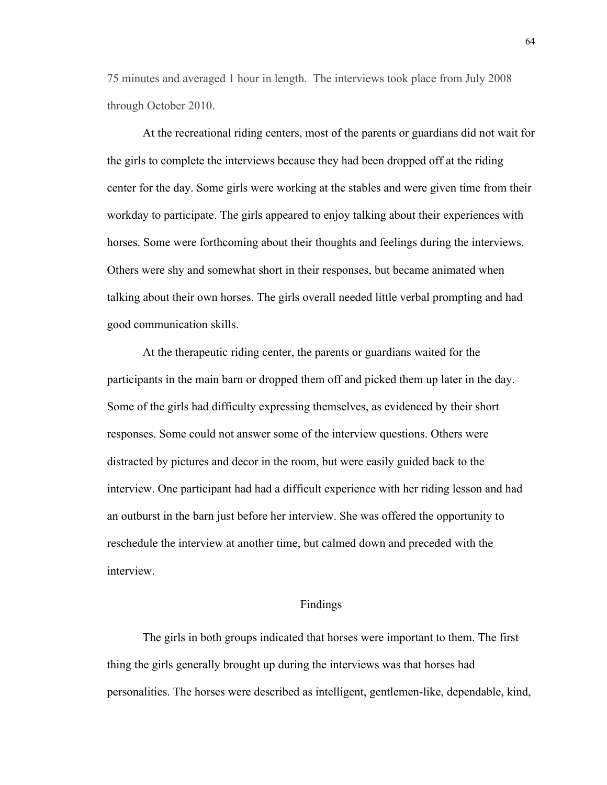75 minutes and averaged 1 hour in length. The interviews took place from July 2008 through October 2010.

At the recreational riding centers, most of the parents or guardians did not wait for the girls to complete the interviews because they had been dropped off at the riding center for the day. Some girls were working at the stables and were given time from their workday to participate. The girls appeared to enjoy talking about their experiences with horses. Some were forthcoming about their thoughts and feelings during the interviews. Others were shy and somewhat short in their responses, but became animated when talking about their own horses. The girls overall needed little verbal prompting and had good communication skills.

At the therapeutic riding center, the parents or guardians waited for the participants in the main barn or dropped them off and picked them up later in the day. Some of the girls had difficulty expressing themselves, as evidenced by their short responses. Some could not answer some of the interview questions. Others were distracted by pictures and decor in the room, but were easily guided back to the interview. One participant had had a difficult experience with her riding lesson and had an outburst in the barn just before her interview. She was offered the opportunity to reschedule the interview at another time, but calmed down and preceded with the interview.

# Findings

The girls in both groups indicated that horses were important to them. The first thing the girls generally brought up during the interviews was that horses had personalities. The horses were described as intelligent, gentlemen-like, dependable, kind,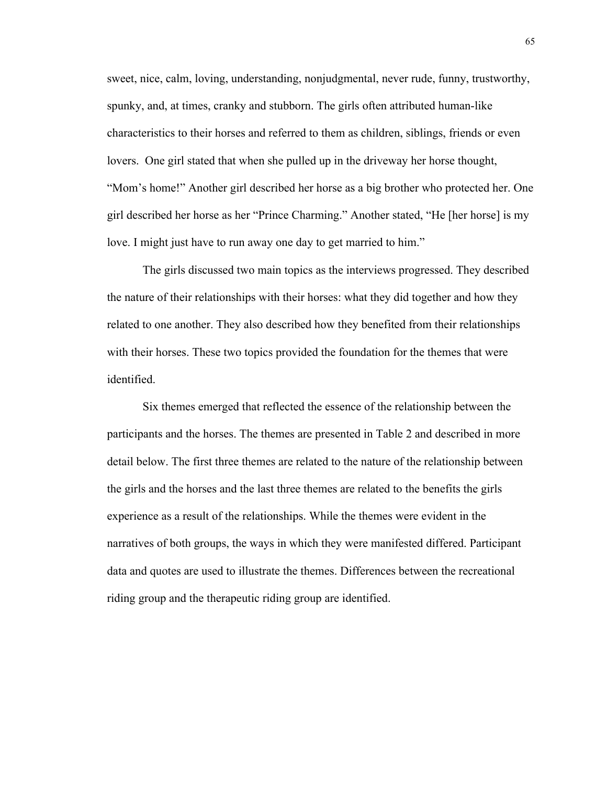sweet, nice, calm, loving, understanding, nonjudgmental, never rude, funny, trustworthy, spunky, and, at times, cranky and stubborn. The girls often attributed human-like characteristics to their horses and referred to them as children, siblings, friends or even lovers. One girl stated that when she pulled up in the driveway her horse thought, "Mom's home!" Another girl described her horse as a big brother who protected her. One girl described her horse as her "Prince Charming." Another stated, "He [her horse] is my love. I might just have to run away one day to get married to him."

The girls discussed two main topics as the interviews progressed. They described the nature of their relationships with their horses: what they did together and how they related to one another. They also described how they benefited from their relationships with their horses. These two topics provided the foundation for the themes that were identified.

Six themes emerged that reflected the essence of the relationship between the participants and the horses. The themes are presented in Table 2 and described in more detail below. The first three themes are related to the nature of the relationship between the girls and the horses and the last three themes are related to the benefits the girls experience as a result of the relationships. While the themes were evident in the narratives of both groups, the ways in which they were manifested differed. Participant data and quotes are used to illustrate the themes. Differences between the recreational riding group and the therapeutic riding group are identified.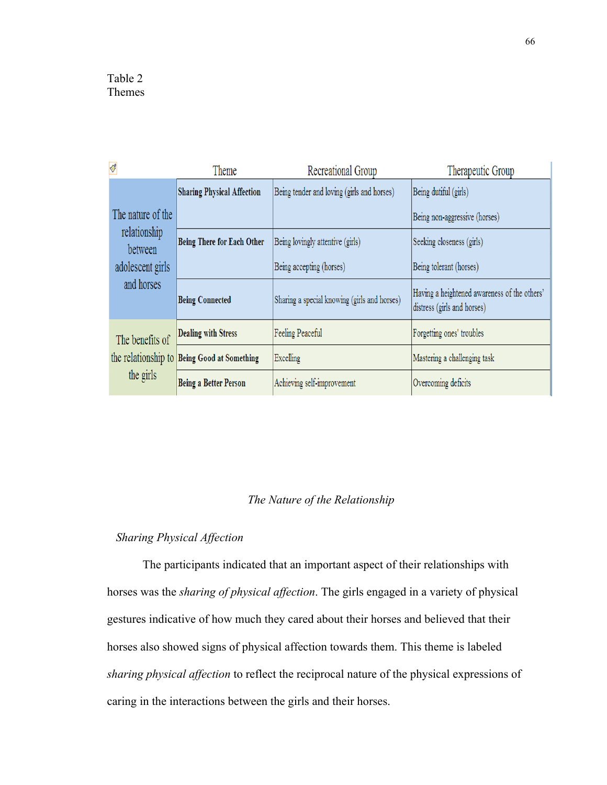| $\blacklozenge$              | Theme                                       | Recreational Group                           | Therapeutic Group                                                           |
|------------------------------|---------------------------------------------|----------------------------------------------|-----------------------------------------------------------------------------|
|                              | <b>Sharing Physical Affection</b>           | Being tender and loving (girls and horses)   | Being dutiful (girls)                                                       |
| The nature of the            |                                             |                                              | Being non-aggressive (horses)                                               |
| relationship<br>between      | <b>Being There for Each Other</b>           | Being lovingly attentive (girls)             | Seeking closeness (girls)                                                   |
| adolescent girls             |                                             | Being accepting (horses)                     | Being tolerant (horses)                                                     |
| and horses                   | <b>Being Connected</b>                      | Sharing a special knowing (girls and horses) | Having a heightened awareness of the others'<br>distress (girls and horses) |
| The benefits of<br>the girls | <b>Dealing with Stress</b>                  | Feeling Peaceful                             | Forgetting ones' troubles                                                   |
|                              | the relationship to Being Good at Something | Excelling                                    | Mastering a challenging task                                                |
|                              | <b>Being a Better Person</b>                | Achieving self-improvement                   | Overcoming deficits                                                         |

# *The Nature of the Relationship*

# *Sharing Physical Affection*

The participants indicated that an important aspect of their relationships with horses was the *sharing of physical affection*. The girls engaged in a variety of physical gestures indicative of how much they cared about their horses and believed that their horses also showed signs of physical affection towards them. This theme is labeled *sharing physical affection* to reflect the reciprocal nature of the physical expressions of caring in the interactions between the girls and their horses.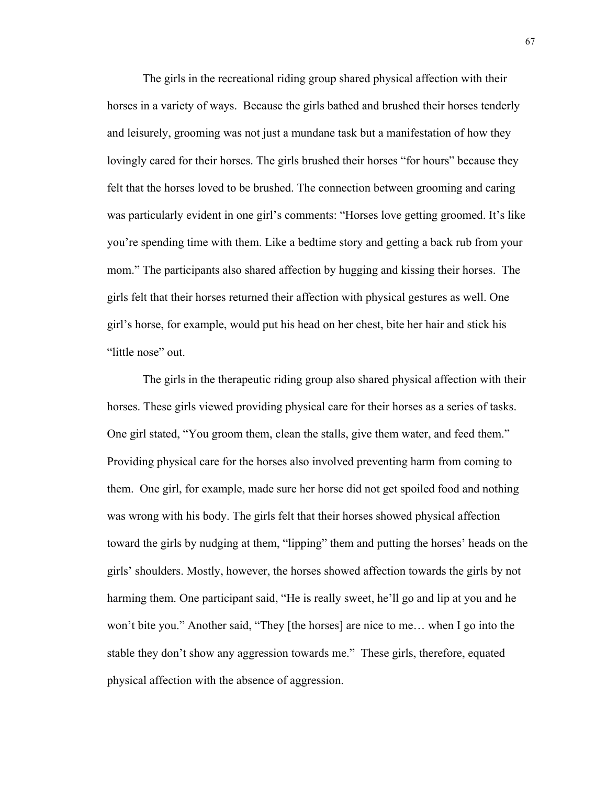The girls in the recreational riding group shared physical affection with their horses in a variety of ways. Because the girls bathed and brushed their horses tenderly and leisurely, grooming was not just a mundane task but a manifestation of how they lovingly cared for their horses. The girls brushed their horses "for hours" because they felt that the horses loved to be brushed. The connection between grooming and caring was particularly evident in one girl's comments: "Horses love getting groomed. It's like you're spending time with them. Like a bedtime story and getting a back rub from your mom." The participants also shared affection by hugging and kissing their horses. The girls felt that their horses returned their affection with physical gestures as well. One girl's horse, for example, would put his head on her chest, bite her hair and stick his "little nose" out.

The girls in the therapeutic riding group also shared physical affection with their horses. These girls viewed providing physical care for their horses as a series of tasks. One girl stated, "You groom them, clean the stalls, give them water, and feed them." Providing physical care for the horses also involved preventing harm from coming to them. One girl, for example, made sure her horse did not get spoiled food and nothing was wrong with his body. The girls felt that their horses showed physical affection toward the girls by nudging at them, "lipping" them and putting the horses' heads on the girls' shoulders. Mostly, however, the horses showed affection towards the girls by not harming them. One participant said, "He is really sweet, he'll go and lip at you and he won't bite you." Another said, "They [the horses] are nice to me… when I go into the stable they don't show any aggression towards me." These girls, therefore, equated physical affection with the absence of aggression.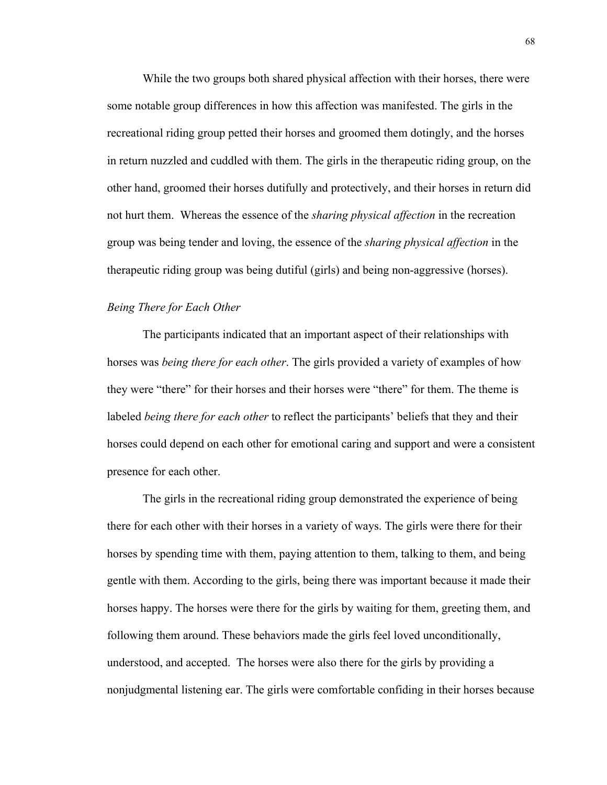While the two groups both shared physical affection with their horses, there were some notable group differences in how this affection was manifested. The girls in the recreational riding group petted their horses and groomed them dotingly, and the horses in return nuzzled and cuddled with them. The girls in the therapeutic riding group, on the other hand, groomed their horses dutifully and protectively, and their horses in return did not hurt them. Whereas the essence of the *sharing physical affection* in the recreation group was being tender and loving, the essence of the *sharing physical affection* in the therapeutic riding group was being dutiful (girls) and being non-aggressive (horses).

# *Being There for Each Other*

The participants indicated that an important aspect of their relationships with horses was *being there for each other*. The girls provided a variety of examples of how they were "there" for their horses and their horses were "there" for them. The theme is labeled *being there for each other* to reflect the participants' beliefs that they and their horses could depend on each other for emotional caring and support and were a consistent presence for each other.

The girls in the recreational riding group demonstrated the experience of being there for each other with their horses in a variety of ways. The girls were there for their horses by spending time with them, paying attention to them, talking to them, and being gentle with them. According to the girls, being there was important because it made their horses happy. The horses were there for the girls by waiting for them, greeting them, and following them around. These behaviors made the girls feel loved unconditionally, understood, and accepted. The horses were also there for the girls by providing a nonjudgmental listening ear. The girls were comfortable confiding in their horses because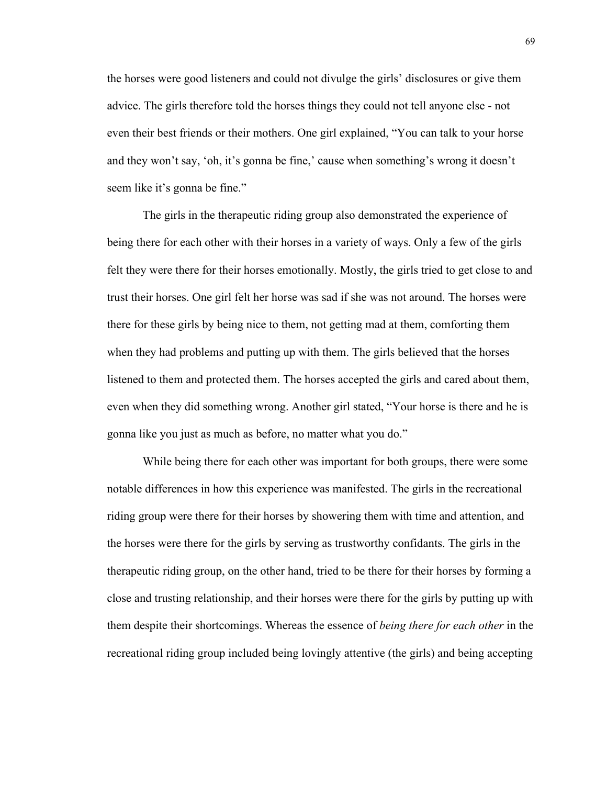the horses were good listeners and could not divulge the girls' disclosures or give them advice. The girls therefore told the horses things they could not tell anyone else - not even their best friends or their mothers. One girl explained, "You can talk to your horse and they won't say, 'oh, it's gonna be fine,' cause when something's wrong it doesn't seem like it's gonna be fine."

The girls in the therapeutic riding group also demonstrated the experience of being there for each other with their horses in a variety of ways. Only a few of the girls felt they were there for their horses emotionally. Mostly, the girls tried to get close to and trust their horses. One girl felt her horse was sad if she was not around. The horses were there for these girls by being nice to them, not getting mad at them, comforting them when they had problems and putting up with them. The girls believed that the horses listened to them and protected them. The horses accepted the girls and cared about them, even when they did something wrong. Another girl stated, "Your horse is there and he is gonna like you just as much as before, no matter what you do."

While being there for each other was important for both groups, there were some notable differences in how this experience was manifested. The girls in the recreational riding group were there for their horses by showering them with time and attention, and the horses were there for the girls by serving as trustworthy confidants. The girls in the therapeutic riding group, on the other hand, tried to be there for their horses by forming a close and trusting relationship, and their horses were there for the girls by putting up with them despite their shortcomings. Whereas the essence of *being there for each other* in the recreational riding group included being lovingly attentive (the girls) and being accepting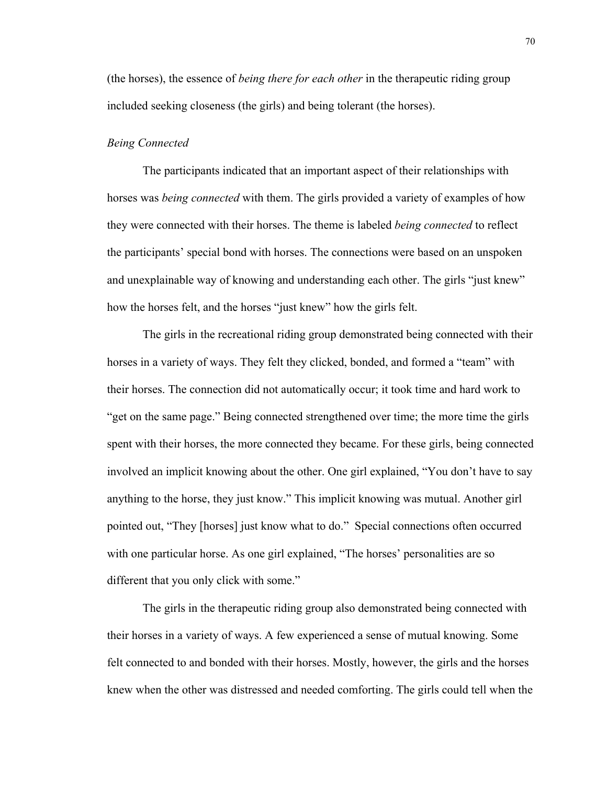(the horses), the essence of *being there for each other* in the therapeutic riding group included seeking closeness (the girls) and being tolerant (the horses).

## *Being Connected*

The participants indicated that an important aspect of their relationships with horses was *being connected* with them. The girls provided a variety of examples of how they were connected with their horses. The theme is labeled *being connected* to reflect the participants' special bond with horses. The connections were based on an unspoken and unexplainable way of knowing and understanding each other. The girls "just knew" how the horses felt, and the horses "just knew" how the girls felt.

The girls in the recreational riding group demonstrated being connected with their horses in a variety of ways. They felt they clicked, bonded, and formed a "team" with their horses. The connection did not automatically occur; it took time and hard work to "get on the same page." Being connected strengthened over time; the more time the girls spent with their horses, the more connected they became. For these girls, being connected involved an implicit knowing about the other. One girl explained, "You don't have to say anything to the horse, they just know." This implicit knowing was mutual. Another girl pointed out, "They [horses] just know what to do." Special connections often occurred with one particular horse. As one girl explained, "The horses' personalities are so different that you only click with some."

The girls in the therapeutic riding group also demonstrated being connected with their horses in a variety of ways. A few experienced a sense of mutual knowing. Some felt connected to and bonded with their horses. Mostly, however, the girls and the horses knew when the other was distressed and needed comforting. The girls could tell when the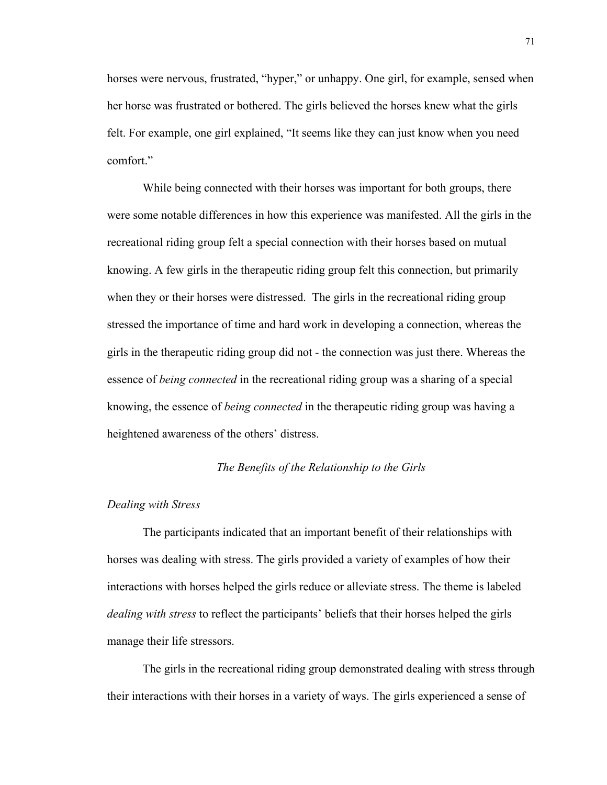horses were nervous, frustrated, "hyper," or unhappy. One girl, for example, sensed when her horse was frustrated or bothered. The girls believed the horses knew what the girls felt. For example, one girl explained, "It seems like they can just know when you need comfort."

While being connected with their horses was important for both groups, there were some notable differences in how this experience was manifested. All the girls in the recreational riding group felt a special connection with their horses based on mutual knowing. A few girls in the therapeutic riding group felt this connection, but primarily when they or their horses were distressed. The girls in the recreational riding group stressed the importance of time and hard work in developing a connection, whereas the girls in the therapeutic riding group did not - the connection was just there. Whereas the essence of *being connected* in the recreational riding group was a sharing of a special knowing, the essence of *being connected* in the therapeutic riding group was having a heightened awareness of the others' distress.

## *The Benefits of the Relationship to the Girls*

## *Dealing with Stress*

The participants indicated that an important benefit of their relationships with horses was dealing with stress. The girls provided a variety of examples of how their interactions with horses helped the girls reduce or alleviate stress. The theme is labeled *dealing with stress* to reflect the participants' beliefs that their horses helped the girls manage their life stressors.

The girls in the recreational riding group demonstrated dealing with stress through their interactions with their horses in a variety of ways. The girls experienced a sense of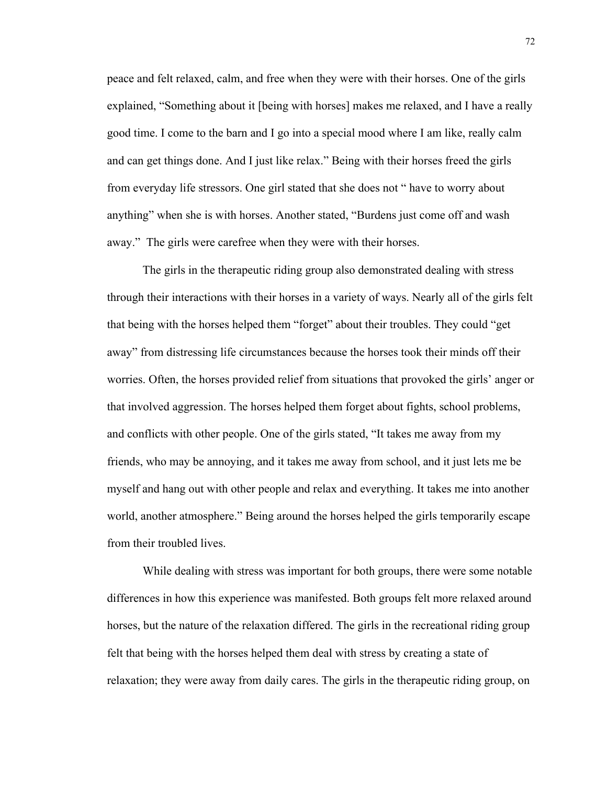peace and felt relaxed, calm, and free when they were with their horses. One of the girls explained, "Something about it [being with horses] makes me relaxed, and I have a really good time. I come to the barn and I go into a special mood where I am like, really calm and can get things done. And I just like relax." Being with their horses freed the girls from everyday life stressors. One girl stated that she does not " have to worry about anything" when she is with horses. Another stated, "Burdens just come off and wash away." The girls were carefree when they were with their horses.

The girls in the therapeutic riding group also demonstrated dealing with stress through their interactions with their horses in a variety of ways. Nearly all of the girls felt that being with the horses helped them "forget" about their troubles. They could "get away" from distressing life circumstances because the horses took their minds off their worries. Often, the horses provided relief from situations that provoked the girls' anger or that involved aggression. The horses helped them forget about fights, school problems, and conflicts with other people. One of the girls stated, "It takes me away from my friends, who may be annoying, and it takes me away from school, and it just lets me be myself and hang out with other people and relax and everything. It takes me into another world, another atmosphere." Being around the horses helped the girls temporarily escape from their troubled lives.

While dealing with stress was important for both groups, there were some notable differences in how this experience was manifested. Both groups felt more relaxed around horses, but the nature of the relaxation differed. The girls in the recreational riding group felt that being with the horses helped them deal with stress by creating a state of relaxation; they were away from daily cares. The girls in the therapeutic riding group, on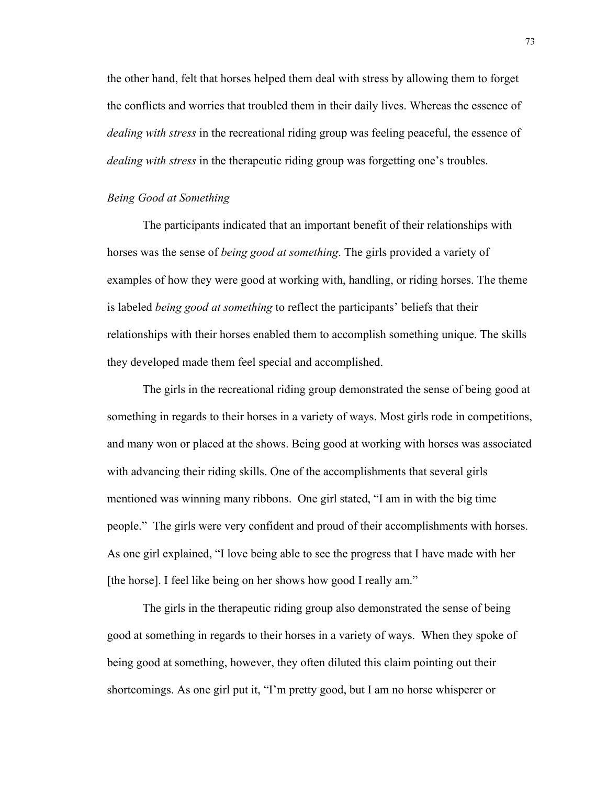the other hand, felt that horses helped them deal with stress by allowing them to forget the conflicts and worries that troubled them in their daily lives. Whereas the essence of *dealing with stress* in the recreational riding group was feeling peaceful, the essence of *dealing with stress* in the therapeutic riding group was forgetting one's troubles.

# *Being Good at Something*

The participants indicated that an important benefit of their relationships with horses was the sense of *being good at something*. The girls provided a variety of examples of how they were good at working with, handling, or riding horses. The theme is labeled *being good at something* to reflect the participants' beliefs that their relationships with their horses enabled them to accomplish something unique. The skills they developed made them feel special and accomplished.

The girls in the recreational riding group demonstrated the sense of being good at something in regards to their horses in a variety of ways. Most girls rode in competitions, and many won or placed at the shows. Being good at working with horses was associated with advancing their riding skills. One of the accomplishments that several girls mentioned was winning many ribbons. One girl stated, "I am in with the big time people." The girls were very confident and proud of their accomplishments with horses. As one girl explained, "I love being able to see the progress that I have made with her [the horse]. I feel like being on her shows how good I really am."

The girls in the therapeutic riding group also demonstrated the sense of being good at something in regards to their horses in a variety of ways. When they spoke of being good at something, however, they often diluted this claim pointing out their shortcomings. As one girl put it, "I'm pretty good, but I am no horse whisperer or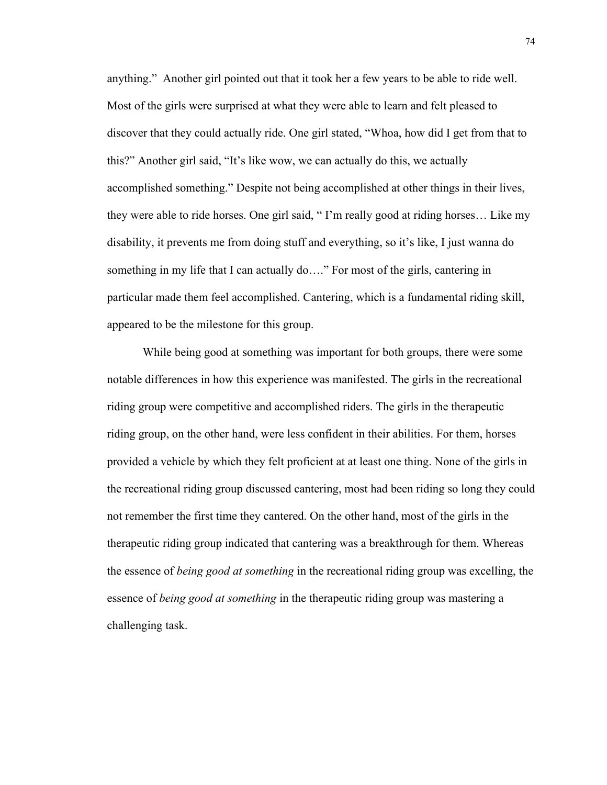anything." Another girl pointed out that it took her a few years to be able to ride well. Most of the girls were surprised at what they were able to learn and felt pleased to discover that they could actually ride. One girl stated, "Whoa, how did I get from that to this?" Another girl said, "It's like wow, we can actually do this, we actually accomplished something." Despite not being accomplished at other things in their lives, they were able to ride horses. One girl said, " I'm really good at riding horses… Like my disability, it prevents me from doing stuff and everything, so it's like, I just wanna do something in my life that I can actually do…." For most of the girls, cantering in particular made them feel accomplished. Cantering, which is a fundamental riding skill, appeared to be the milestone for this group.

While being good at something was important for both groups, there were some notable differences in how this experience was manifested. The girls in the recreational riding group were competitive and accomplished riders. The girls in the therapeutic riding group, on the other hand, were less confident in their abilities. For them, horses provided a vehicle by which they felt proficient at at least one thing. None of the girls in the recreational riding group discussed cantering, most had been riding so long they could not remember the first time they cantered. On the other hand, most of the girls in the therapeutic riding group indicated that cantering was a breakthrough for them. Whereas the essence of *being good at something* in the recreational riding group was excelling, the essence of *being good at something* in the therapeutic riding group was mastering a challenging task.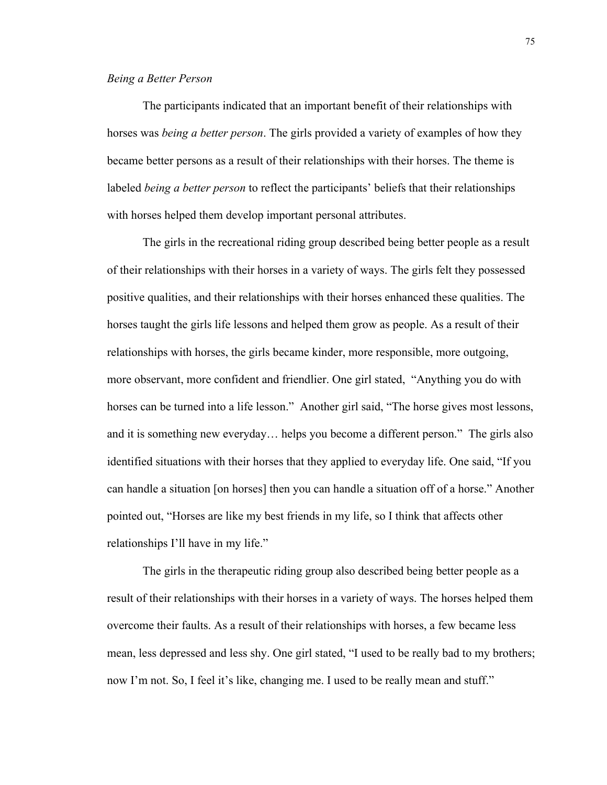# *Being a Better Person*

The participants indicated that an important benefit of their relationships with horses was *being a better person*. The girls provided a variety of examples of how they became better persons as a result of their relationships with their horses. The theme is labeled *being a better person* to reflect the participants' beliefs that their relationships with horses helped them develop important personal attributes.

The girls in the recreational riding group described being better people as a result of their relationships with their horses in a variety of ways. The girls felt they possessed positive qualities, and their relationships with their horses enhanced these qualities. The horses taught the girls life lessons and helped them grow as people. As a result of their relationships with horses, the girls became kinder, more responsible, more outgoing, more observant, more confident and friendlier. One girl stated, "Anything you do with horses can be turned into a life lesson." Another girl said, "The horse gives most lessons, and it is something new everyday… helps you become a different person." The girls also identified situations with their horses that they applied to everyday life. One said, "If you can handle a situation [on horses] then you can handle a situation off of a horse." Another pointed out, "Horses are like my best friends in my life, so I think that affects other relationships I'll have in my life."

The girls in the therapeutic riding group also described being better people as a result of their relationships with their horses in a variety of ways. The horses helped them overcome their faults. As a result of their relationships with horses, a few became less mean, less depressed and less shy. One girl stated, "I used to be really bad to my brothers; now I'm not. So, I feel it's like, changing me. I used to be really mean and stuff."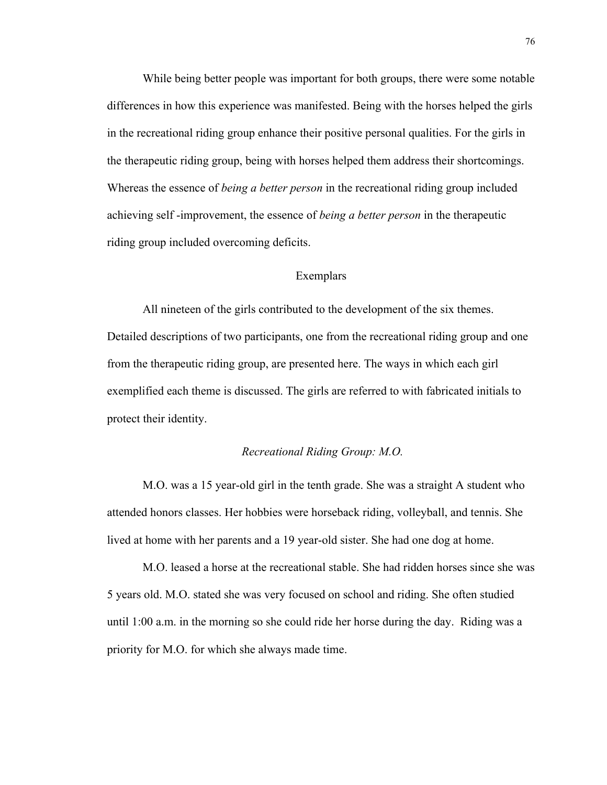While being better people was important for both groups, there were some notable differences in how this experience was manifested. Being with the horses helped the girls in the recreational riding group enhance their positive personal qualities. For the girls in the therapeutic riding group, being with horses helped them address their shortcomings. Whereas the essence of *being a better person* in the recreational riding group included achieving self -improvement, the essence of *being a better person* in the therapeutic riding group included overcoming deficits.

# Exemplars

All nineteen of the girls contributed to the development of the six themes. Detailed descriptions of two participants, one from the recreational riding group and one from the therapeutic riding group, are presented here. The ways in which each girl exemplified each theme is discussed. The girls are referred to with fabricated initials to protect their identity.

# *Recreational Riding Group: M.O.*

M.O. was a 15 year-old girl in the tenth grade. She was a straight A student who attended honors classes. Her hobbies were horseback riding, volleyball, and tennis. She lived at home with her parents and a 19 year-old sister. She had one dog at home.

M.O. leased a horse at the recreational stable. She had ridden horses since she was 5 years old. M.O. stated she was very focused on school and riding. She often studied until 1:00 a.m. in the morning so she could ride her horse during the day. Riding was a priority for M.O. for which she always made time.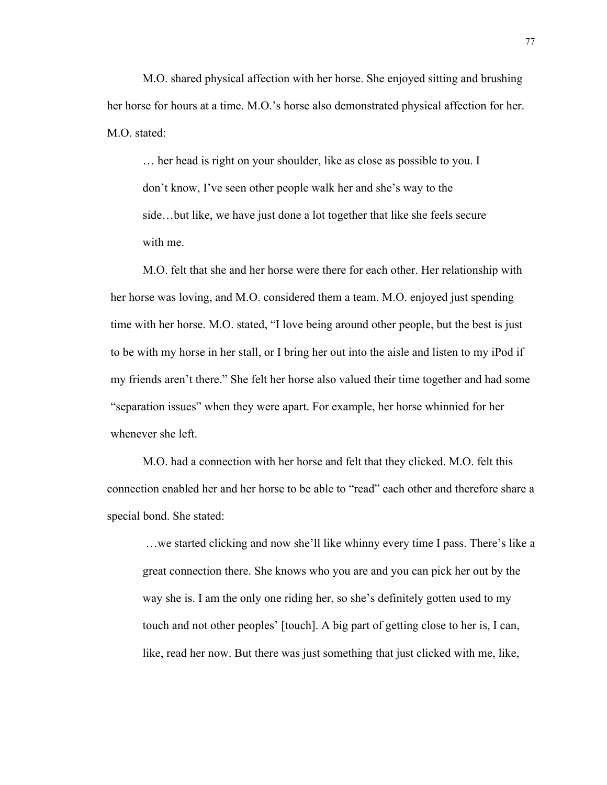M.O. shared physical affection with her horse. She enjoyed sitting and brushing her horse for hours at a time. M.O.'s horse also demonstrated physical affection for her. M.O. stated:

… her head is right on your shoulder, like as close as possible to you. I don't know, I've seen other people walk her and she's way to the side…but like, we have just done a lot together that like she feels secure with me.

M.O. felt that she and her horse were there for each other. Her relationship with her horse was loving, and M.O. considered them a team. M.O. enjoyed just spending time with her horse. M.O. stated, "I love being around other people, but the best is just to be with my horse in her stall, or I bring her out into the aisle and listen to my iPod if my friends aren't there." She felt her horse also valued their time together and had some "separation issues" when they were apart. For example, her horse whinnied for her whenever she left.

M.O. had a connection with her horse and felt that they clicked. M.O. felt this connection enabled her and her horse to be able to "read" each other and therefore share a special bond. She stated:

…we started clicking and now she'll like whinny every time I pass. There's like a great connection there. She knows who you are and you can pick her out by the way she is. I am the only one riding her, so she's definitely gotten used to my touch and not other peoples' [touch]. A big part of getting close to her is, I can, like, read her now. But there was just something that just clicked with me, like,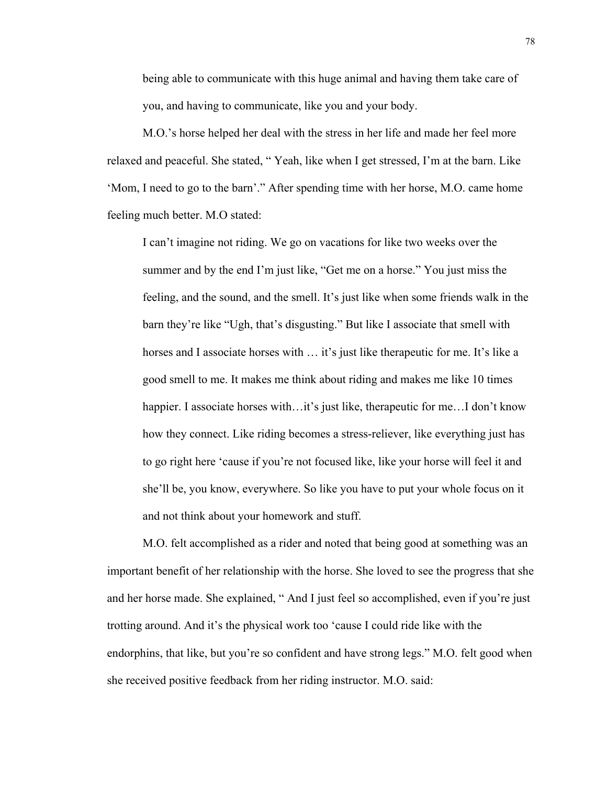being able to communicate with this huge animal and having them take care of you, and having to communicate, like you and your body.

M.O.'s horse helped her deal with the stress in her life and made her feel more relaxed and peaceful. She stated, " Yeah, like when I get stressed, I'm at the barn. Like 'Mom, I need to go to the barn'." After spending time with her horse, M.O. came home feeling much better. M.O stated:

I can't imagine not riding. We go on vacations for like two weeks over the summer and by the end I'm just like, "Get me on a horse." You just miss the feeling, and the sound, and the smell. It's just like when some friends walk in the barn they're like "Ugh, that's disgusting." But like I associate that smell with horses and I associate horses with ... it's just like therapeutic for me. It's like a good smell to me. It makes me think about riding and makes me like 10 times happier. I associate horses with...it's just like, therapeutic for me...I don't know how they connect. Like riding becomes a stress-reliever, like everything just has to go right here 'cause if you're not focused like, like your horse will feel it and she'll be, you know, everywhere. So like you have to put your whole focus on it and not think about your homework and stuff.

M.O. felt accomplished as a rider and noted that being good at something was an important benefit of her relationship with the horse. She loved to see the progress that she and her horse made. She explained, " And I just feel so accomplished, even if you're just trotting around. And it's the physical work too 'cause I could ride like with the endorphins, that like, but you're so confident and have strong legs." M.O. felt good when she received positive feedback from her riding instructor. M.O. said: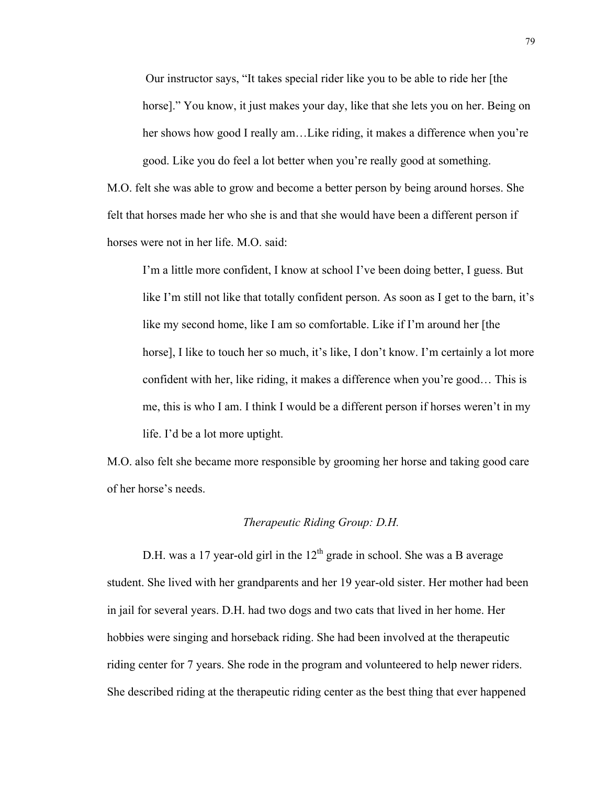Our instructor says, "It takes special rider like you to be able to ride her [the horse]." You know, it just makes your day, like that she lets you on her. Being on her shows how good I really am...Like riding, it makes a difference when you're good. Like you do feel a lot better when you're really good at something.

M.O. felt she was able to grow and become a better person by being around horses. She felt that horses made her who she is and that she would have been a different person if horses were not in her life. M.O. said:

I'm a little more confident, I know at school I've been doing better, I guess. But like I'm still not like that totally confident person. As soon as I get to the barn, it's like my second home, like I am so comfortable. Like if I'm around her [the horse], I like to touch her so much, it's like, I don't know. I'm certainly a lot more confident with her, like riding, it makes a difference when you're good… This is me, this is who I am. I think I would be a different person if horses weren't in my life. I'd be a lot more uptight.

M.O. also felt she became more responsible by grooming her horse and taking good care of her horse's needs.

# *Therapeutic Riding Group: D.H.*

D.H. was a 17 year-old girl in the  $12<sup>th</sup>$  grade in school. She was a B average student. She lived with her grandparents and her 19 year-old sister. Her mother had been in jail for several years. D.H. had two dogs and two cats that lived in her home. Her hobbies were singing and horseback riding. She had been involved at the therapeutic riding center for 7 years. She rode in the program and volunteered to help newer riders. She described riding at the therapeutic riding center as the best thing that ever happened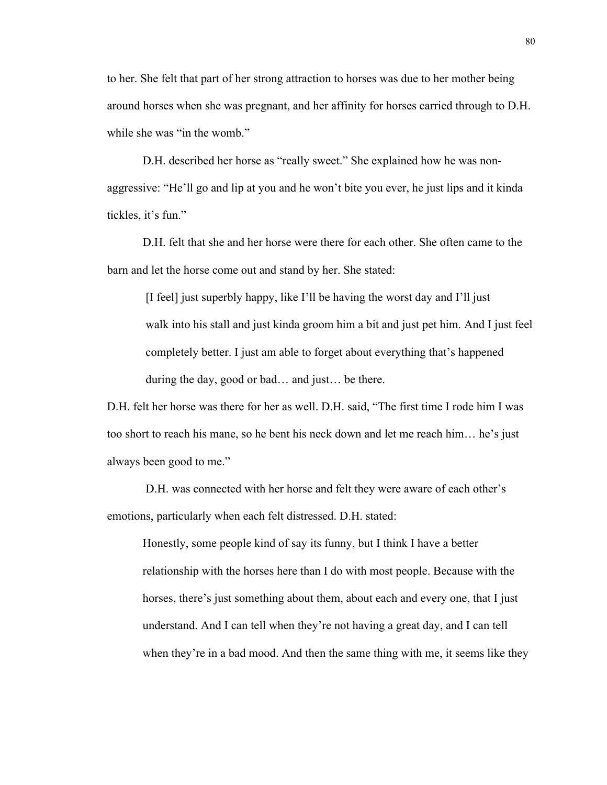to her. She felt that part of her strong attraction to horses was due to her mother being around horses when she was pregnant, and her affinity for horses carried through to D.H. while she was "in the womb."

D.H. described her horse as "really sweet." She explained how he was nonaggressive: "He'll go and lip at you and he won't bite you ever, he just lips and it kinda tickles, it's fun."

D.H. felt that she and her horse were there for each other. She often came to the barn and let the horse come out and stand by her. She stated:

 [I feel] just superbly happy, like I'll be having the worst day and I'll just walk into his stall and just kinda groom him a bit and just pet him. And I just feel completely better. I just am able to forget about everything that's happened during the day, good or bad… and just… be there.

D.H. felt her horse was there for her as well. D.H. said, "The first time I rode him I was too short to reach his mane, so he bent his neck down and let me reach him… he's just always been good to me."

 D.H. was connected with her horse and felt they were aware of each other's emotions, particularly when each felt distressed. D.H. stated:

Honestly, some people kind of say its funny, but I think I have a better relationship with the horses here than I do with most people. Because with the horses, there's just something about them, about each and every one, that I just understand. And I can tell when they're not having a great day, and I can tell when they're in a bad mood. And then the same thing with me, it seems like they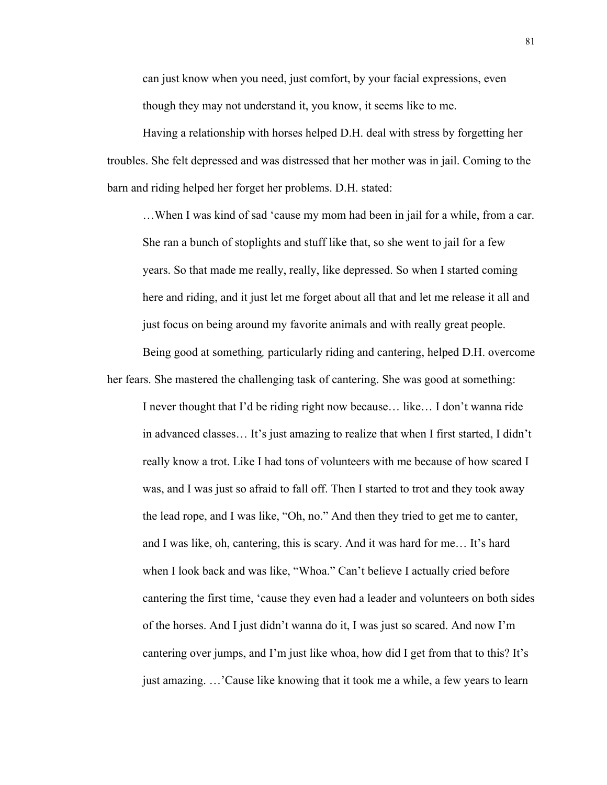can just know when you need, just comfort, by your facial expressions, even though they may not understand it, you know, it seems like to me.

Having a relationship with horses helped D.H. deal with stress by forgetting her troubles. She felt depressed and was distressed that her mother was in jail. Coming to the barn and riding helped her forget her problems. D.H. stated:

…When I was kind of sad 'cause my mom had been in jail for a while, from a car. She ran a bunch of stoplights and stuff like that, so she went to jail for a few years. So that made me really, really, like depressed. So when I started coming here and riding, and it just let me forget about all that and let me release it all and just focus on being around my favorite animals and with really great people.

Being good at something*,* particularly riding and cantering, helped D.H. overcome her fears. She mastered the challenging task of cantering. She was good at something:

I never thought that I'd be riding right now because… like… I don't wanna ride in advanced classes… It's just amazing to realize that when I first started, I didn't really know a trot. Like I had tons of volunteers with me because of how scared I was, and I was just so afraid to fall off. Then I started to trot and they took away the lead rope, and I was like, "Oh, no." And then they tried to get me to canter, and I was like, oh, cantering, this is scary. And it was hard for me… It's hard when I look back and was like, "Whoa." Can't believe I actually cried before cantering the first time, 'cause they even had a leader and volunteers on both sides of the horses. And I just didn't wanna do it, I was just so scared. And now I'm cantering over jumps, and I'm just like whoa, how did I get from that to this? It's just amazing. …'Cause like knowing that it took me a while, a few years to learn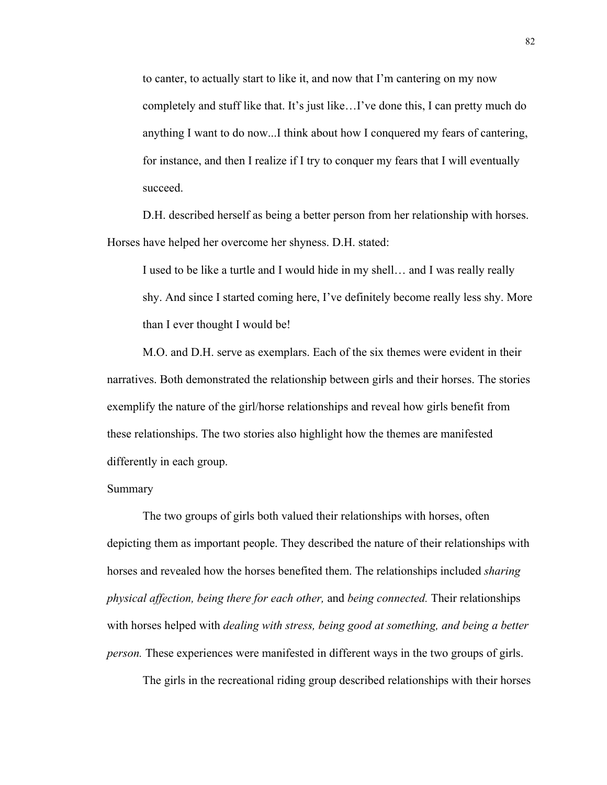to canter, to actually start to like it, and now that I'm cantering on my now completely and stuff like that. It's just like…I've done this, I can pretty much do anything I want to do now...I think about how I conquered my fears of cantering, for instance, and then I realize if I try to conquer my fears that I will eventually succeed.

D.H. described herself as being a better person from her relationship with horses. Horses have helped her overcome her shyness. D.H. stated:

I used to be like a turtle and I would hide in my shell… and I was really really shy. And since I started coming here, I've definitely become really less shy. More than I ever thought I would be!

M.O. and D.H. serve as exemplars. Each of the six themes were evident in their narratives. Both demonstrated the relationship between girls and their horses. The stories exemplify the nature of the girl/horse relationships and reveal how girls benefit from these relationships. The two stories also highlight how the themes are manifested differently in each group.

## Summary

The two groups of girls both valued their relationships with horses, often depicting them as important people. They described the nature of their relationships with horses and revealed how the horses benefited them. The relationships included *sharing physical affection, being there for each other,* and *being connected.* Their relationships with horses helped with *dealing with stress, being good at something, and being a better person.* These experiences were manifested in different ways in the two groups of girls.

The girls in the recreational riding group described relationships with their horses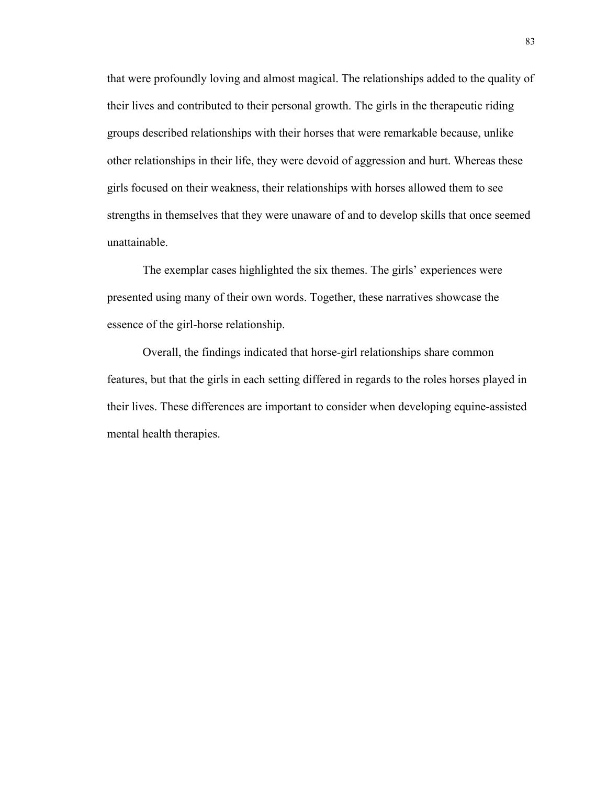that were profoundly loving and almost magical. The relationships added to the quality of their lives and contributed to their personal growth. The girls in the therapeutic riding groups described relationships with their horses that were remarkable because, unlike other relationships in their life, they were devoid of aggression and hurt. Whereas these girls focused on their weakness, their relationships with horses allowed them to see strengths in themselves that they were unaware of and to develop skills that once seemed unattainable.

The exemplar cases highlighted the six themes. The girls' experiences were presented using many of their own words. Together, these narratives showcase the essence of the girl-horse relationship.

Overall, the findings indicated that horse-girl relationships share common features, but that the girls in each setting differed in regards to the roles horses played in their lives. These differences are important to consider when developing equine-assisted mental health therapies.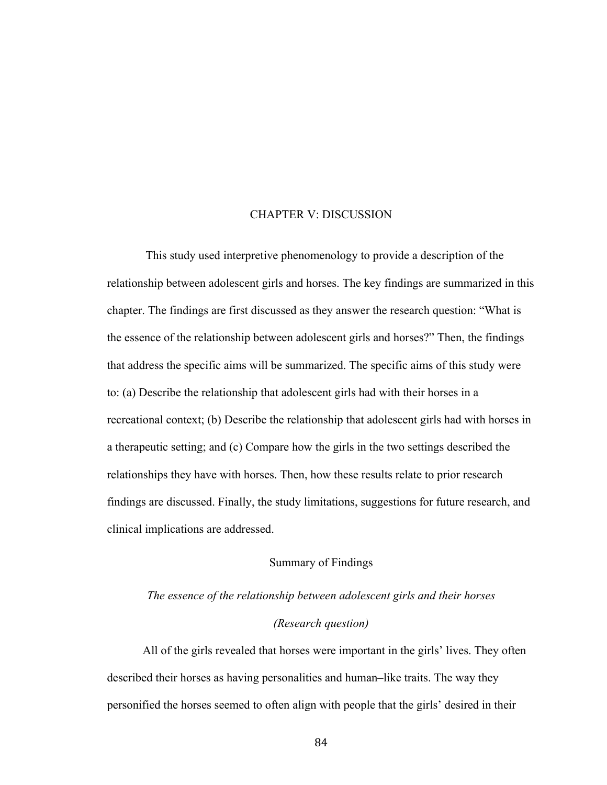# CHAPTER V: DISCUSSION

 This study used interpretive phenomenology to provide a description of the relationship between adolescent girls and horses. The key findings are summarized in this chapter. The findings are first discussed as they answer the research question: "What is the essence of the relationship between adolescent girls and horses?" Then, the findings that address the specific aims will be summarized. The specific aims of this study were to: (a) Describe the relationship that adolescent girls had with their horses in a recreational context; (b) Describe the relationship that adolescent girls had with horses in a therapeutic setting; and (c) Compare how the girls in the two settings described the relationships they have with horses. Then, how these results relate to prior research findings are discussed. Finally, the study limitations, suggestions for future research, and clinical implications are addressed.

# Summary of Findings

# *The essence of the relationship between adolescent girls and their horses (Research question)*

All of the girls revealed that horses were important in the girls' lives. They often described their horses as having personalities and human–like traits. The way they personified the horses seemed to often align with people that the girls' desired in their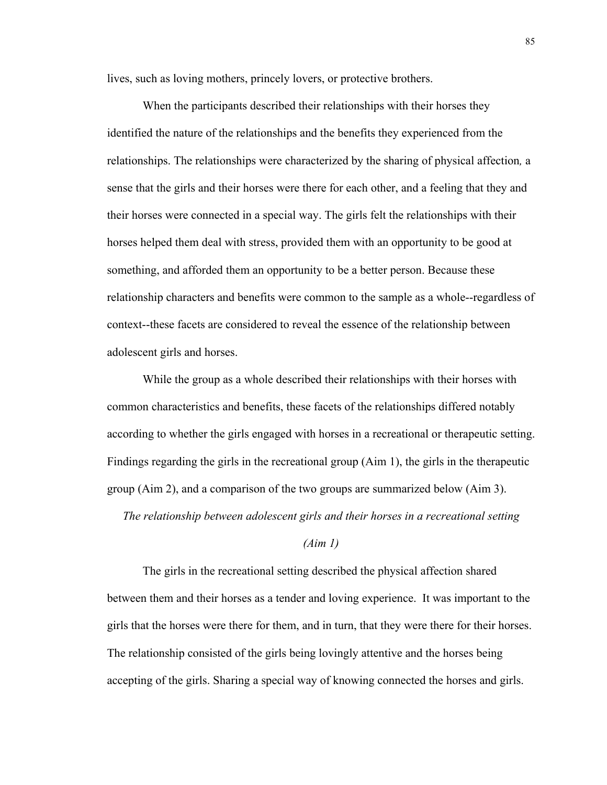lives, such as loving mothers, princely lovers, or protective brothers.

When the participants described their relationships with their horses they identified the nature of the relationships and the benefits they experienced from the relationships. The relationships were characterized by the sharing of physical affection*,* a sense that the girls and their horses were there for each other, and a feeling that they and their horses were connected in a special way. The girls felt the relationships with their horses helped them deal with stress, provided them with an opportunity to be good at something, and afforded them an opportunity to be a better person. Because these relationship characters and benefits were common to the sample as a whole--regardless of context--these facets are considered to reveal the essence of the relationship between adolescent girls and horses.

While the group as a whole described their relationships with their horses with common characteristics and benefits, these facets of the relationships differed notably according to whether the girls engaged with horses in a recreational or therapeutic setting. Findings regarding the girls in the recreational group (Aim 1), the girls in the therapeutic group (Aim 2), and a comparison of the two groups are summarized below (Aim 3).

*The relationship between adolescent girls and their horses in a recreational setting*

# *(Aim 1)*

The girls in the recreational setting described the physical affection shared between them and their horses as a tender and loving experience. It was important to the girls that the horses were there for them, and in turn, that they were there for their horses. The relationship consisted of the girls being lovingly attentive and the horses being accepting of the girls. Sharing a special way of knowing connected the horses and girls.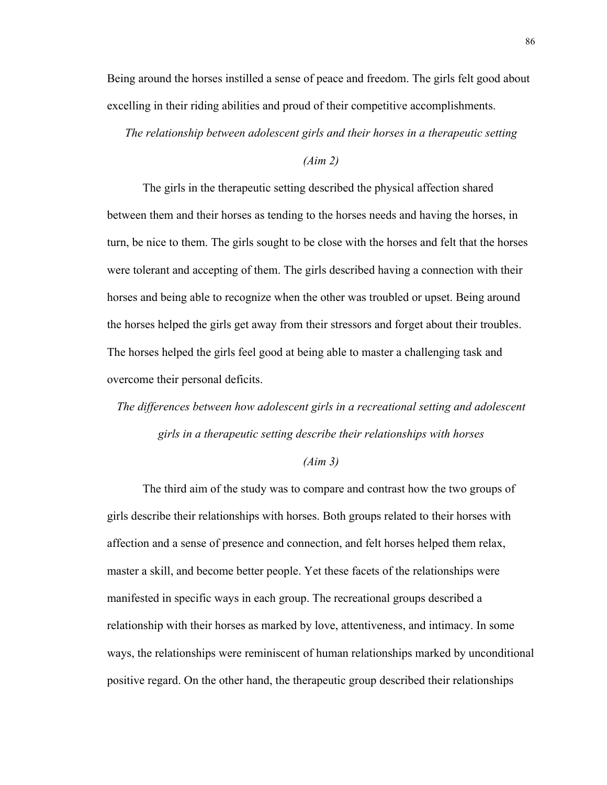Being around the horses instilled a sense of peace and freedom. The girls felt good about excelling in their riding abilities and proud of their competitive accomplishments.

*The relationship between adolescent girls and their horses in a therapeutic setting*

### *(Aim 2)*

The girls in the therapeutic setting described the physical affection shared between them and their horses as tending to the horses needs and having the horses, in turn, be nice to them. The girls sought to be close with the horses and felt that the horses were tolerant and accepting of them. The girls described having a connection with their horses and being able to recognize when the other was troubled or upset. Being around the horses helped the girls get away from their stressors and forget about their troubles. The horses helped the girls feel good at being able to master a challenging task and overcome their personal deficits.

*The differences between how adolescent girls in a recreational setting and adolescent girls in a therapeutic setting describe their relationships with horses*

## *(Aim 3)*

The third aim of the study was to compare and contrast how the two groups of girls describe their relationships with horses. Both groups related to their horses with affection and a sense of presence and connection, and felt horses helped them relax, master a skill, and become better people. Yet these facets of the relationships were manifested in specific ways in each group. The recreational groups described a relationship with their horses as marked by love, attentiveness, and intimacy. In some ways, the relationships were reminiscent of human relationships marked by unconditional positive regard. On the other hand, the therapeutic group described their relationships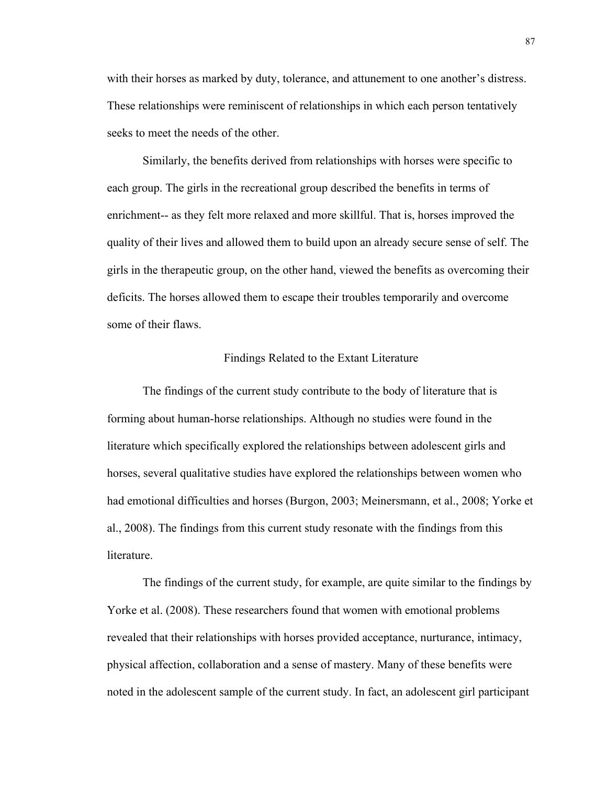with their horses as marked by duty, tolerance, and attunement to one another's distress. These relationships were reminiscent of relationships in which each person tentatively seeks to meet the needs of the other.

Similarly, the benefits derived from relationships with horses were specific to each group. The girls in the recreational group described the benefits in terms of enrichment-- as they felt more relaxed and more skillful. That is, horses improved the quality of their lives and allowed them to build upon an already secure sense of self. The girls in the therapeutic group, on the other hand, viewed the benefits as overcoming their deficits. The horses allowed them to escape their troubles temporarily and overcome some of their flaws.

### Findings Related to the Extant Literature

The findings of the current study contribute to the body of literature that is forming about human-horse relationships. Although no studies were found in the literature which specifically explored the relationships between adolescent girls and horses, several qualitative studies have explored the relationships between women who had emotional difficulties and horses (Burgon, 2003; Meinersmann, et al., 2008; Yorke et al., 2008). The findings from this current study resonate with the findings from this literature.

The findings of the current study, for example, are quite similar to the findings by Yorke et al. (2008). These researchers found that women with emotional problems revealed that their relationships with horses provided acceptance, nurturance, intimacy, physical affection, collaboration and a sense of mastery. Many of these benefits were noted in the adolescent sample of the current study. In fact, an adolescent girl participant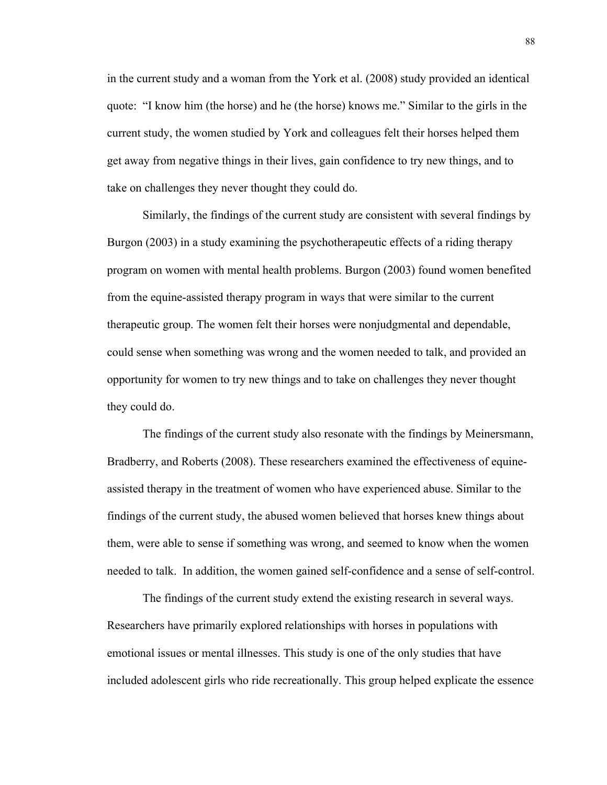in the current study and a woman from the York et al. (2008) study provided an identical quote: "I know him (the horse) and he (the horse) knows me." Similar to the girls in the current study, the women studied by York and colleagues felt their horses helped them get away from negative things in their lives, gain confidence to try new things, and to take on challenges they never thought they could do.

Similarly, the findings of the current study are consistent with several findings by Burgon (2003) in a study examining the psychotherapeutic effects of a riding therapy program on women with mental health problems. Burgon (2003) found women benefited from the equine-assisted therapy program in ways that were similar to the current therapeutic group. The women felt their horses were nonjudgmental and dependable, could sense when something was wrong and the women needed to talk, and provided an opportunity for women to try new things and to take on challenges they never thought they could do.

The findings of the current study also resonate with the findings by Meinersmann, Bradberry, and Roberts (2008). These researchers examined the effectiveness of equineassisted therapy in the treatment of women who have experienced abuse. Similar to the findings of the current study, the abused women believed that horses knew things about them, were able to sense if something was wrong, and seemed to know when the women needed to talk. In addition, the women gained self-confidence and a sense of self-control.

The findings of the current study extend the existing research in several ways. Researchers have primarily explored relationships with horses in populations with emotional issues or mental illnesses. This study is one of the only studies that have included adolescent girls who ride recreationally. This group helped explicate the essence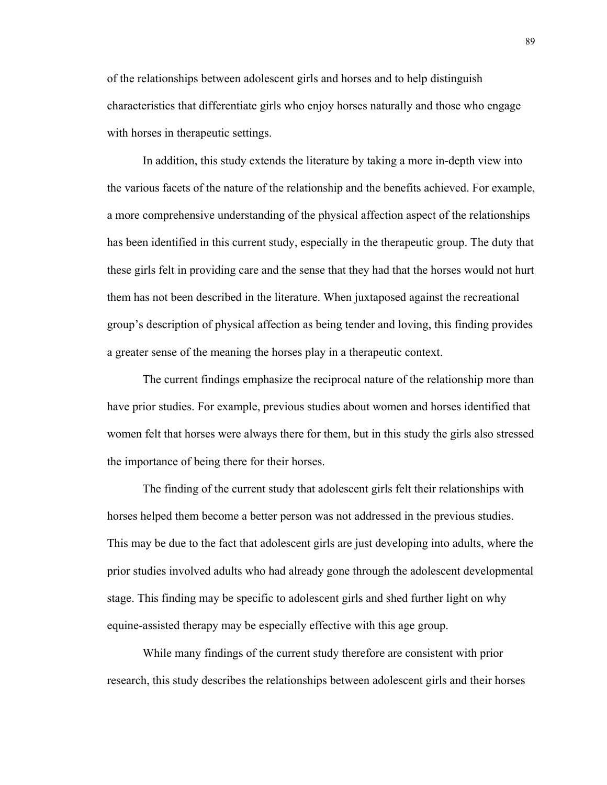of the relationships between adolescent girls and horses and to help distinguish characteristics that differentiate girls who enjoy horses naturally and those who engage with horses in therapeutic settings.

In addition, this study extends the literature by taking a more in-depth view into the various facets of the nature of the relationship and the benefits achieved. For example, a more comprehensive understanding of the physical affection aspect of the relationships has been identified in this current study, especially in the therapeutic group. The duty that these girls felt in providing care and the sense that they had that the horses would not hurt them has not been described in the literature. When juxtaposed against the recreational group's description of physical affection as being tender and loving, this finding provides a greater sense of the meaning the horses play in a therapeutic context.

The current findings emphasize the reciprocal nature of the relationship more than have prior studies. For example, previous studies about women and horses identified that women felt that horses were always there for them, but in this study the girls also stressed the importance of being there for their horses.

The finding of the current study that adolescent girls felt their relationships with horses helped them become a better person was not addressed in the previous studies. This may be due to the fact that adolescent girls are just developing into adults, where the prior studies involved adults who had already gone through the adolescent developmental stage. This finding may be specific to adolescent girls and shed further light on why equine-assisted therapy may be especially effective with this age group.

While many findings of the current study therefore are consistent with prior research, this study describes the relationships between adolescent girls and their horses

89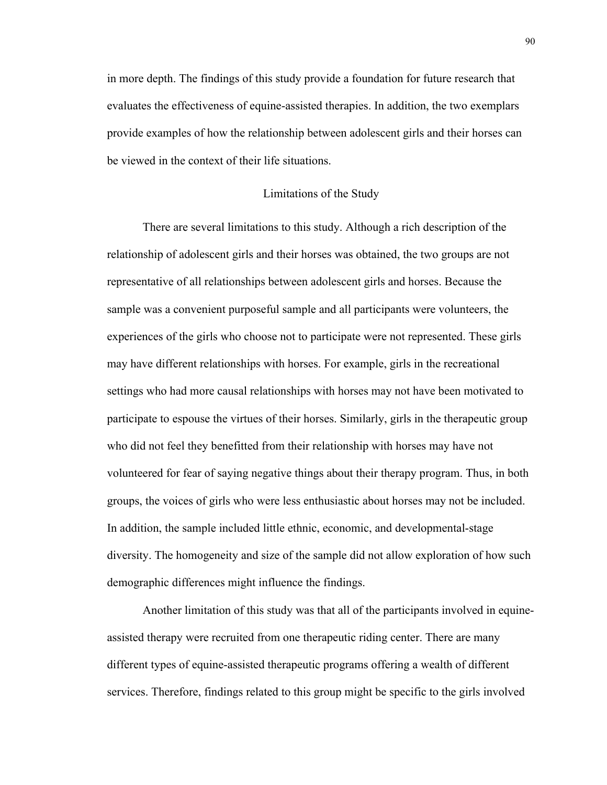in more depth. The findings of this study provide a foundation for future research that evaluates the effectiveness of equine-assisted therapies. In addition, the two exemplars provide examples of how the relationship between adolescent girls and their horses can be viewed in the context of their life situations.

# Limitations of the Study

There are several limitations to this study. Although a rich description of the relationship of adolescent girls and their horses was obtained, the two groups are not representative of all relationships between adolescent girls and horses. Because the sample was a convenient purposeful sample and all participants were volunteers, the experiences of the girls who choose not to participate were not represented. These girls may have different relationships with horses. For example, girls in the recreational settings who had more causal relationships with horses may not have been motivated to participate to espouse the virtues of their horses. Similarly, girls in the therapeutic group who did not feel they benefitted from their relationship with horses may have not volunteered for fear of saying negative things about their therapy program. Thus, in both groups, the voices of girls who were less enthusiastic about horses may not be included. In addition, the sample included little ethnic, economic, and developmental-stage diversity. The homogeneity and size of the sample did not allow exploration of how such demographic differences might influence the findings.

Another limitation of this study was that all of the participants involved in equineassisted therapy were recruited from one therapeutic riding center. There are many different types of equine-assisted therapeutic programs offering a wealth of different services. Therefore, findings related to this group might be specific to the girls involved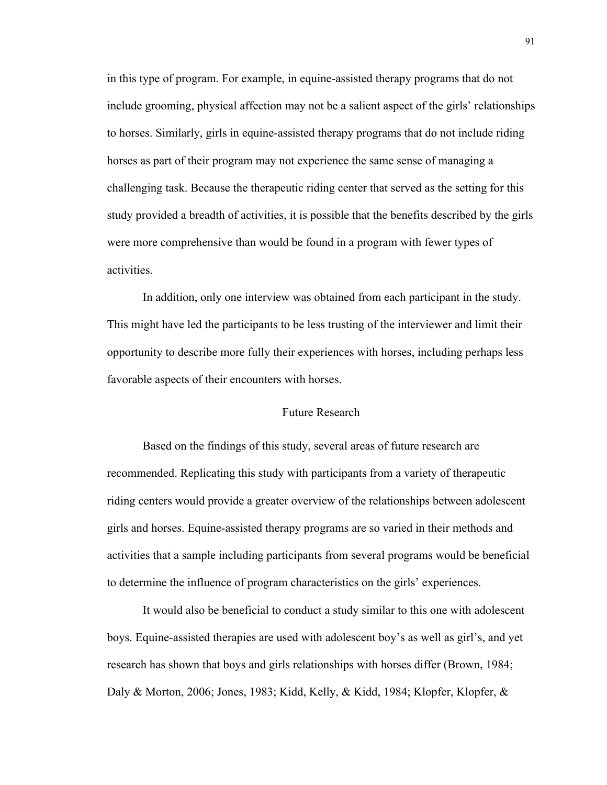in this type of program. For example, in equine-assisted therapy programs that do not include grooming, physical affection may not be a salient aspect of the girls' relationships to horses. Similarly, girls in equine-assisted therapy programs that do not include riding horses as part of their program may not experience the same sense of managing a challenging task. Because the therapeutic riding center that served as the setting for this study provided a breadth of activities, it is possible that the benefits described by the girls were more comprehensive than would be found in a program with fewer types of activities.

In addition, only one interview was obtained from each participant in the study. This might have led the participants to be less trusting of the interviewer and limit their opportunity to describe more fully their experiences with horses, including perhaps less favorable aspects of their encounters with horses.

## Future Research

Based on the findings of this study, several areas of future research are recommended. Replicating this study with participants from a variety of therapeutic riding centers would provide a greater overview of the relationships between adolescent girls and horses. Equine-assisted therapy programs are so varied in their methods and activities that a sample including participants from several programs would be beneficial to determine the influence of program characteristics on the girls' experiences.

It would also be beneficial to conduct a study similar to this one with adolescent boys. Equine-assisted therapies are used with adolescent boy's as well as girl's, and yet research has shown that boys and girls relationships with horses differ (Brown, 1984; Daly & Morton, 2006; Jones, 1983; Kidd, Kelly, & Kidd, 1984; Klopfer, Klopfer, &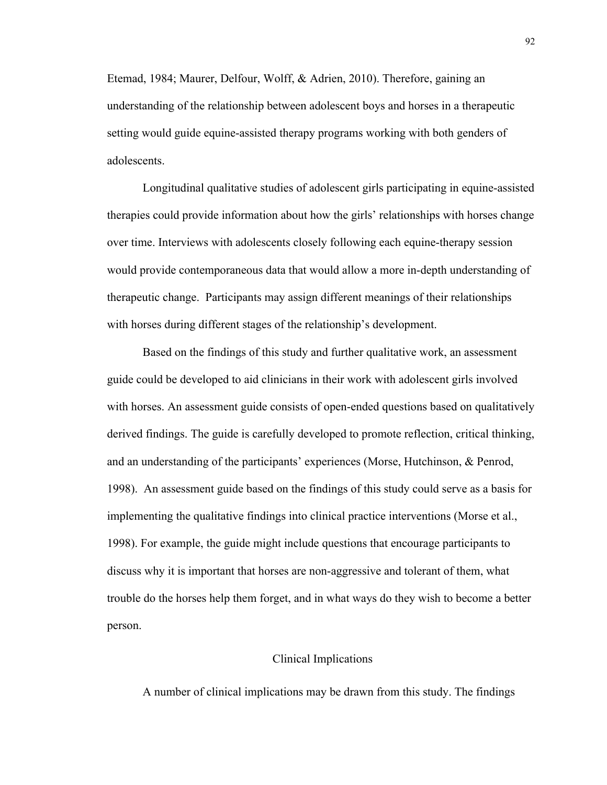Etemad, 1984; Maurer, Delfour, Wolff, & Adrien, 2010). Therefore, gaining an understanding of the relationship between adolescent boys and horses in a therapeutic setting would guide equine-assisted therapy programs working with both genders of adolescents.

Longitudinal qualitative studies of adolescent girls participating in equine-assisted therapies could provide information about how the girls' relationships with horses change over time. Interviews with adolescents closely following each equine-therapy session would provide contemporaneous data that would allow a more in-depth understanding of therapeutic change. Participants may assign different meanings of their relationships with horses during different stages of the relationship's development.

Based on the findings of this study and further qualitative work, an assessment guide could be developed to aid clinicians in their work with adolescent girls involved with horses. An assessment guide consists of open-ended questions based on qualitatively derived findings. The guide is carefully developed to promote reflection, critical thinking, and an understanding of the participants' experiences (Morse, Hutchinson, & Penrod, 1998). An assessment guide based on the findings of this study could serve as a basis for implementing the qualitative findings into clinical practice interventions (Morse et al., 1998). For example, the guide might include questions that encourage participants to discuss why it is important that horses are non-aggressive and tolerant of them, what trouble do the horses help them forget, and in what ways do they wish to become a better person.

# Clinical Implications

A number of clinical implications may be drawn from this study. The findings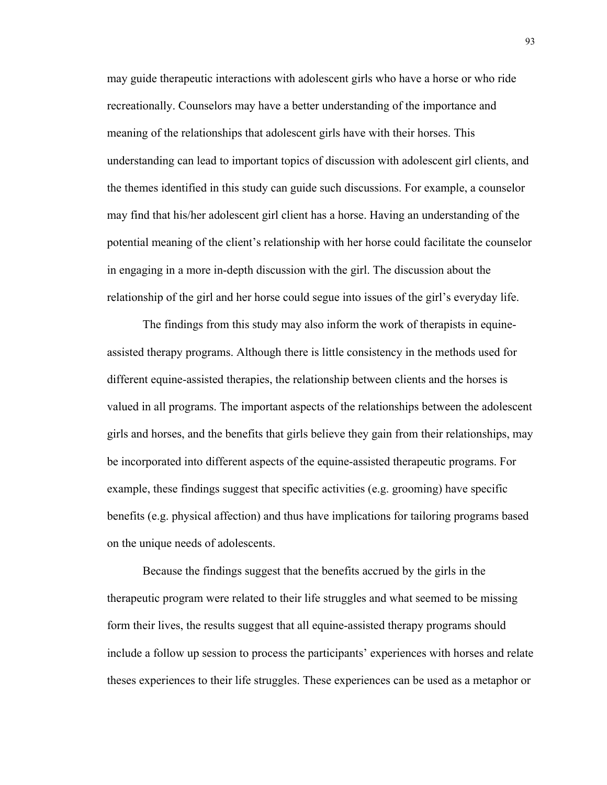may guide therapeutic interactions with adolescent girls who have a horse or who ride recreationally. Counselors may have a better understanding of the importance and meaning of the relationships that adolescent girls have with their horses. This understanding can lead to important topics of discussion with adolescent girl clients, and the themes identified in this study can guide such discussions. For example, a counselor may find that his/her adolescent girl client has a horse. Having an understanding of the potential meaning of the client's relationship with her horse could facilitate the counselor in engaging in a more in-depth discussion with the girl. The discussion about the relationship of the girl and her horse could segue into issues of the girl's everyday life.

The findings from this study may also inform the work of therapists in equineassisted therapy programs. Although there is little consistency in the methods used for different equine-assisted therapies, the relationship between clients and the horses is valued in all programs. The important aspects of the relationships between the adolescent girls and horses, and the benefits that girls believe they gain from their relationships, may be incorporated into different aspects of the equine-assisted therapeutic programs. For example, these findings suggest that specific activities (e.g. grooming) have specific benefits (e.g. physical affection) and thus have implications for tailoring programs based on the unique needs of adolescents.

Because the findings suggest that the benefits accrued by the girls in the therapeutic program were related to their life struggles and what seemed to be missing form their lives, the results suggest that all equine-assisted therapy programs should include a follow up session to process the participants' experiences with horses and relate theses experiences to their life struggles. These experiences can be used as a metaphor or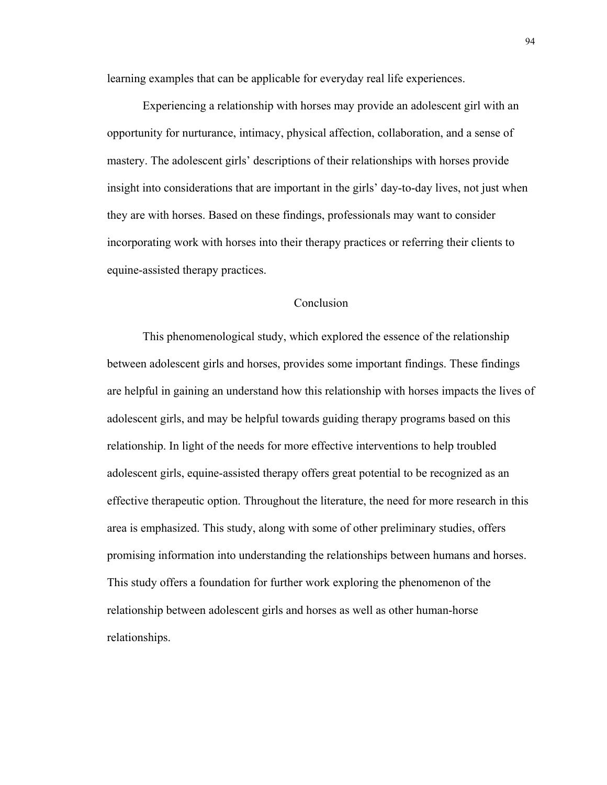learning examples that can be applicable for everyday real life experiences.

Experiencing a relationship with horses may provide an adolescent girl with an opportunity for nurturance, intimacy, physical affection, collaboration, and a sense of mastery. The adolescent girls' descriptions of their relationships with horses provide insight into considerations that are important in the girls' day-to-day lives, not just when they are with horses. Based on these findings, professionals may want to consider incorporating work with horses into their therapy practices or referring their clients to equine-assisted therapy practices.

# Conclusion

This phenomenological study, which explored the essence of the relationship between adolescent girls and horses, provides some important findings. These findings are helpful in gaining an understand how this relationship with horses impacts the lives of adolescent girls, and may be helpful towards guiding therapy programs based on this relationship. In light of the needs for more effective interventions to help troubled adolescent girls, equine-assisted therapy offers great potential to be recognized as an effective therapeutic option. Throughout the literature, the need for more research in this area is emphasized. This study, along with some of other preliminary studies, offers promising information into understanding the relationships between humans and horses. This study offers a foundation for further work exploring the phenomenon of the relationship between adolescent girls and horses as well as other human-horse relationships.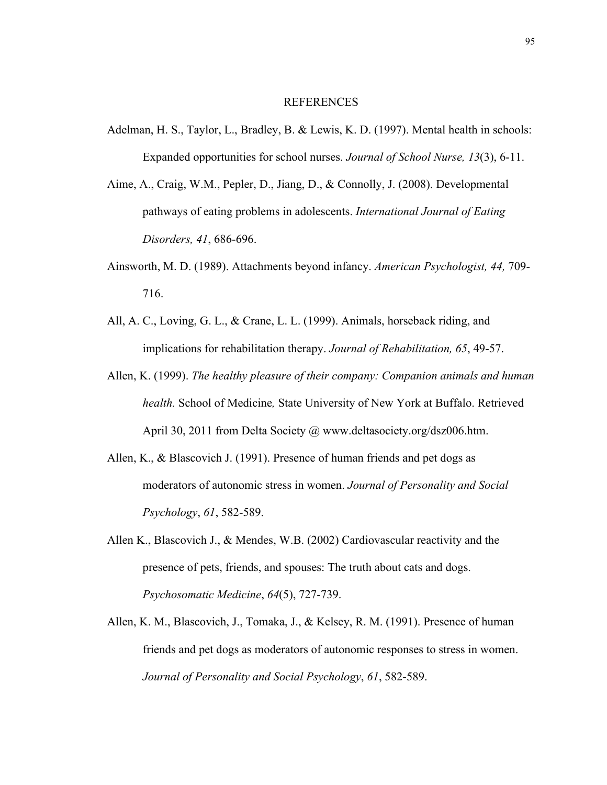#### REFERENCES

- Adelman, H. S., Taylor, L., Bradley, B. & Lewis, K. D. (1997). Mental health in schools: Expanded opportunities for school nurses. *Journal of School Nurse, 13*(3), 6-11.
- Aime, A., Craig, W.M., Pepler, D., Jiang, D., & Connolly, J. (2008). Developmental pathways of eating problems in adolescents. *International Journal of Eating Disorders, 41*, 686-696.
- Ainsworth, M. D. (1989). Attachments beyond infancy. *American Psychologist, 44,* 709- 716.
- All, A. C., Loving, G. L., & Crane, L. L. (1999). Animals, horseback riding, and implications for rehabilitation therapy. *Journal of Rehabilitation, 65*, 49-57.
- Allen, K. (1999). *The healthy pleasure of their company: Companion animals and human health.* School of Medicine*,* State University of New York at Buffalo. Retrieved April 30, 2011 from Delta Society @ www.deltasociety.org/dsz006.htm.
- Allen, K., & Blascovich J. (1991). Presence of human friends and pet dogs as moderators of autonomic stress in women. *Journal of Personality and Social Psychology*, *61*, 582-589.
- Allen K., Blascovich J., & Mendes, W.B. (2002) Cardiovascular reactivity and the presence of pets, friends, and spouses: The truth about cats and dogs. *Psychosomatic Medicine*, *64*(5), 727-739.
- Allen, K. M., Blascovich, J., Tomaka, J., & Kelsey, R. M. (1991). Presence of human friends and pet dogs as moderators of autonomic responses to stress in women. *Journal of Personality and Social Psychology*, *61*, 582-589.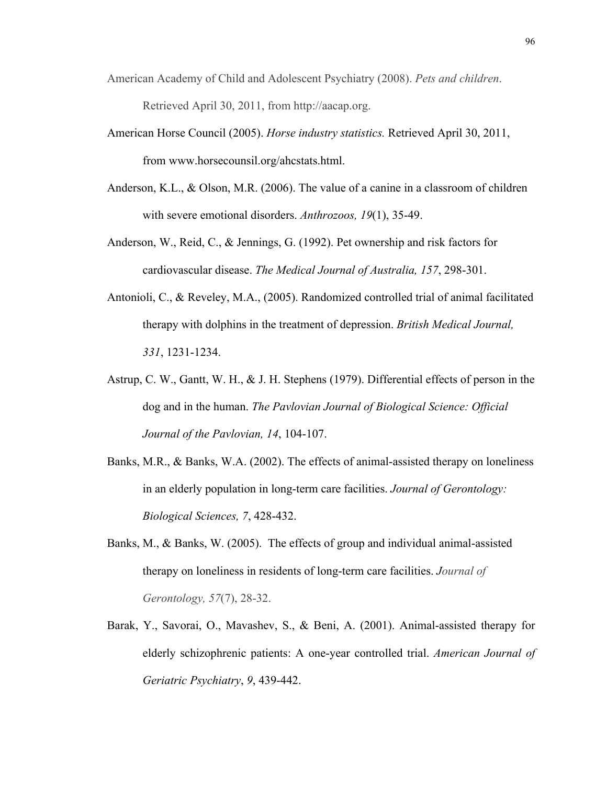- American Academy of Child and Adolescent Psychiatry (2008). *Pets and children*. Retrieved April 30, 2011, from http://aacap.org.
- American Horse Council (2005). *Horse industry statistics.* Retrieved April 30, 2011, from www.horsecounsil.org/ahcstats.html.
- Anderson, K.L., & Olson, M.R. (2006). The value of a canine in a classroom of children with severe emotional disorders. *Anthrozoos, 19*(1), 35-49.
- Anderson, W., Reid, C., & Jennings, G. (1992). Pet ownership and risk factors for cardiovascular disease. *The Medical Journal of Australia, 157*, 298-301.
- Antonioli, C., & Reveley, M.A., (2005). Randomized controlled trial of animal facilitated therapy with dolphins in the treatment of depression. *British Medical Journal, 331*, 1231-1234.
- Astrup, C. W., Gantt, W. H., & J. H. Stephens (1979). Differential effects of person in the dog and in the human. *The Pavlovian Journal of Biological Science: Official Journal of the Pavlovian, 14*, 104-107.
- Banks, M.R., & Banks, W.A. (2002). The effects of animal-assisted therapy on loneliness in an elderly population in long-term care facilities. *Journal of Gerontology: Biological Sciences, 7*, 428-432.
- Banks, M., & Banks, W. (2005). The effects of group and individual animal-assisted therapy on loneliness in residents of long-term care facilities. *Journal of Gerontology, 57*(7), 28-32.
- Barak, Y., Savorai, O., Mavashev, S., & Beni, A. (2001). Animal-assisted therapy for elderly schizophrenic patients: A one-year controlled trial. *American Journal of Geriatric Psychiatry*, *9*, 439-442.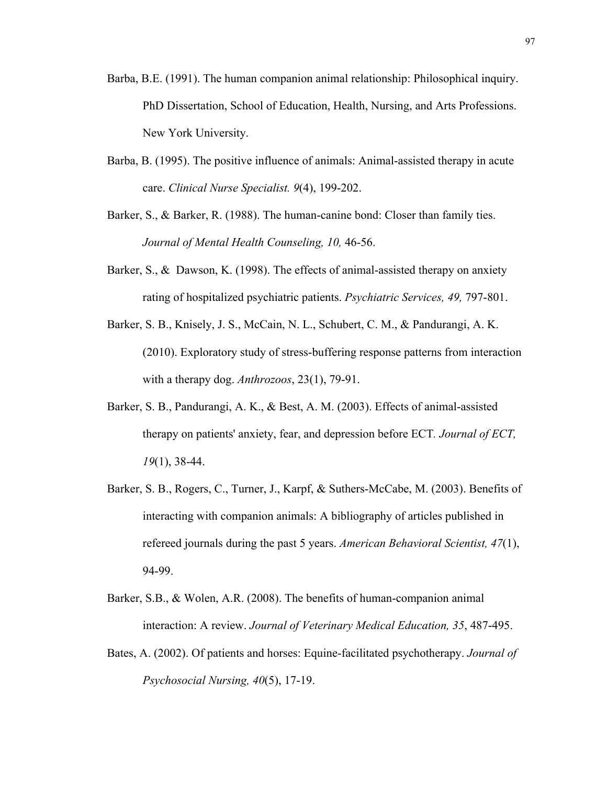- Barba, B.E. (1991). The human companion animal relationship: Philosophical inquiry. PhD Dissertation, School of Education, Health, Nursing, and Arts Professions. New York University.
- Barba, B. (1995). The positive influence of animals: Animal-assisted therapy in acute care. *Clinical Nurse Specialist. 9*(4), 199-202.
- Barker, S., & Barker, R. (1988). The human-canine bond: Closer than family ties. *Journal of Mental Health Counseling, 10,* 46-56.
- Barker, S., & Dawson, K. (1998). The effects of animal-assisted therapy on anxiety rating of hospitalized psychiatric patients. *Psychiatric Services, 49,* 797-801.
- Barker, S. B., Knisely, J. S., McCain, N. L., Schubert, C. M., & Pandurangi, A. K. (2010). Exploratory study of stress-buffering response patterns from interaction with a therapy dog. *Anthrozoos*, 23(1), 79-91.
- Barker, S. B., Pandurangi, A. K., & Best, A. M. (2003). Effects of animal-assisted therapy on patients' anxiety, fear, and depression before ECT*. Journal of ECT, 19*(1), 38-44.
- Barker, S. B., Rogers, C., Turner, J., Karpf, & Suthers-McCabe, M. (2003). Benefits of interacting with companion animals: A bibliography of articles published in refereed journals during the past 5 years. *American Behavioral Scientist, 47*(1), 94-99.
- Barker, S.B., & Wolen, A.R. (2008). The benefits of human-companion animal interaction: A review. *Journal of Veterinary Medical Education, 35*, 487-495.
- Bates, A. (2002). Of patients and horses: Equine-facilitated psychotherapy. *Journal of Psychosocial Nursing, 40*(5), 17-19.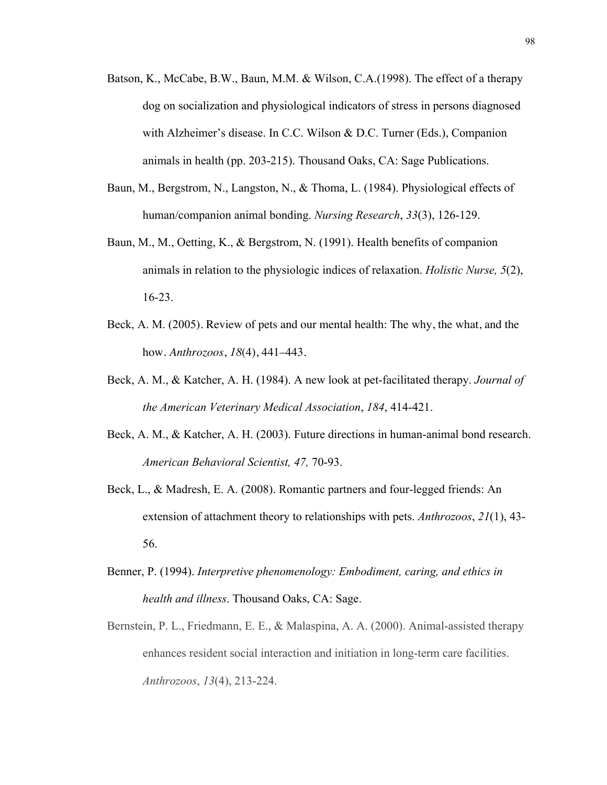- Batson, K., McCabe, B.W., Baun, M.M. & Wilson, C.A.(1998). The effect of a therapy dog on socialization and physiological indicators of stress in persons diagnosed with Alzheimer's disease. In C.C. Wilson & D.C. Turner (Eds.), Companion animals in health (pp. 203-215). Thousand Oaks, CA: Sage Publications.
- Baun, M., Bergstrom, N., Langston, N., & Thoma, L. (1984). Physiological effects of human/companion animal bonding. *Nursing Research*, *33*(3), 126-129.
- Baun, M., M., Oetting, K., & Bergstrom, N. (1991). Health benefits of companion animals in relation to the physiologic indices of relaxation. *Holistic Nurse, 5*(2), 16-23.
- Beck, A. M. (2005). Review of pets and our mental health: The why, the what, and the how. *Anthrozoos*, *18*(4), 441–443.
- Beck, A. M., & Katcher, A. H. (1984). A new look at pet-facilitated therapy. *Journal of the American Veterinary Medical Association*, *184*, 414-421.
- Beck, A. M., & Katcher, A. H. (2003). Future directions in human-animal bond research. *American Behavioral Scientist, 47,* 70-93.
- Beck, L., & Madresh, E. A. (2008). Romantic partners and four-legged friends: An extension of attachment theory to relationships with pets. *Anthrozoos*, *21*(1), 43- 56.
- Benner, P. (1994). *Interpretive phenomenology: Embodiment, caring, and ethics in health and illness*. Thousand Oaks, CA: Sage.
- Bernstein, P. L., Friedmann, E. E., & Malaspina, A. A. (2000). Animal-assisted therapy enhances resident social interaction and initiation in long-term care facilities. *Anthrozoos*, *13*(4), 213-224.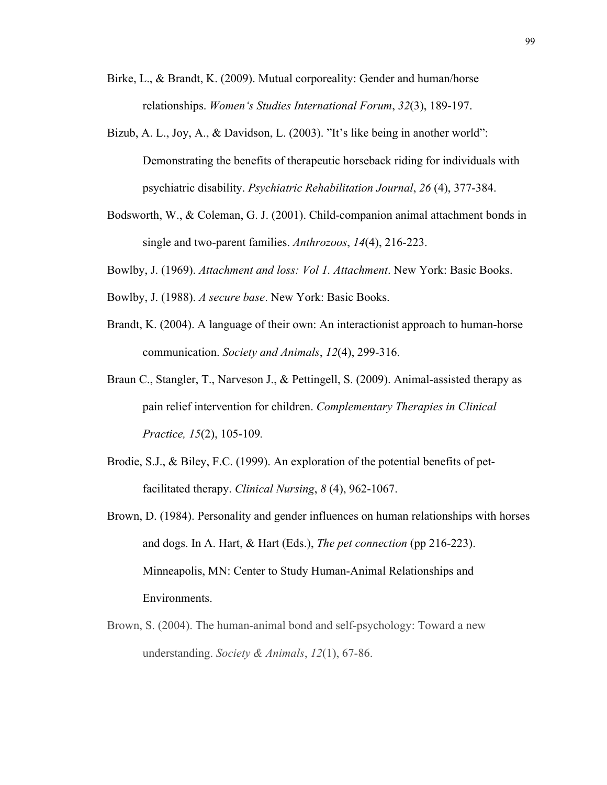- Birke, L., & Brandt, K. (2009). Mutual corporeality: Gender and human/horse relationships. *Women's Studies International Forum*, *32*(3), 189-197.
- Bizub, A. L., Joy, A., & Davidson, L. (2003). "It's like being in another world": Demonstrating the benefits of therapeutic horseback riding for individuals with psychiatric disability. *Psychiatric Rehabilitation Journal*, *26* (4), 377-384.
- Bodsworth, W., & Coleman, G. J. (2001). Child-companion animal attachment bonds in single and two-parent families. *Anthrozoos*, *14*(4), 216-223.
- Bowlby, J. (1969). *Attachment and loss: Vol 1. Attachment*. New York: Basic Books.
- Bowlby, J. (1988). *A secure base*. New York: Basic Books.
- Brandt, K. (2004). A language of their own: An interactionist approach to human-horse communication. *Society and Animals*, *12*(4), 299-316.
- Braun C., Stangler, T., Narveson J., & Pettingell, S. (2009). Animal-assisted therapy as pain relief intervention for children. *Complementary Therapies in Clinical Practice, 15*(2), 105-109*.*
- Brodie, S.J., & Biley, F.C. (1999). An exploration of the potential benefits of petfacilitated therapy. *Clinical Nursing*, *8* (4), 962-1067.
- Brown, D. (1984). Personality and gender influences on human relationships with horses and dogs. In A. Hart, & Hart (Eds.), *The pet connection* (pp 216-223). Minneapolis, MN: Center to Study Human-Animal Relationships and Environments.
- Brown, S. (2004). The human-animal bond and self-psychology: Toward a new understanding. *Society & Animals*, *12*(1), 67-86.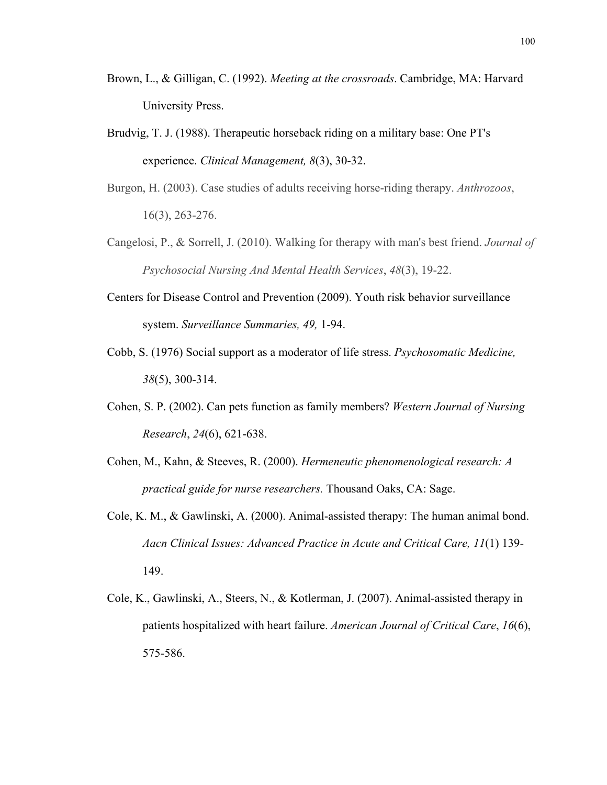- Brown, L., & Gilligan, C. (1992). *Meeting at the crossroads*. Cambridge, MA: Harvard University Press.
- Brudvig, T. J. (1988). Therapeutic horseback riding on a military base: One PT's experience. *Clinical Management, 8*(3), 30-32.

Burgon, H. (2003). Case studies of adults receiving horse-riding therapy. *Anthrozoos*, 16(3), 263-276.

- Cangelosi, P., & Sorrell, J. (2010). Walking for therapy with man's best friend. *Journal of Psychosocial Nursing And Mental Health Services*, *48*(3), 19-22.
- Centers for Disease Control and Prevention (2009). Youth risk behavior surveillance system. *Surveillance Summaries, 49,* 1-94.
- Cobb, S. (1976) Social support as a moderator of life stress. *Psychosomatic Medicine, 38*(5), 300-314.
- Cohen, S. P. (2002). Can pets function as family members? *Western Journal of Nursing Research*, *24*(6), 621-638.
- Cohen, M., Kahn, & Steeves, R. (2000). *Hermeneutic phenomenological research: A practical guide for nurse researchers.* Thousand Oaks, CA: Sage.
- Cole, K. M., & Gawlinski, A. (2000). Animal-assisted therapy: The human animal bond. *Aacn Clinical Issues: Advanced Practice in Acute and Critical Care, 11*(1) 139- 149.
- Cole, K., Gawlinski, A., Steers, N., & Kotlerman, J. (2007). Animal-assisted therapy in patients hospitalized with heart failure. *American Journal of Critical Care*, *16*(6), 575-586.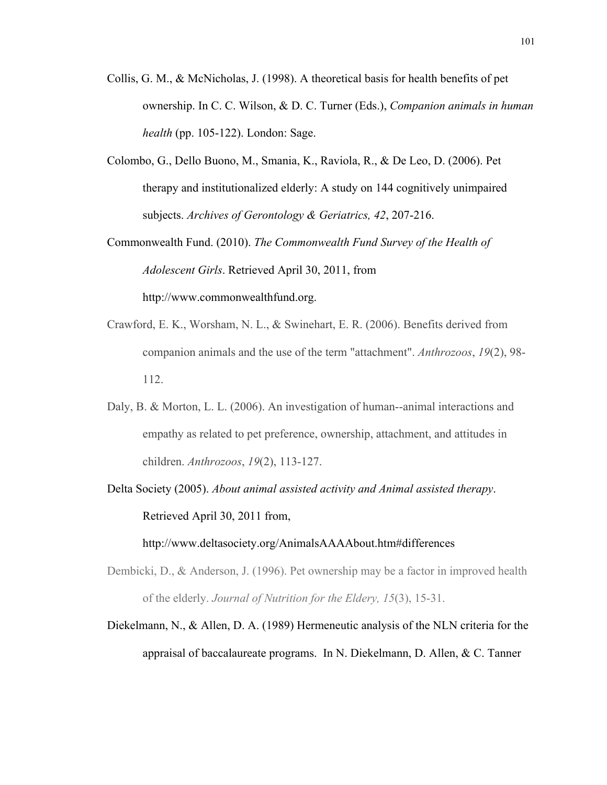- Collis, G. M., & McNicholas, J. (1998). A theoretical basis for health benefits of pet ownership. In C. C. Wilson, & D. C. Turner (Eds.), *Companion animals in human health* (pp. 105-122). London: Sage.
- Colombo, G., Dello Buono, M., Smania, K., Raviola, R., & De Leo, D. (2006). Pet therapy and institutionalized elderly: A study on 144 cognitively unimpaired subjects. *Archives of Gerontology & Geriatrics, 42*, 207-216.

Commonwealth Fund. (2010). *The Commonwealth Fund Survey of the Health of Adolescent Girls*. Retrieved April 30, 2011, from http://www.commonwealthfund.org.

- Crawford, E. K., Worsham, N. L., & Swinehart, E. R. (2006). Benefits derived from companion animals and the use of the term "attachment". *Anthrozoos*, *19*(2), 98- 112.
- Daly, B. & Morton, L. L. (2006). An investigation of human--animal interactions and empathy as related to pet preference, ownership, attachment, and attitudes in children. *Anthrozoos*, *19*(2), 113-127.
- Delta Society (2005). *About animal assisted activity and Animal assisted therapy*. Retrieved April 30, 2011 from,

http://www.deltasociety.org/AnimalsAAAAbout.htm#differences

- Dembicki, D., & Anderson, J. (1996). Pet ownership may be a factor in improved health of the elderly. *Journal of Nutrition for the Eldery, 15*(3), 15-31.
- Diekelmann, N., & Allen, D. A. (1989) Hermeneutic analysis of the NLN criteria for the appraisal of baccalaureate programs. In N. Diekelmann, D. Allen, & C. Tanner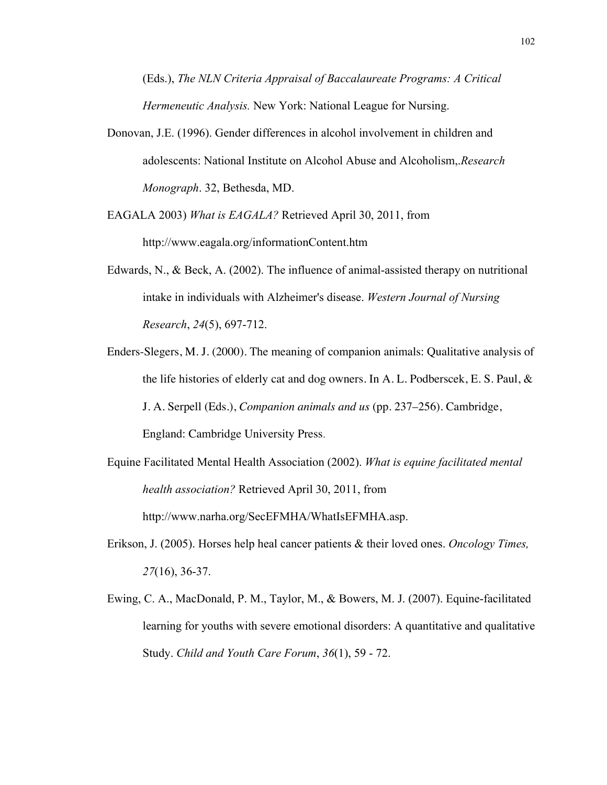(Eds.), *The NLN Criteria Appraisal of Baccalaureate Programs: A Critical Hermeneutic Analysis.* New York: National League for Nursing.

Donovan, J.E. (1996). Gender differences in alcohol involvement in children and adolescents: National Institute on Alcohol Abuse and Alcoholism,.*Research Monograph*. 32, Bethesda, MD.

EAGALA 2003) *What is EAGALA?* Retrieved April 30, 2011, from http://www.eagala.org/informationContent.htm

- Edwards, N., & Beck, A. (2002). The influence of animal-assisted therapy on nutritional intake in individuals with Alzheimer's disease. *Western Journal of Nursing Research*, *24*(5), 697-712.
- Enders-Slegers, M. J. (2000). The meaning of companion animals: Qualitative analysis of the life histories of elderly cat and dog owners. In A. L. Podberscek, E. S. Paul,  $\&$ J. A. Serpell (Eds.), *Companion animals and us* (pp. 237–256). Cambridge, England: Cambridge University Press.
- Equine Facilitated Mental Health Association (2002). *What is equine facilitated mental health association?* Retrieved April 30, 2011, from http://www.narha.org/SecEFMHA/WhatIsEFMHA.asp.
- Erikson, J. (2005). Horses help heal cancer patients & their loved ones. *Oncology Times, 27*(16), 36-37.
- Ewing, C. A., MacDonald, P. M., Taylor, M., & Bowers, M. J. (2007). Equine-facilitated learning for youths with severe emotional disorders: A quantitative and qualitative Study. *Child and Youth Care Forum*, *36*(1), 59 - 72.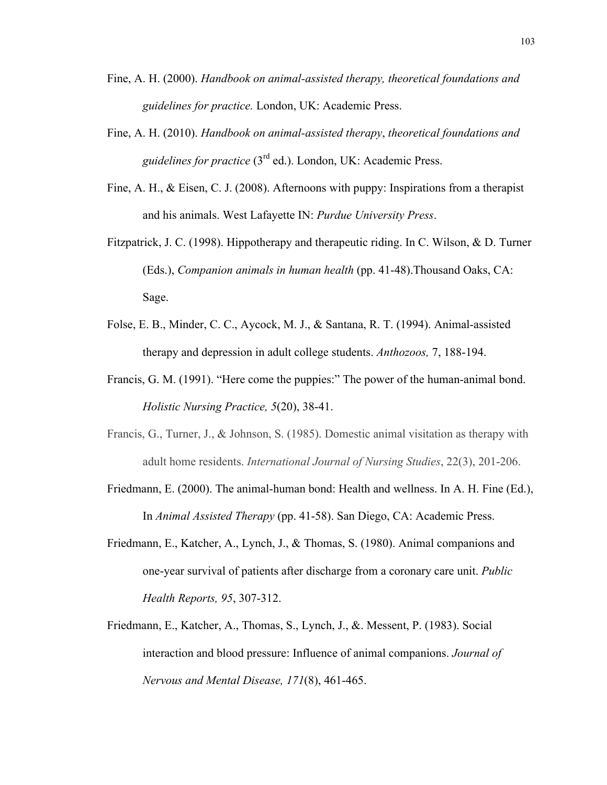- Fine, A. H. (2000). *Handbook on animal-assisted therapy, theoretical foundations and guidelines for practice.* London, UK: Academic Press.
- Fine, A. H. (2010). *Handbook on animal-assisted therapy*, *theoretical foundations and guidelines for practice* (3rd ed.). London, UK: Academic Press.
- Fine, A. H., & Eisen, C. J. (2008). Afternoons with puppy: Inspirations from a therapist and his animals. West Lafayette IN: *Purdue University Press*.
- Fitzpatrick, J. C. (1998). Hippotherapy and therapeutic riding. In C. Wilson, & D. Turner (Eds.), *Companion animals in human health* (pp. 41-48).Thousand Oaks, CA: Sage.
- Folse, E. B., Minder, C. C., Aycock, M. J., & Santana, R. T. (1994). Animal-assisted therapy and depression in adult college students. *Anthozoos,* 7, 188-194.
- Francis, G. M. (1991). "Here come the puppies:" The power of the human-animal bond. *Holistic Nursing Practice, 5*(20), 38-41.
- Francis, G., Turner, J., & Johnson, S. (1985). Domestic animal visitation as therapy with adult home residents. *International Journal of Nursing Studies*, 22(3), 201-206.
- Friedmann, E. (2000). The animal-human bond: Health and wellness. In A. H. Fine (Ed.), In *Animal Assisted Therapy* (pp. 41-58). San Diego, CA: Academic Press.
- Friedmann, E., Katcher, A., Lynch, J., & Thomas, S. (1980). Animal companions and one-year survival of patients after discharge from a coronary care unit. *Public Health Reports, 95*, 307-312.
- Friedmann, E., Katcher, A., Thomas, S., Lynch, J., &. Messent, P. (1983). Social interaction and blood pressure: Influence of animal companions. *Journal of Nervous and Mental Disease, 171*(8), 461-465.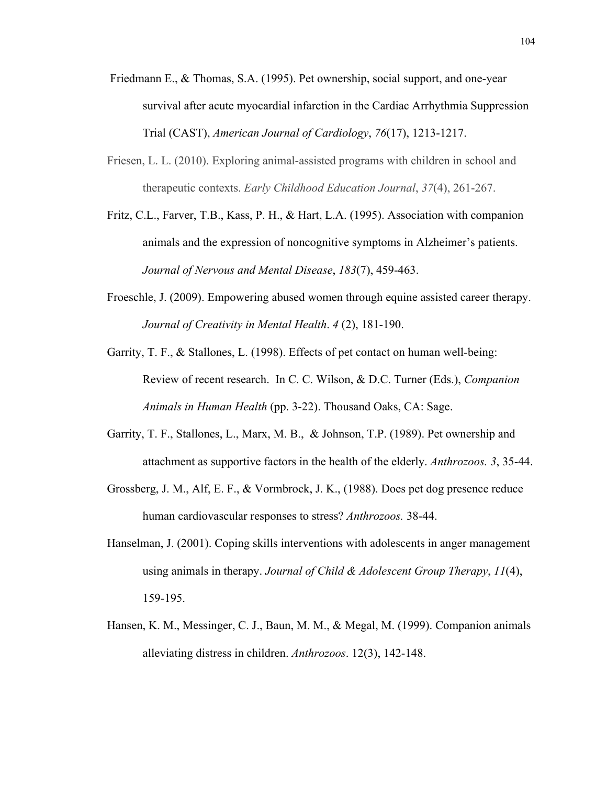- Friedmann E., & Thomas, S.A. (1995). Pet ownership, social support, and one-year survival after acute myocardial infarction in the Cardiac Arrhythmia Suppression Trial (CAST), *American Journal of Cardiology*, *76*(17), 1213-1217.
- Friesen, L. L. (2010). Exploring animal-assisted programs with children in school and therapeutic contexts. *Early Childhood Education Journal*, *37*(4), 261-267.
- Fritz, C.L., Farver, T.B., Kass, P. H., & Hart, L.A. (1995). Association with companion animals and the expression of noncognitive symptoms in Alzheimer's patients. *Journal of Nervous and Mental Disease*, *183*(7), 459-463.
- Froeschle, J. (2009). Empowering abused women through equine assisted career therapy. *Journal of Creativity in Mental Health*. *4* (2), 181-190.
- Garrity, T. F., & Stallones, L. (1998). Effects of pet contact on human well-being: Review of recent research. In C. C. Wilson, & D.C. Turner (Eds.), *Companion Animals in Human Health* (pp. 3-22). Thousand Oaks, CA: Sage.
- Garrity, T. F., Stallones, L., Marx, M. B., & Johnson, T.P. (1989). Pet ownership and attachment as supportive factors in the health of the elderly. *Anthrozoos. 3*, 35-44.
- Grossberg, J. M., Alf, E. F., & Vormbrock, J. K., (1988). Does pet dog presence reduce human cardiovascular responses to stress? *Anthrozoos.* 38-44.
- Hanselman, J. (2001). Coping skills interventions with adolescents in anger management using animals in therapy. *Journal of Child & Adolescent Group Therapy*, *11*(4), 159-195.
- Hansen, K. M., Messinger, C. J., Baun, M. M., & Megal, M. (1999). Companion animals alleviating distress in children. *Anthrozoos*. 12(3), 142-148.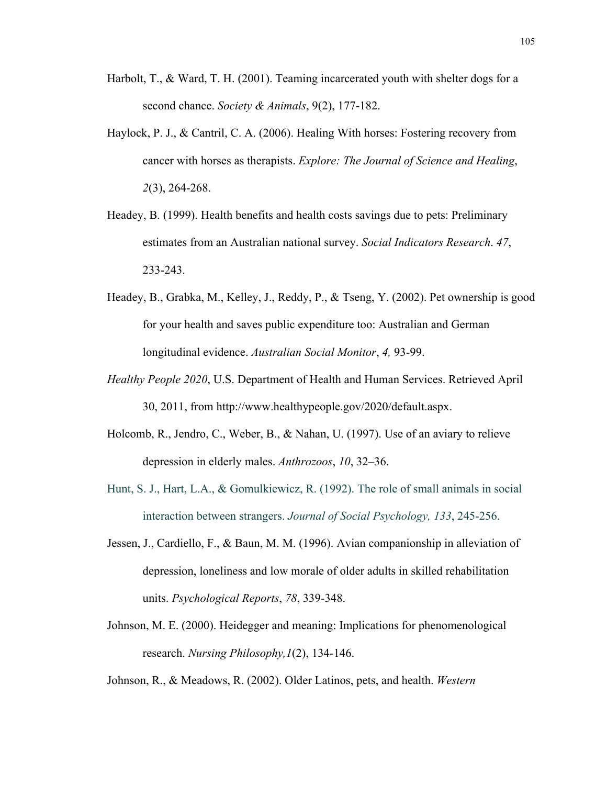- Harbolt, T., & Ward, T. H. (2001). Teaming incarcerated youth with shelter dogs for a second chance. *Society & Animals*, 9(2), 177-182.
- Haylock, P. J., & Cantril, C. A. (2006). Healing With horses: Fostering recovery from cancer with horses as therapists. *Explore: The Journal of Science and Healing*, *2*(3), 264-268.
- Headey, B. (1999). Health benefits and health costs savings due to pets: Preliminary estimates from an Australian national survey. *Social Indicators Research*. *47*, 233-243.
- Headey, B., Grabka, M., Kelley, J., Reddy, P., & Tseng, Y. (2002). Pet ownership is good for your health and saves public expenditure too: Australian and German longitudinal evidence. *Australian Social Monitor*, *4,* 93-99.
- *Healthy People 2020*, U.S. Department of Health and Human Services. Retrieved April 30, 2011, from http://www.healthypeople.gov/2020/default.aspx.
- Holcomb, R., Jendro, C., Weber, B., & Nahan, U. (1997). Use of an aviary to relieve depression in elderly males. *Anthrozoos*, *10*, 32–36.
- Hunt, S. J., Hart, L.A., & Gomulkiewicz, R. (1992). The role of small animals in social interaction between strangers. *Journal of Social Psychology, 133*, 245-256.
- Jessen, J., Cardiello, F., & Baun, M. M. (1996). Avian companionship in alleviation of depression, loneliness and low morale of older adults in skilled rehabilitation units. *Psychological Reports*, *78*, 339-348.
- Johnson, M. E. (2000). Heidegger and meaning: Implications for phenomenological research. *Nursing Philosophy,1*(2), 134-146.

Johnson, R., & Meadows, R. (2002). Older Latinos, pets, and health. *Western*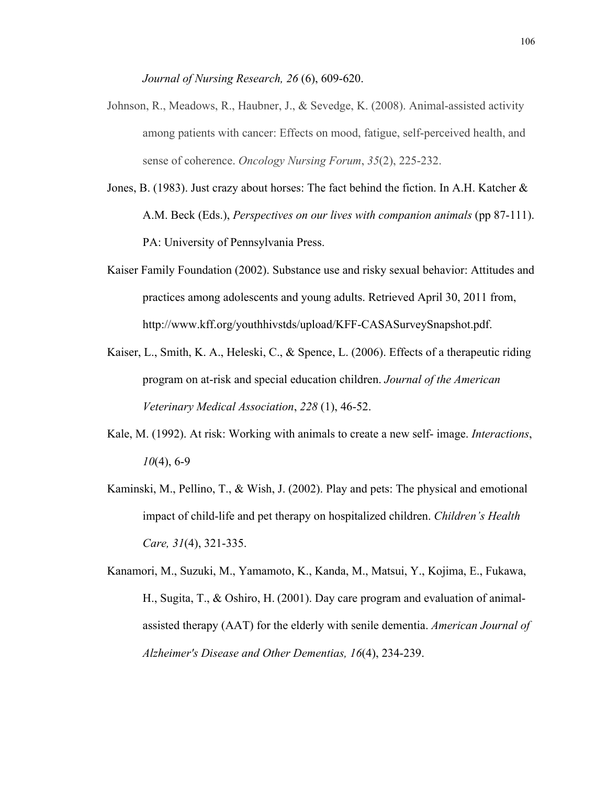*Journal of Nursing Research, 26* (6), 609-620.

- Johnson, R., Meadows, R., Haubner, J., & Sevedge, K. (2008). Animal-assisted activity among patients with cancer: Effects on mood, fatigue, self-perceived health, and sense of coherence. *Oncology Nursing Forum*, *35*(2), 225-232.
- Jones, B. (1983). Just crazy about horses: The fact behind the fiction. In A.H. Katcher  $\&$ A.M. Beck (Eds.), *Perspectives on our lives with companion animals* (pp 87-111). PA: University of Pennsylvania Press.
- Kaiser Family Foundation (2002). Substance use and risky sexual behavior: Attitudes and practices among adolescents and young adults. Retrieved April 30, 2011 from, http://www.kff.org/youthhivstds/upload/KFF-CASASurveySnapshot.pdf.
- Kaiser, L., Smith, K. A., Heleski, C., & Spence, L. (2006). Effects of a therapeutic riding program on at-risk and special education children. *Journal of the American Veterinary Medical Association*, *228* (1), 46-52.
- Kale, M. (1992). At risk: Working with animals to create a new self- image. *Interactions*, *10*(4), 6-9
- Kaminski, M., Pellino, T., & Wish, J. (2002). Play and pets: The physical and emotional impact of child-life and pet therapy on hospitalized children. *Children's Health Care, 31*(4), 321-335.
- Kanamori, M., Suzuki, M., Yamamoto, K., Kanda, M., Matsui, Y., Kojima, E., Fukawa, H., Sugita, T., & Oshiro, H. (2001). Day care program and evaluation of animalassisted therapy (AAT) for the elderly with senile dementia. *American Journal of Alzheimer's Disease and Other Dementias, 16*(4), 234-239.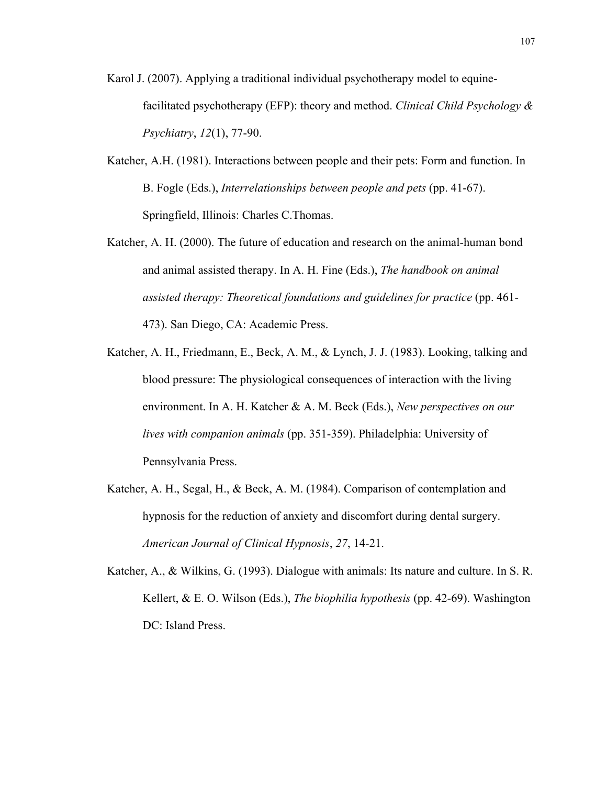- Karol J. (2007). Applying a traditional individual psychotherapy model to equinefacilitated psychotherapy (EFP): theory and method. *Clinical Child Psychology & Psychiatry*, *12*(1), 77-90.
- Katcher, A.H. (1981). Interactions between people and their pets: Form and function. In B. Fogle (Eds.), *Interrelationships between people and pets* (pp. 41-67). Springfield, Illinois: Charles C.Thomas.
- Katcher, A. H. (2000). The future of education and research on the animal-human bond and animal assisted therapy. In A. H. Fine (Eds.), *The handbook on animal assisted therapy: Theoretical foundations and guidelines for practice* (pp. 461- 473). San Diego, CA: Academic Press.
- Katcher, A. H., Friedmann, E., Beck, A. M., & Lynch, J. J. (1983). Looking, talking and blood pressure: The physiological consequences of interaction with the living environment. In A. H. Katcher & A. M. Beck (Eds.), *New perspectives on our lives with companion animals* (pp. 351-359). Philadelphia: University of Pennsylvania Press.
- Katcher, A. H., Segal, H., & Beck, A. M. (1984). Comparison of contemplation and hypnosis for the reduction of anxiety and discomfort during dental surgery. *American Journal of Clinical Hypnosis*, *27*, 14-21.
- Katcher, A., & Wilkins, G. (1993). Dialogue with animals: Its nature and culture. In S. R. Kellert, & E. O. Wilson (Eds.), *The biophilia hypothesis* (pp. 42-69). Washington DC: Island Press.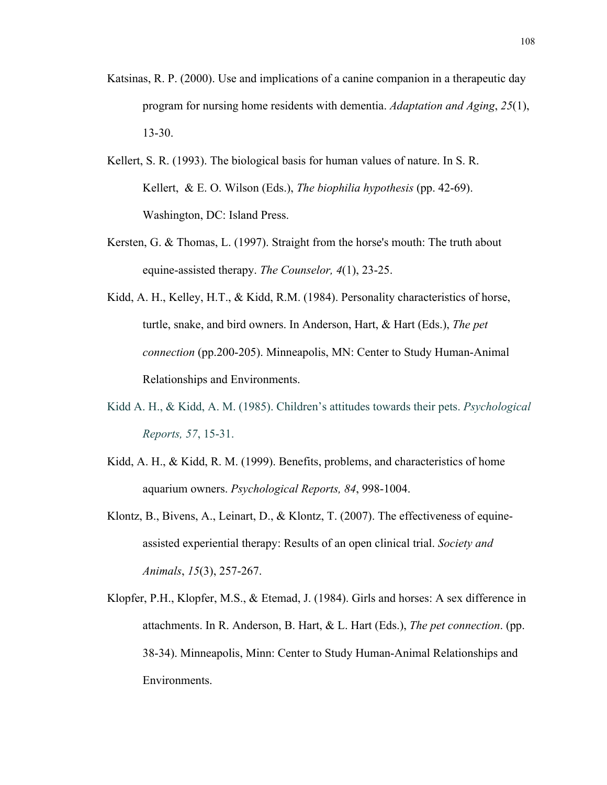- Katsinas, R. P. (2000). Use and implications of a canine companion in a therapeutic day program for nursing home residents with dementia. *Adaptation and Aging*, *25*(1), 13-30.
- Kellert, S. R. (1993). The biological basis for human values of nature. In S. R. Kellert, & E. O. Wilson (Eds.), *The biophilia hypothesis* (pp. 42-69). Washington, DC: Island Press.
- Kersten, G. & Thomas, L. (1997). Straight from the horse's mouth: The truth about equine-assisted therapy. *The Counselor, 4*(1), 23-25.
- Kidd, A. H., Kelley, H.T., & Kidd, R.M. (1984). Personality characteristics of horse, turtle, snake, and bird owners. In Anderson, Hart, & Hart (Eds.), *The pet connection* (pp.200-205). Minneapolis, MN: Center to Study Human-Animal Relationships and Environments.
- Kidd A. H., & Kidd, A. M. (1985). Children's attitudes towards their pets. *Psychological Reports, 57*, 15-31.
- Kidd, A. H., & Kidd, R. M. (1999). Benefits, problems, and characteristics of home aquarium owners. *Psychological Reports, 84*, 998-1004.
- Klontz, B., Bivens, A., Leinart, D., & Klontz, T. (2007). The effectiveness of equineassisted experiential therapy: Results of an open clinical trial. *Society and Animals*, *15*(3), 257-267.
- Klopfer, P.H., Klopfer, M.S., & Etemad, J. (1984). Girls and horses: A sex difference in attachments. In R. Anderson, B. Hart, & L. Hart (Eds.), *The pet connection*. (pp. 38-34). Minneapolis, Minn: Center to Study Human-Animal Relationships and Environments.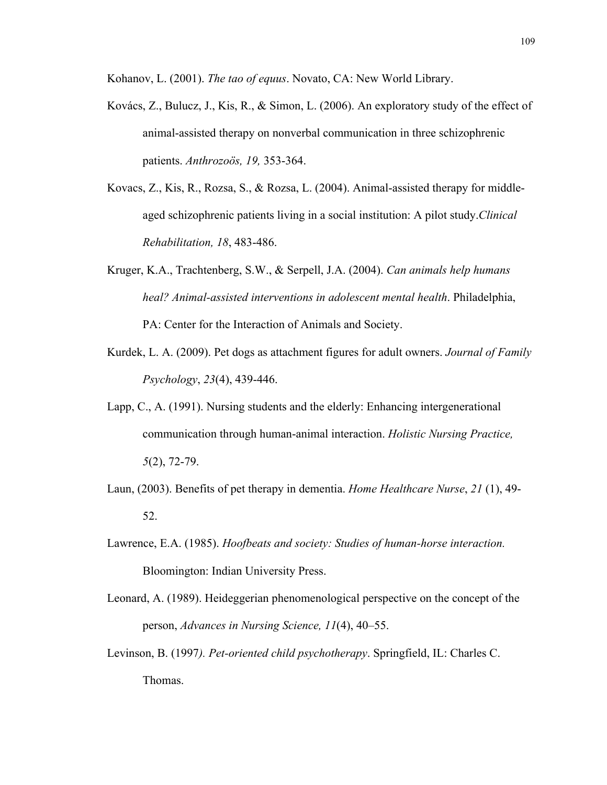Kohanov, L. (2001). *The tao of equus*. Novato, CA: New World Library.

- Kovács, Z., Bulucz, J., Kis, R., & Simon, L. (2006). An exploratory study of the effect of animal-assisted therapy on nonverbal communication in three schizophrenic patients. *Anthrozoös, 19,* 353-364.
- Kovacs, Z., Kis, R., Rozsa, S., & Rozsa, L. (2004). Animal-assisted therapy for middleaged schizophrenic patients living in a social institution: A pilot study.*Clinical Rehabilitation, 18*, 483-486.
- Kruger, K.A., Trachtenberg, S.W., & Serpell, J.A. (2004). *Can animals help humans heal? Animal-assisted interventions in adolescent mental health*. Philadelphia, PA: Center for the Interaction of Animals and Society.
- Kurdek, L. A. (2009). Pet dogs as attachment figures for adult owners. *Journal of Family Psychology*, *23*(4), 439-446.
- Lapp, C., A. (1991). Nursing students and the elderly: Enhancing intergenerational communication through human-animal interaction. *Holistic Nursing Practice, 5*(2), 72-79.
- Laun, (2003). Benefits of pet therapy in dementia. *Home Healthcare Nurse*, *21* (1), 49- 52.
- Lawrence, E.A. (1985). *Hoofbeats and society: Studies of human-horse interaction.* Bloomington: Indian University Press.
- Leonard, A. (1989). Heideggerian phenomenological perspective on the concept of the person, *Advances in Nursing Science, 11*(4), 40–55.
- Levinson, B. (1997*). Pet-oriented child psychotherapy*. Springfield, IL: Charles C. Thomas.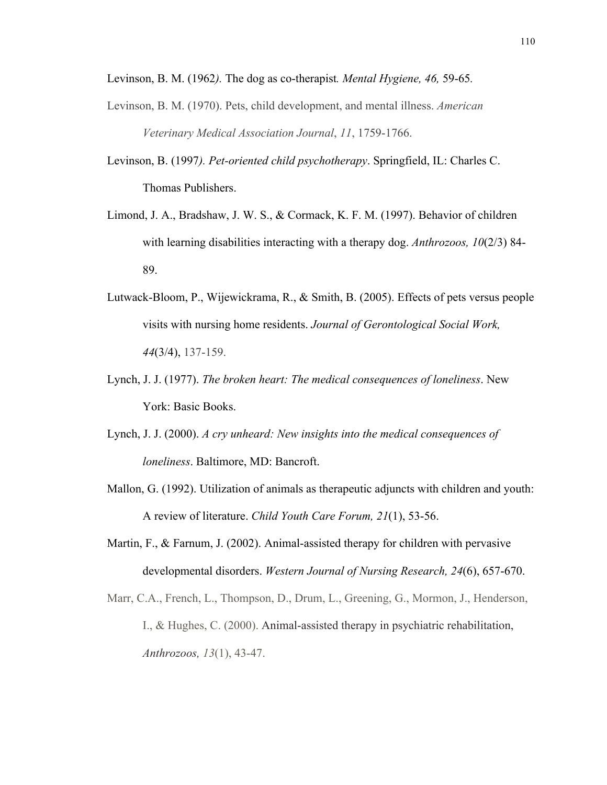Levinson, B. M. (1962*).* The dog as co-therapist*. Mental Hygiene, 46,* 59-65*.*

- Levinson, B. M. (1970). Pets, child development, and mental illness. *American Veterinary Medical Association Journal*, *11*, 1759-1766.
- Levinson, B. (1997*). Pet-oriented child psychotherapy*. Springfield, IL: Charles C. Thomas Publishers.
- Limond, J. A., Bradshaw, J. W. S., & Cormack, K. F. M. (1997). Behavior of children with learning disabilities interacting with a therapy dog. *Anthrozoos, 10*(2/3) 84- 89.
- Lutwack-Bloom, P., Wijewickrama, R., & Smith, B. (2005). Effects of pets versus people visits with nursing home residents. *Journal of Gerontological Social Work, 44*(3/4), 137-159.
- Lynch, J. J. (1977). *The broken heart: The medical consequences of loneliness*. New York: Basic Books.
- Lynch, J. J. (2000). *A cry unheard: New insights into the medical consequences of loneliness*. Baltimore, MD: Bancroft.
- Mallon, G. (1992). Utilization of animals as therapeutic adjuncts with children and youth: A review of literature. *Child Youth Care Forum, 21*(1), 53-56.
- Martin, F., & Farnum, J. (2002). Animal-assisted therapy for children with pervasive developmental disorders. *Western Journal of Nursing Research, 24*(6), 657-670.
- Marr, C.A., French, L., Thompson, D., Drum, L., Greening, G., Mormon, J., Henderson, I., & Hughes, C. (2000). Animal-assisted therapy in psychiatric rehabilitation, *Anthrozoos, 13*(1), 43-47.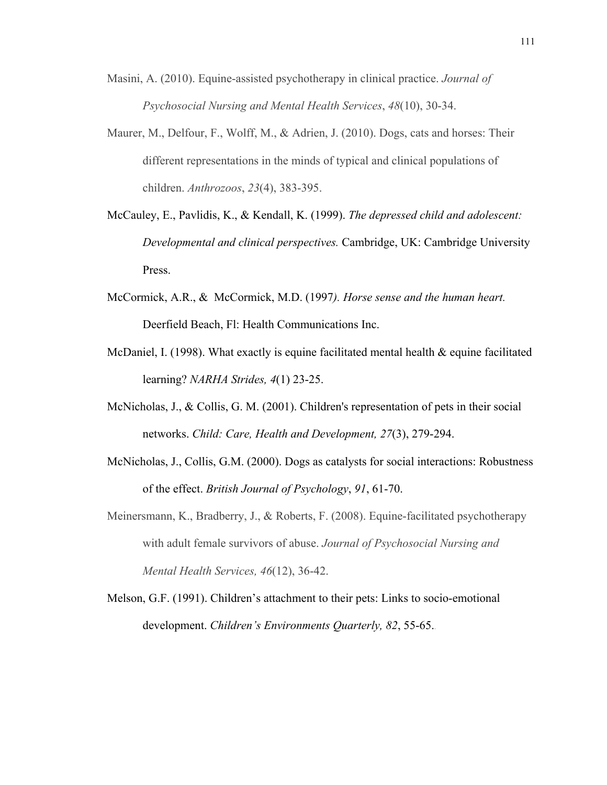- Masini, A. (2010). Equine-assisted psychotherapy in clinical practice. *Journal of Psychosocial Nursing and Mental Health Services*, *48*(10), 30-34.
- Maurer, M., Delfour, F., Wolff, M., & Adrien, J. (2010). Dogs, cats and horses: Their different representations in the minds of typical and clinical populations of children. *Anthrozoos*, *23*(4), 383-395.
- McCauley, E., Pavlidis, K., & Kendall, K. (1999). *The depressed child and adolescent: Developmental and clinical perspectives.* Cambridge, UK: Cambridge University Press.
- McCormick, A.R., & McCormick, M.D. (1997*). Horse sense and the human heart.* Deerfield Beach, Fl: Health Communications Inc.
- McDaniel, I. (1998). What exactly is equine facilitated mental health  $\&$  equine facilitated learning? *NARHA Strides, 4*(1) 23-25.
- McNicholas, J., & Collis, G. M. (2001). Children's representation of pets in their social networks. *Child: Care, Health and Development, 27*(3), 279-294.
- McNicholas, J., Collis, G.M. (2000). Dogs as catalysts for social interactions: Robustness of the effect. *British Journal of Psychology*, *91*, 61-70.
- Meinersmann, K., Bradberry, J., & Roberts, F. (2008). Equine-facilitated psychotherapy with adult female survivors of abuse. *Journal of Psychosocial Nursing and Mental Health Services, 46*(12), 36-42.
- Melson, G.F. (1991). Children's attachment to their pets: Links to socio-emotional development. *Children's Environments Quarterly, 82*, 55-65..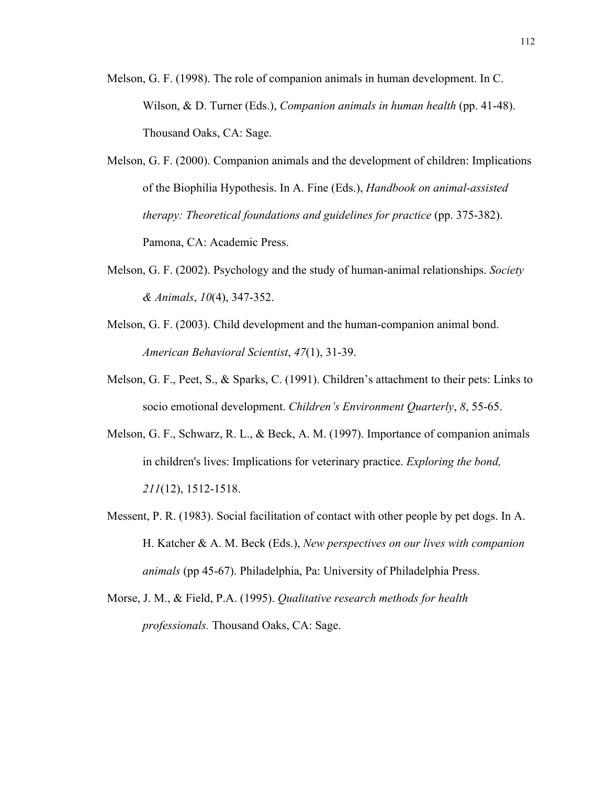- Melson, G. F. (1998). The role of companion animals in human development. In C. Wilson, & D. Turner (Eds.), *Companion animals in human health* (pp. 41-48). Thousand Oaks, CA: Sage.
- Melson, G. F. (2000). Companion animals and the development of children: Implications of the Biophilia Hypothesis. In A. Fine (Eds.), *Handbook on animal-assisted therapy: Theoretical foundations and guidelines for practice* (pp. 375-382). Pamona, CA: Academic Press.
- Melson, G. F. (2002). Psychology and the study of human-animal relationships. *Society & Animals*, *10*(4), 347-352.
- Melson, G. F. (2003). Child development and the human-companion animal bond. *American Behavioral Scientist*, *47*(1), 31-39.
- Melson, G. F., Peet, S., & Sparks, C. (1991). Children's attachment to their pets: Links to socio emotional development. *Children's Environment Quarterly*, *8*, 55-65.
- Melson, G. F., Schwarz, R. L., & Beck, A. M. (1997). Importance of companion animals in children's lives: Implications for veterinary practice. *Exploring the bond, 211*(12), 1512-1518.
- Messent, P. R. (1983). Social facilitation of contact with other people by pet dogs. In A. H. Katcher & A. M. Beck (Eds.), *New perspectives on our lives with companion animals* (pp 45-67). Philadelphia, Pa: University of Philadelphia Press.
- Morse, J. M., & Field, P.A. (1995). *Qualitative research methods for health professionals.* Thousand Oaks, CA: Sage.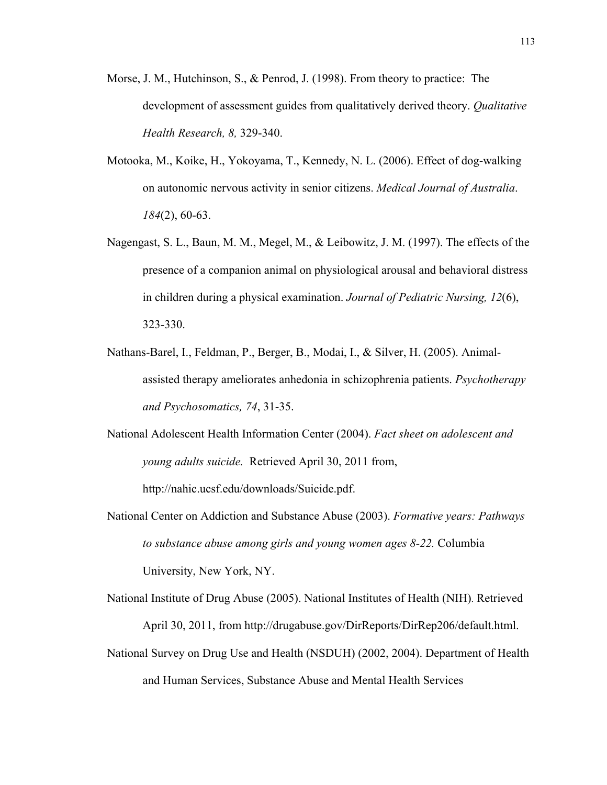- Morse, J. M., Hutchinson, S., & Penrod, J. (1998). From theory to practice: The development of assessment guides from qualitatively derived theory. *Qualitative Health Research, 8,* 329-340.
- Motooka, M., Koike, H., Yokoyama, T., Kennedy, N. L. (2006). Effect of dog-walking on autonomic nervous activity in senior citizens. *Medical Journal of Australia*. *184*(2), 60-63.
- Nagengast, S. L., Baun, M. M., Megel, M., & Leibowitz, J. M. (1997). The effects of the presence of a companion animal on physiological arousal and behavioral distress in children during a physical examination. *Journal of Pediatric Nursing, 12*(6), 323-330.
- Nathans-Barel, I., Feldman, P., Berger, B., Modai, I., & Silver, H. (2005). Animalassisted therapy ameliorates anhedonia in schizophrenia patients. *Psychotherapy and Psychosomatics, 74*, 31-35.
- National Adolescent Health Information Center (2004). *Fact sheet on adolescent and young adults suicide.* Retrieved April 30, 2011 from,

http://nahic.ucsf.edu/downloads/Suicide.pdf.

- National Center on Addiction and Substance Abuse (2003). *Formative years: Pathways to substance abuse among girls and young women ages 8-22.* Columbia University, New York, NY.
- National Institute of Drug Abuse (2005). National Institutes of Health (NIH). Retrieved April 30, 2011, from http://drugabuse.gov/DirReports/DirRep206/default.html.
- National Survey on Drug Use and Health (NSDUH) (2002, 2004). Department of Health and Human Services, Substance Abuse and Mental Health Services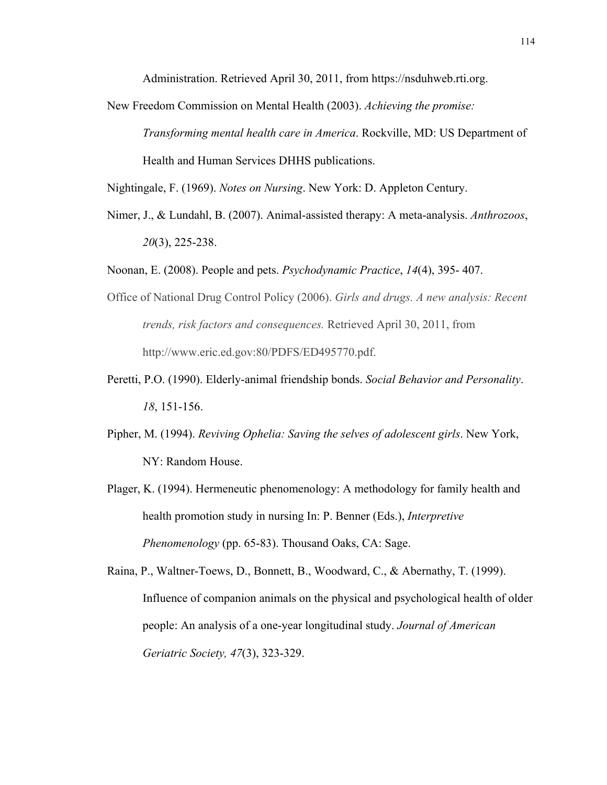Administration. Retrieved April 30, 2011, from https://nsduhweb.rti.org.

New Freedom Commission on Mental Health (2003). *Achieving the promise: Transforming mental health care in America*. Rockville, MD: US Department of Health and Human Services DHHS publications.

Nightingale, F. (1969). *Notes on Nursing*. New York: D. Appleton Century.

- Nimer, J., & Lundahl, B. (2007). Animal-assisted therapy: A meta-analysis. *Anthrozoos*, *20*(3), 225-238.
- Noonan, E. (2008). People and pets. *Psychodynamic Practice*, *14*(4), 395- 407.
- Office of National Drug Control Policy (2006). *Girls and drugs. A new analysis: Recent trends, risk factors and consequences.* Retrieved April 30, 2011, from http://www.eric.ed.gov:80/PDFS/ED495770.pdf.
- Peretti, P.O. (1990). Elderly-animal friendship bonds. *Social Behavior and Personality*. *18*, 151-156.
- Pipher, M. (1994). *Reviving Ophelia: Saving the selves of adolescent girls*. New York, NY: Random House.
- Plager, K. (1994). Hermeneutic phenomenology: A methodology for family health and health promotion study in nursing In: P. Benner (Eds.), *Interpretive Phenomenology* (pp. 65-83). Thousand Oaks, CA: Sage.

Raina, P., Waltner-Toews, D., Bonnett, B., Woodward, C., & Abernathy, T. (1999). Influence of companion animals on the physical and psychological health of older people: An analysis of a one-year longitudinal study. *Journal of American Geriatric Society, 47*(3), 323-329.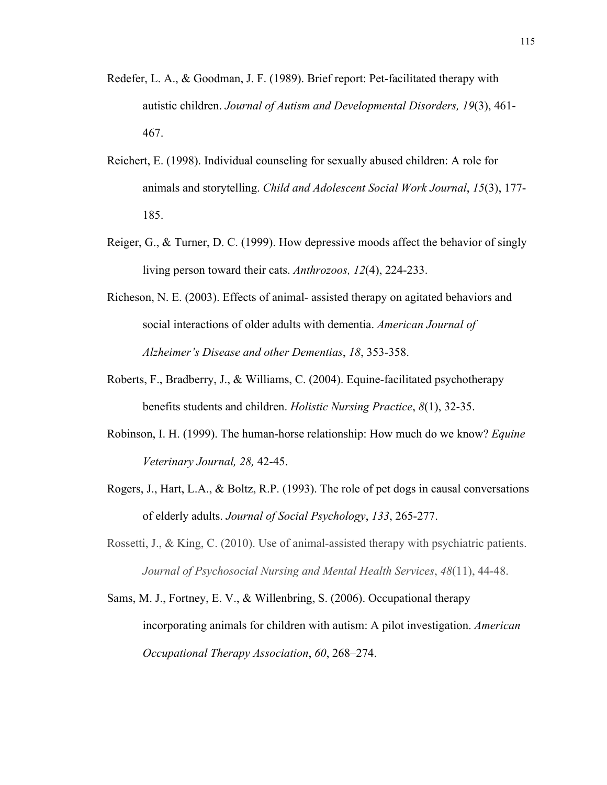- Redefer, L. A., & Goodman, J. F. (1989). Brief report: Pet-facilitated therapy with autistic children. *Journal of Autism and Developmental Disorders, 19*(3), 461- 467.
- Reichert, E. (1998). Individual counseling for sexually abused children: A role for animals and storytelling. *Child and Adolescent Social Work Journal*, *15*(3), 177- 185.
- Reiger, G., & Turner, D. C. (1999). How depressive moods affect the behavior of singly living person toward their cats. *Anthrozoos, 12*(4), 224-233.
- Richeson, N. E. (2003). Effects of animal- assisted therapy on agitated behaviors and social interactions of older adults with dementia. *American Journal of Alzheimer's Disease and other Dementias*, *18*, 353-358.
- Roberts, F., Bradberry, J., & Williams, C. (2004). Equine-facilitated psychotherapy benefits students and children. *Holistic Nursing Practice*, *8*(1), 32-35.
- Robinson, I. H. (1999). The human-horse relationship: How much do we know? *Equine Veterinary Journal, 28,* 42-45.
- Rogers, J., Hart, L.A., & Boltz, R.P. (1993). The role of pet dogs in causal conversations of elderly adults. *Journal of Social Psychology*, *133*, 265-277.
- Rossetti, J., & King, C. (2010). Use of animal-assisted therapy with psychiatric patients. *Journal of Psychosocial Nursing and Mental Health Services*, *48*(11), 44-48.
- Sams, M. J., Fortney, E. V., & Willenbring, S. (2006). Occupational therapy incorporating animals for children with autism: A pilot investigation. *American Occupational Therapy Association*, *60*, 268–274.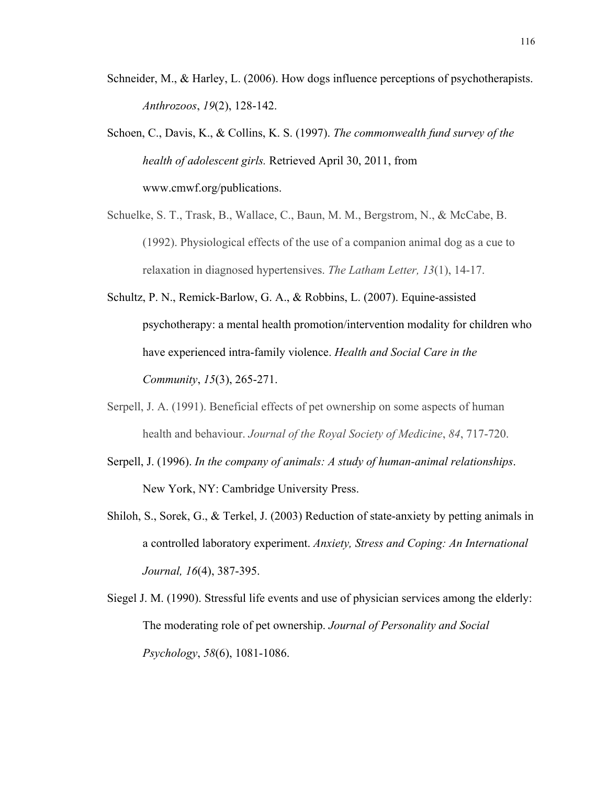- Schneider, M., & Harley, L. (2006). How dogs influence perceptions of psychotherapists. *Anthrozoos*, *19*(2), 128-142.
- Schoen, C., Davis, K., & Collins, K. S. (1997). *The commonwealth fund survey of the health of adolescent girls.* Retrieved April 30, 2011, from www.cmwf.org/publications.
- Schuelke, S. T., Trask, B., Wallace, C., Baun, M. M., Bergstrom, N., & McCabe, B. (1992). Physiological effects of the use of a companion animal dog as a cue to relaxation in diagnosed hypertensives. *The Latham Letter, 13*(1), 14-17.
- Schultz, P. N., Remick-Barlow, G. A., & Robbins, L. (2007). Equine-assisted psychotherapy: a mental health promotion/intervention modality for children who have experienced intra-family violence. *Health and Social Care in the Community*, *15*(3), 265-271.
- Serpell, J. A. (1991). Beneficial effects of pet ownership on some aspects of human health and behaviour. *Journal of the Royal Society of Medicine*, *84*, 717-720.
- Serpell, J. (1996). *In the company of animals: A study of human-animal relationships*. New York, NY: Cambridge University Press.
- Shiloh, S., Sorek, G., & Terkel, J. (2003) Reduction of state-anxiety by petting animals in a controlled laboratory experiment. *Anxiety, Stress and Coping: An International Journal, 16*(4), 387-395.
- Siegel J. M. (1990). Stressful life events and use of physician services among the elderly: The moderating role of pet ownership. *Journal of Personality and Social Psychology*, *58*(6), 1081-1086.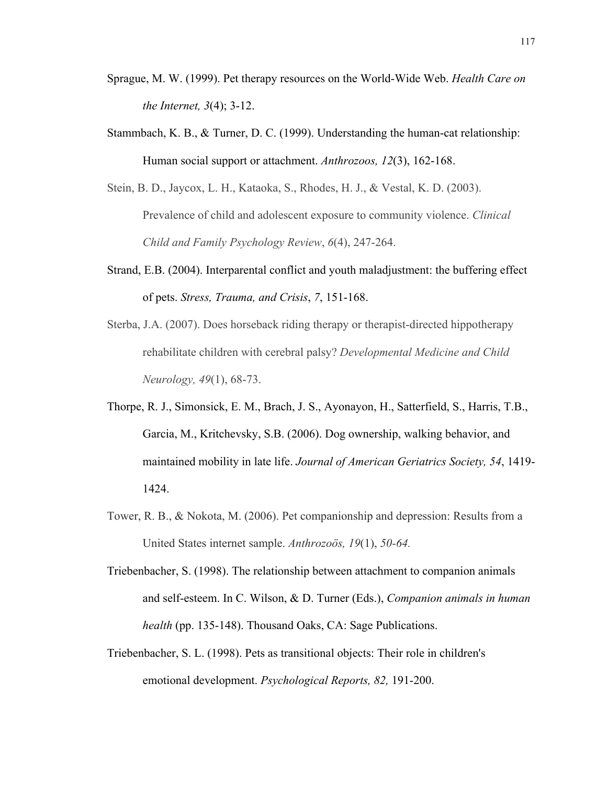- Sprague, M. W. (1999). Pet therapy resources on the World-Wide Web. *Health Care on the Internet, 3*(4); 3-12.
- Stammbach, K. B., & Turner, D. C. (1999). Understanding the human-cat relationship: Human social support or attachment. *Anthrozoos, 12*(3), 162-168.
- Stein, B. D., Jaycox, L. H., Kataoka, S., Rhodes, H. J., & Vestal, K. D. (2003). Prevalence of child and adolescent exposure to community violence. *Clinical Child and Family Psychology Review*, *6*(4), 247-264.
- Strand, E.B. (2004). Interparental conflict and youth maladjustment: the buffering effect of pets. *Stress, Trauma, and Crisis*, *7*, 151-168.
- Sterba, J.A. (2007). Does horseback riding therapy or therapist-directed hippotherapy rehabilitate children with cerebral palsy? *Developmental Medicine and Child Neurology, 49*(1), 68-73.
- Thorpe, R. J., Simonsick, E. M., Brach, J. S., Ayonayon, H., Satterfield, S., Harris, T.B., Garcia, M., Kritchevsky, S.B. (2006). Dog ownership, walking behavior, and maintained mobility in late life. *Journal of American Geriatrics Society, 54*, 1419- 1424.
- Tower, R. B., & Nokota, M. (2006). Pet companionship and depression: Results from a United States internet sample. *Anthrozoös, 19*(1), *50-64.*
- Triebenbacher, S. (1998). The relationship between attachment to companion animals and self-esteem. In C. Wilson, & D. Turner (Eds.), *Companion animals in human health* (pp. 135-148). Thousand Oaks, CA: Sage Publications.
- Triebenbacher, S. L. (1998). Pets as transitional objects: Their role in children's emotional development. *Psychological Reports, 82,* 191-200.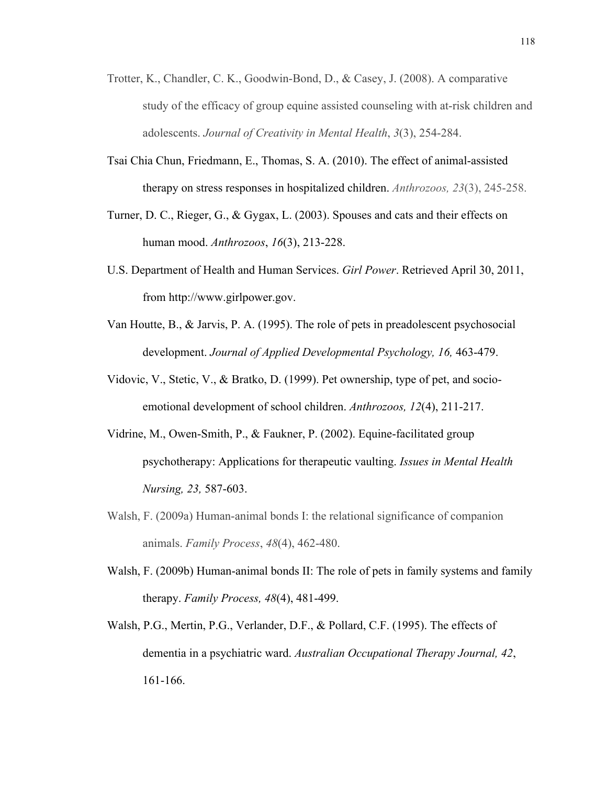- Trotter, K., Chandler, C. K., Goodwin-Bond, D., & Casey, J. (2008). A comparative study of the efficacy of group equine assisted counseling with at-risk children and adolescents. *Journal of Creativity in Mental Health*, *3*(3), 254-284.
- Tsai Chia Chun, Friedmann, E., Thomas, S. A. (2010). The effect of animal-assisted therapy on stress responses in hospitalized children. *Anthrozoos, 23*(3), 245-258.
- Turner, D. C., Rieger, G., & Gygax, L. (2003). Spouses and cats and their effects on human mood. *Anthrozoos*, *16*(3), 213-228.
- U.S. Department of Health and Human Services. *Girl Power*. Retrieved April 30, 2011, from http://www.girlpower.gov.
- Van Houtte, B., & Jarvis, P. A. (1995). The role of pets in preadolescent psychosocial development. *Journal of Applied Developmental Psychology, 16,* 463-479.
- Vidovic, V., Stetic, V., & Bratko, D. (1999). Pet ownership, type of pet, and socioemotional development of school children. *Anthrozoos, 12*(4), 211-217.
- Vidrine, M., Owen-Smith, P., & Faukner, P. (2002). Equine-facilitated group psychotherapy: Applications for therapeutic vaulting. *Issues in Mental Health Nursing, 23,* 587-603.
- Walsh, F. (2009a) Human-animal bonds I: the relational significance of companion animals. *Family Process*, *48*(4), 462-480.
- Walsh, F. (2009b) Human-animal bonds II: The role of pets in family systems and family therapy. *Family Process, 48*(4), 481-499.
- Walsh, P.G., Mertin, P.G., Verlander, D.F., & Pollard, C.F. (1995). The effects of dementia in a psychiatric ward. *Australian Occupational Therapy Journal, 42*, 161-166.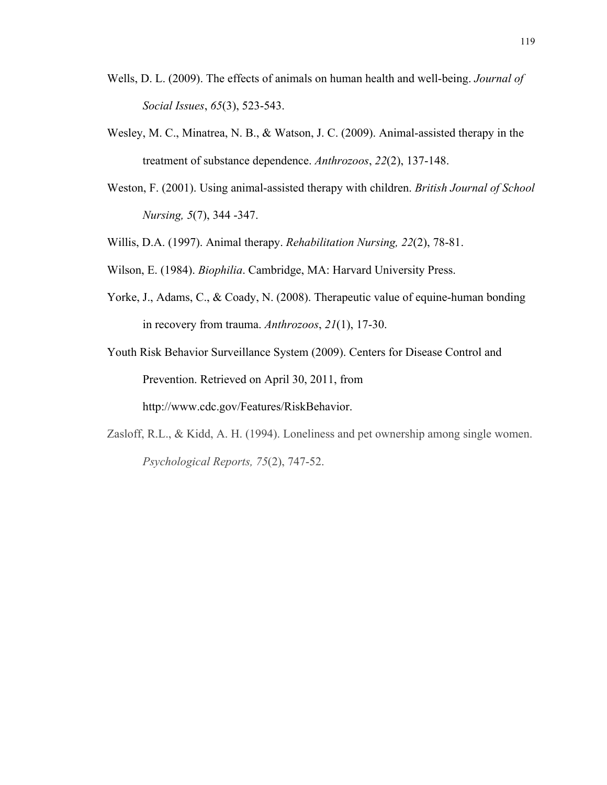- Wells, D. L. (2009). The effects of animals on human health and well-being. *Journal of Social Issues*, *65*(3), 523-543.
- Wesley, M. C., Minatrea, N. B., & Watson, J. C. (2009). Animal-assisted therapy in the treatment of substance dependence. *Anthrozoos*, *22*(2), 137-148.
- Weston, F. (2001). Using animal-assisted therapy with children. *British Journal of School Nursing, 5*(7), 344 -347.
- Willis, D.A. (1997). Animal therapy. *Rehabilitation Nursing, 22*(2), 78-81.
- Wilson, E. (1984). *Biophilia*. Cambridge, MA: Harvard University Press.
- Yorke, J., Adams, C., & Coady, N. (2008). Therapeutic value of equine-human bonding in recovery from trauma. *Anthrozoos*, *21*(1), 17-30.
- Youth Risk Behavior Surveillance System (2009). Centers for Disease Control and Prevention. Retrieved on April 30, 2011, from http://www.cdc.gov/Features/RiskBehavior.
- Zasloff, R.L., & Kidd, A. H. (1994). Loneliness and pet ownership among single women. *Psychological Reports, 75*(2), 747-52.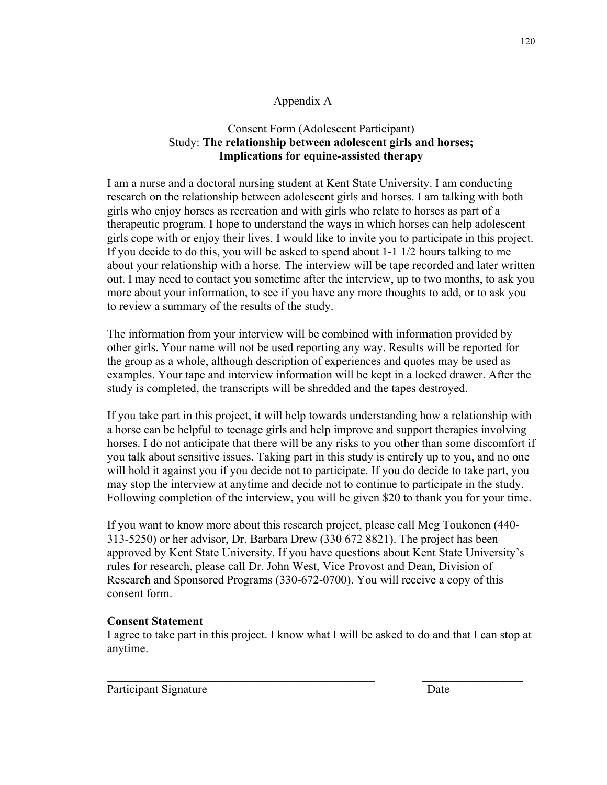# Appendix A

# Consent Form (Adolescent Participant) Study: **The relationship between adolescent girls and horses; Implications for equine-assisted therapy**

I am a nurse and a doctoral nursing student at Kent State University. I am conducting research on the relationship between adolescent girls and horses. I am talking with both girls who enjoy horses as recreation and with girls who relate to horses as part of a therapeutic program. I hope to understand the ways in which horses can help adolescent girls cope with or enjoy their lives. I would like to invite you to participate in this project. If you decide to do this, you will be asked to spend about 1-1 1/2 hours talking to me about your relationship with a horse. The interview will be tape recorded and later written out. I may need to contact you sometime after the interview, up to two months, to ask you more about your information, to see if you have any more thoughts to add, or to ask you to review a summary of the results of the study.

The information from your interview will be combined with information provided by other girls. Your name will not be used reporting any way. Results will be reported for the group as a whole, although description of experiences and quotes may be used as examples. Your tape and interview information will be kept in a locked drawer. After the study is completed, the transcripts will be shredded and the tapes destroyed.

If you take part in this project, it will help towards understanding how a relationship with a horse can be helpful to teenage girls and help improve and support therapies involving horses. I do not anticipate that there will be any risks to you other than some discomfort if you talk about sensitive issues. Taking part in this study is entirely up to you, and no one will hold it against you if you decide not to participate. If you do decide to take part, you may stop the interview at anytime and decide not to continue to participate in the study. Following completion of the interview, you will be given \$20 to thank you for your time.

If you want to know more about this research project, please call Meg Toukonen (440- 313-5250) or her advisor, Dr. Barbara Drew (330 672 8821). The project has been approved by Kent State University. If you have questions about Kent State University's rules for research, please call Dr. John West, Vice Provost and Dean, Division of Research and Sponsored Programs (330-672-0700). You will receive a copy of this consent form.

## **Consent Statement**

I agree to take part in this project. I know what I will be asked to do and that I can stop at anytime.

Participant Signature Date

 $\mathcal{L}_\text{max}$  , and the contribution of the contribution of the contribution of the contribution of the contribution of the contribution of the contribution of the contribution of the contribution of the contribution of t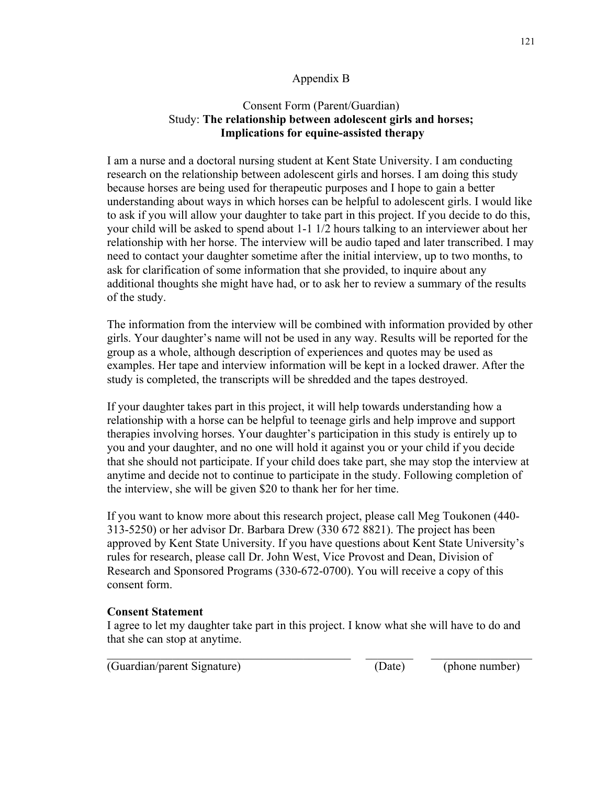# Appendix B

## Consent Form (Parent/Guardian) Study: **The relationship between adolescent girls and horses; Implications for equine-assisted therapy**

I am a nurse and a doctoral nursing student at Kent State University. I am conducting research on the relationship between adolescent girls and horses. I am doing this study because horses are being used for therapeutic purposes and I hope to gain a better understanding about ways in which horses can be helpful to adolescent girls. I would like to ask if you will allow your daughter to take part in this project. If you decide to do this, your child will be asked to spend about 1-1 1/2 hours talking to an interviewer about her relationship with her horse. The interview will be audio taped and later transcribed. I may need to contact your daughter sometime after the initial interview, up to two months, to ask for clarification of some information that she provided, to inquire about any additional thoughts she might have had, or to ask her to review a summary of the results of the study.

The information from the interview will be combined with information provided by other girls. Your daughter's name will not be used in any way. Results will be reported for the group as a whole, although description of experiences and quotes may be used as examples. Her tape and interview information will be kept in a locked drawer. After the study is completed, the transcripts will be shredded and the tapes destroyed.

If your daughter takes part in this project, it will help towards understanding how a relationship with a horse can be helpful to teenage girls and help improve and support therapies involving horses. Your daughter's participation in this study is entirely up to you and your daughter, and no one will hold it against you or your child if you decide that she should not participate. If your child does take part, she may stop the interview at anytime and decide not to continue to participate in the study. Following completion of the interview, she will be given \$20 to thank her for her time.

If you want to know more about this research project, please call Meg Toukonen (440- 313-5250) or her advisor Dr. Barbara Drew (330 672 8821). The project has been approved by Kent State University. If you have questions about Kent State University's rules for research, please call Dr. John West, Vice Provost and Dean, Division of Research and Sponsored Programs (330-672-0700). You will receive a copy of this consent form.

## **Consent Statement**

I agree to let my daughter take part in this project. I know what she will have to do and that she can stop at anytime.

 $\_$  , and the set of the set of the set of the set of the set of the set of the set of the set of the set of the set of the set of the set of the set of the set of the set of the set of the set of the set of the set of th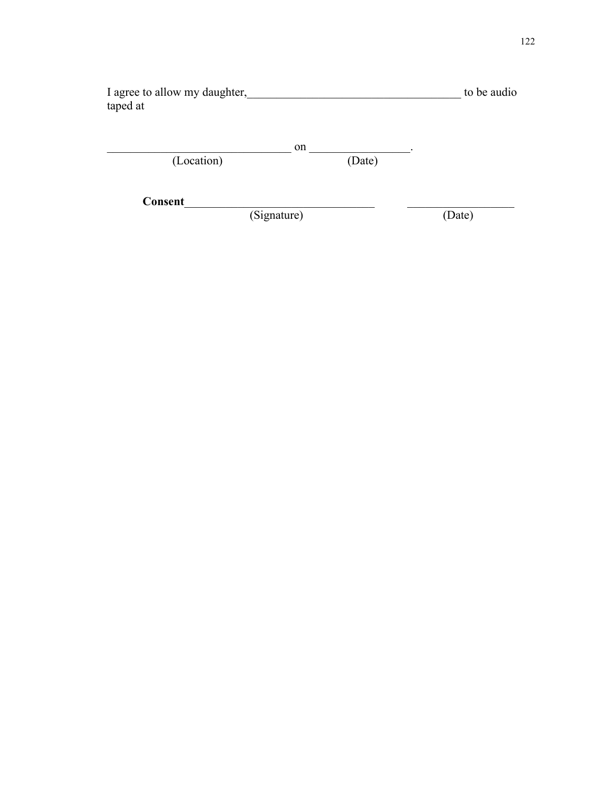| I agree to allow my daughter, | to be audio |
|-------------------------------|-------------|
| taped at                      |             |

|            | on |        |  |
|------------|----|--------|--|
| (Location) |    | (Date) |  |

**Consent**\_\_\_\_\_\_\_\_\_\_\_\_\_\_\_\_\_\_\_\_\_\_\_\_\_\_\_\_\_\_\_\_ \_\_\_\_\_\_\_\_\_\_\_\_\_\_\_\_\_\_ (Signature)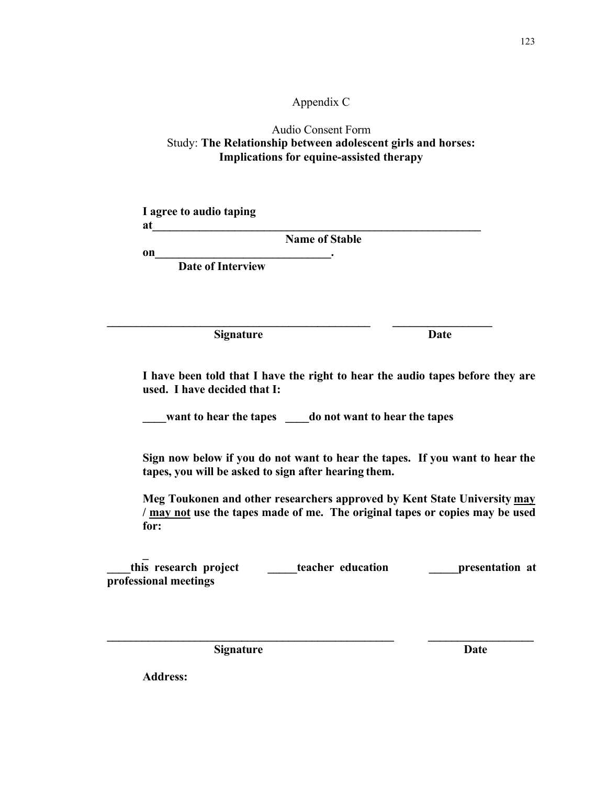## Appendix C

## Audio Consent Form Study: **The Relationship between adolescent girls and horses: Implications for equine-assisted therapy**

**I agree to audio taping**  at

**Name of Stable**

**on\_\_\_\_\_\_\_\_\_\_\_\_\_\_\_\_\_\_\_\_\_\_\_\_\_\_\_\_\_\_. Date of Interview**

**Signature Date**

**I have been told that I have the right to hear the audio tapes before they are used. I have decided that I:**

**want to hear the tapes do not want to hear the tapes** 

**\_\_\_\_\_\_\_\_\_\_\_\_\_\_\_\_\_\_\_\_\_\_\_\_\_\_\_\_\_\_\_\_\_\_\_\_\_\_\_\_\_\_\_\_\_ \_\_\_\_\_\_\_\_\_\_\_\_\_\_\_\_\_**

**Sign now below if you do not want to hear the tapes. If you want to hear the tapes, you will be asked to sign after hearing them.**

**Meg Toukonen and other researchers approved by Kent State University may / may not use the tapes made of me. The original tapes or copies may be used for:**

**\_ \_\_\_\_this research project \_\_\_\_\_teacher education \_\_\_\_\_presentation at professional meetings**

**\_\_\_\_\_\_\_\_\_\_\_\_\_\_\_\_\_\_\_\_\_\_\_\_\_\_\_\_\_\_\_\_\_\_\_\_\_\_\_\_\_\_\_\_\_\_\_\_\_ \_\_\_\_\_\_\_\_\_\_\_\_\_\_\_\_\_\_**

**Signature** Date

**Address:**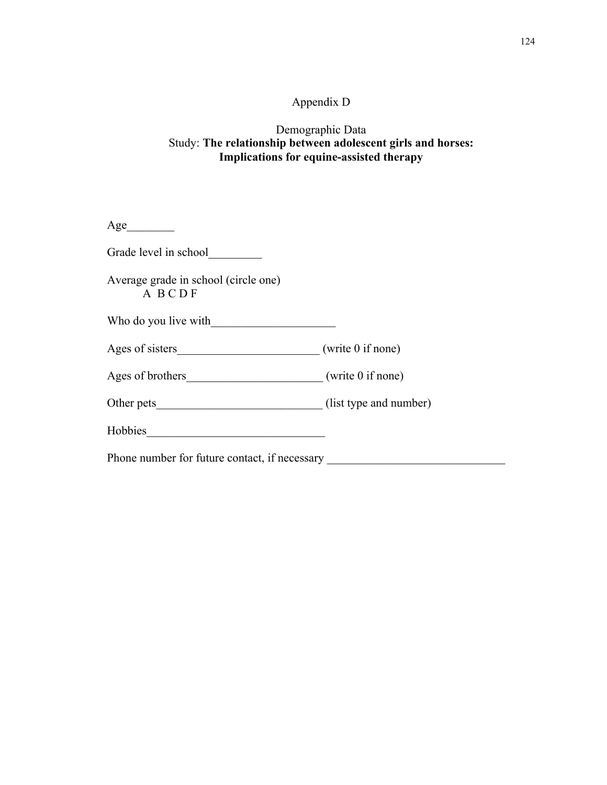# Appendix D

## Demographic Data Study: **The relationship between adolescent girls and horses: Implications for equine-assisted therapy**

| Age $\qquad \qquad$                            |  |
|------------------------------------------------|--|
| Grade level in school                          |  |
| Average grade in school (circle one)<br>A BCDF |  |
| Who do you live with                           |  |
|                                                |  |
| Ages of brothers (write 0 if none)             |  |
|                                                |  |
|                                                |  |
| Phone number for future contact, if necessary  |  |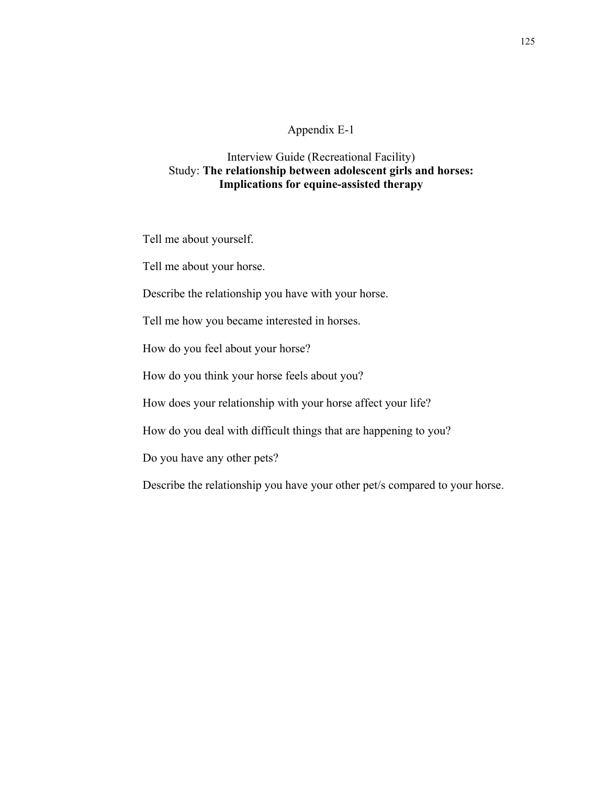#### Appendix E-1

## Interview Guide (Recreational Facility) Study: **The relationship between adolescent girls and horses: Implications for equine-assisted therapy**

Tell me about yourself.

Tell me about your horse.

Describe the relationship you have with your horse.

Tell me how you became interested in horses.

How do you feel about your horse?

How do you think your horse feels about you?

How does your relationship with your horse affect your life?

How do you deal with difficult things that are happening to you?

Do you have any other pets?

Describe the relationship you have your other pet/s compared to your horse.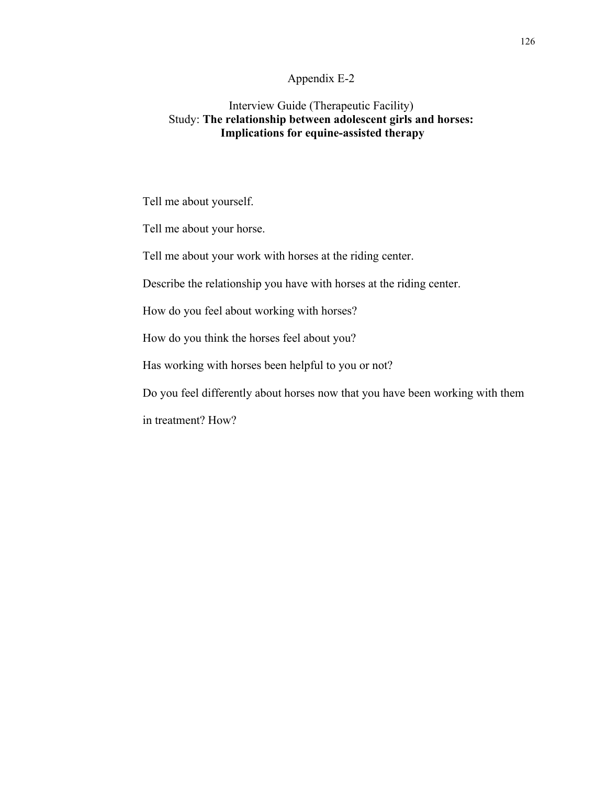#### Appendix E-2

## Interview Guide (Therapeutic Facility) Study: **The relationship between adolescent girls and horses: Implications for equine-assisted therapy**

Tell me about yourself.

Tell me about your horse.

Tell me about your work with horses at the riding center.

Describe the relationship you have with horses at the riding center.

How do you feel about working with horses?

How do you think the horses feel about you?

Has working with horses been helpful to you or not?

Do you feel differently about horses now that you have been working with them

in treatment? How?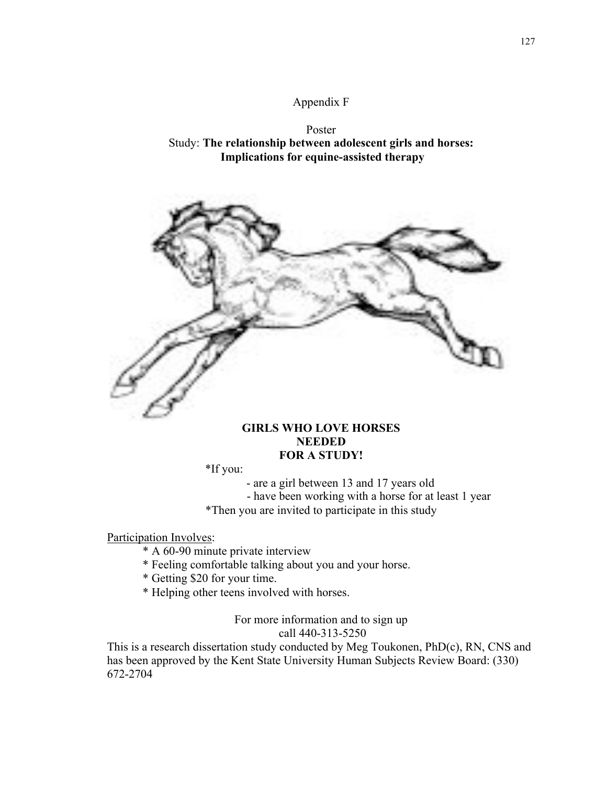### Appendix F





## **GIRLS WHO LOVE HORSES NEEDED FOR A STUDY!**

\*If you:

- are a girl between 13 and 17 years old - have been working with a horse for at least 1 year

\*Then you are invited to participate in this study

Participation Involves:

- \* A 60-90 minute private interview
- \* Feeling comfortable talking about you and your horse.
- \* Getting \$20 for your time.
- \* Helping other teens involved with horses.

For more information and to sign up call 440-313-5250

This is a research dissertation study conducted by Meg Toukonen, PhD(c), RN, CNS and has been approved by the Kent State University Human Subjects Review Board: (330) 672-2704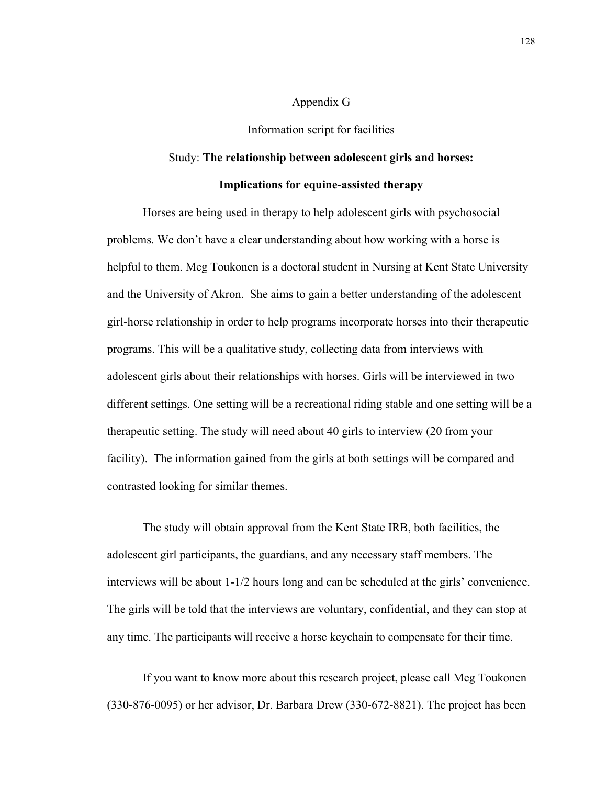#### Appendix G

Information script for facilities

#### Study: **The relationship between adolescent girls and horses:**

#### **Implications for equine-assisted therapy**

Horses are being used in therapy to help adolescent girls with psychosocial problems. We don't have a clear understanding about how working with a horse is helpful to them. Meg Toukonen is a doctoral student in Nursing at Kent State University and the University of Akron. She aims to gain a better understanding of the adolescent girl-horse relationship in order to help programs incorporate horses into their therapeutic programs. This will be a qualitative study, collecting data from interviews with adolescent girls about their relationships with horses. Girls will be interviewed in two different settings. One setting will be a recreational riding stable and one setting will be a therapeutic setting. The study will need about 40 girls to interview (20 from your facility). The information gained from the girls at both settings will be compared and contrasted looking for similar themes.

The study will obtain approval from the Kent State IRB, both facilities, the adolescent girl participants, the guardians, and any necessary staff members. The interviews will be about 1-1/2 hours long and can be scheduled at the girls' convenience. The girls will be told that the interviews are voluntary, confidential, and they can stop at any time. The participants will receive a horse keychain to compensate for their time.

If you want to know more about this research project, please call Meg Toukonen (330-876-0095) or her advisor, Dr. Barbara Drew (330-672-8821). The project has been